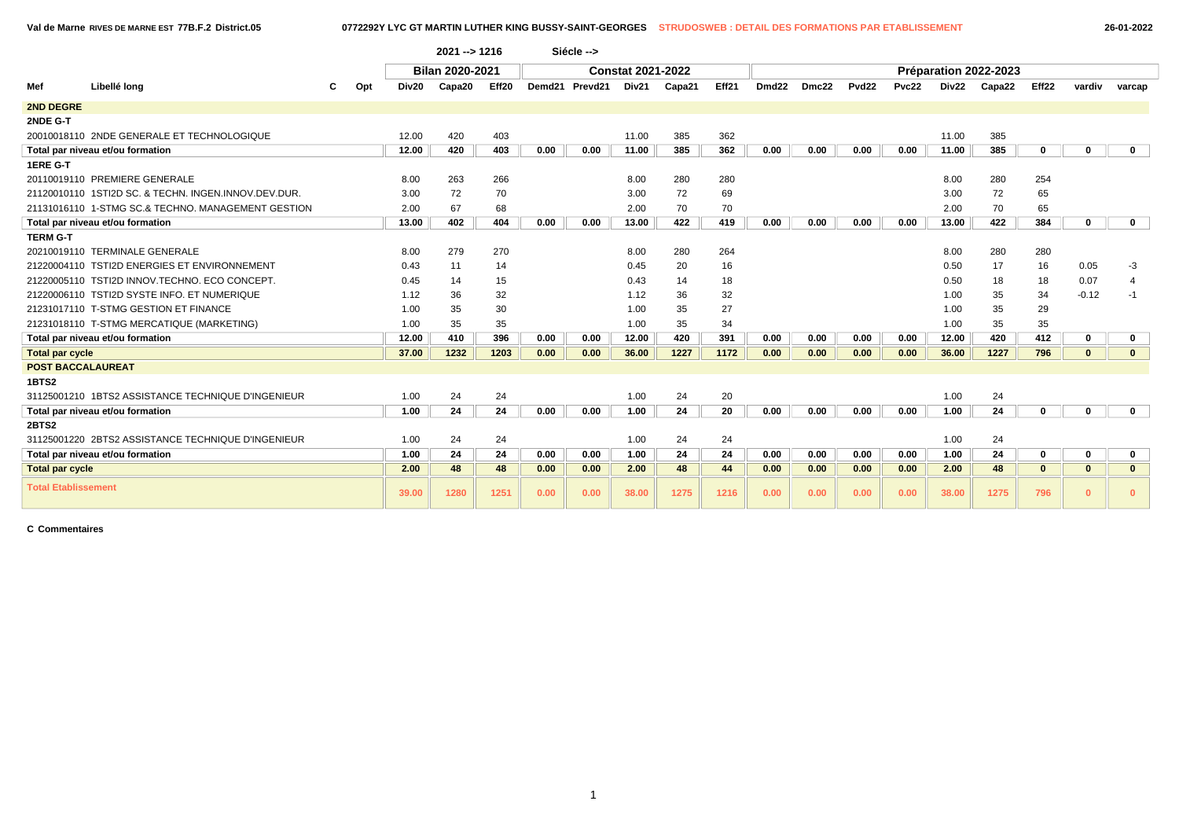**Val de Marne RIVES DE MARNE EST 77B.F.2 District.05 0772292Y LYC GT MARTIN LUTHER KING BUSSY-SAINT-GEORGES STRUDOSWEB : DETAIL DES FORMATIONS PAR ETABLISSEMENT 26-01-2022**

|                            |                                                         |   |     |       | $2021 - 51216$         |       |      | Siécle -->     |                          |        |       |                   |       |                   |       |       |                       |              |              |              |
|----------------------------|---------------------------------------------------------|---|-----|-------|------------------------|-------|------|----------------|--------------------------|--------|-------|-------------------|-------|-------------------|-------|-------|-----------------------|--------------|--------------|--------------|
|                            |                                                         |   |     |       | <b>Bilan 2020-2021</b> |       |      |                | <b>Constat 2021-2022</b> |        |       |                   |       |                   |       |       | Préparation 2022-2023 |              |              |              |
| Mef                        | Libellé long                                            | С | Opt | Div20 | Capa20                 | Eff20 |      | Demd21 Prevd21 | Div21                    | Capa21 | Eff21 | Dmd <sub>22</sub> | Dmc22 | Pvd <sub>22</sub> | Pvc22 | Div22 | Capa22                | Eff22        | vardiv       | varcap       |
| <b>2ND DEGRE</b>           |                                                         |   |     |       |                        |       |      |                |                          |        |       |                   |       |                   |       |       |                       |              |              |              |
| 2NDE G-T                   |                                                         |   |     |       |                        |       |      |                |                          |        |       |                   |       |                   |       |       |                       |              |              |              |
|                            | 20010018110 2NDE GENERALE ET TECHNOLOGIQUE              |   |     | 12.00 | 420                    | 403   |      |                | 11.00                    | 385    | 362   |                   |       |                   |       | 11.00 | 385                   |              |              |              |
|                            | Total par niveau et/ou formation                        |   |     | 12.00 | 420                    | 403   | 0.00 | 0.00           | 11.00                    | 385    | 362   | 0.00              | 0.00  | 0.00              | 0.00  | 11.00 | 385                   | $\mathbf{0}$ | $\mathbf 0$  | $\mathbf{0}$ |
| 1ERE G-T                   |                                                         |   |     |       |                        |       |      |                |                          |        |       |                   |       |                   |       |       |                       |              |              |              |
|                            | 20110019110 PREMIERE GENERALE                           |   |     | 8.00  | 263                    | 266   |      |                | 8.00                     | 280    | 280   |                   |       |                   |       | 8.00  | 280                   | 254          |              |              |
|                            | 21120010110 1STI2D SC, & TECHN, INGEN, INNOV, DEV, DUR, |   |     | 3.00  | 72                     | 70    |      |                | 3.00                     | 72     | 69    |                   |       |                   |       | 3.00  | 72                    | 65           |              |              |
|                            | 21131016110 1-STMG SC.& TECHNO, MANAGEMENT GESTION      |   |     | 2.00  | 67                     | 68    |      |                | 2.00                     | 70     | 70    |                   |       |                   |       | 2.00  | 70                    | 65           |              |              |
|                            | Total par niveau et/ou formation                        |   |     | 13.00 | 402                    | 404   | 0.00 | 0.00           | 13.00                    | 422    | 419   | 0.00              | 0.00  | 0.00              | 0.00  | 13.00 | 422                   | 384          | $\mathbf 0$  | $\mathbf{0}$ |
| <b>TERM G-T</b>            |                                                         |   |     |       |                        |       |      |                |                          |        |       |                   |       |                   |       |       |                       |              |              |              |
|                            | 20210019110 TERMINALE GENERALE                          |   |     | 8.00  | 279                    | 270   |      |                | 8.00                     | 280    | 264   |                   |       |                   |       | 8.00  | 280                   | 280          |              |              |
|                            | 21220004110 TSTI2D ENERGIES ET ENVIRONNEMENT            |   |     | 0.43  | 11                     | 14    |      |                | 0.45                     | 20     | 16    |                   |       |                   |       | 0.50  | 17                    | 16           | 0.05         | -3           |
|                            | 21220005110 TSTI2D INNOV.TECHNO. ECO CONCEPT.           |   |     | 0.45  | 14                     | 15    |      |                | 0.43                     | 14     | 18    |                   |       |                   |       | 0.50  | 18                    | 18           | 0.07         |              |
|                            | 21220006110 TSTI2D SYSTE INFO. ET NUMERIQUE             |   |     | 1.12  | 36                     | 32    |      |                | 1.12                     | 36     | 32    |                   |       |                   |       | 1.00  | 35                    | 34           | $-0.12$      | -1           |
|                            | 21231017110 T-STMG GESTION ET FINANCE                   |   |     | 1.00  | 35                     | 30    |      |                | 1.00                     | 35     | 27    |                   |       |                   |       | 1.00  | 35                    | 29           |              |              |
|                            | 21231018110 T-STMG MERCATIQUE (MARKETING)               |   |     | 1.00  | 35                     | 35    |      |                | 1.00                     | 35     | 34    |                   |       |                   |       | 1.00  | 35                    | 35           |              |              |
|                            | Total par niveau et/ou formation                        |   |     | 12.00 | 410                    | 396   | 0.00 | 0.00           | 12.00                    | 420    | 391   | 0.00              | 0.00  | 0.00              | 0.00  | 12.00 | 420                   | 412          | $\mathbf 0$  | $\mathbf 0$  |
| <b>Total par cycle</b>     |                                                         |   |     | 37.00 | 1232                   | 1203  | 0.00 | 0.00           | 36.00                    | 1227   | 1172  | 0.00              | 0.00  | 0.00              | 0.00  | 36.00 | 1227                  | 796          | $\mathbf{0}$ | $\mathbf{0}$ |
| <b>POST BACCALAUREAT</b>   |                                                         |   |     |       |                        |       |      |                |                          |        |       |                   |       |                   |       |       |                       |              |              |              |
| 1BTS2                      |                                                         |   |     |       |                        |       |      |                |                          |        |       |                   |       |                   |       |       |                       |              |              |              |
|                            | 31125001210 1BTS2 ASSISTANCE TECHNIQUE D'INGENIEUR      |   |     | 1.00  | 24                     | 24    |      |                | 1.00                     | 24     | 20    |                   |       |                   |       | 1.00  | 24                    |              |              |              |
|                            | Total par niveau et/ou formation                        |   |     | 1.00  | 24                     | 24    | 0.00 | 0.00           | 1.00                     | 24     | 20    | 0.00              | 0.00  | 0.00              | 0.00  | 1.00  | 24                    | 0            | 0            | $\mathbf{0}$ |
| <b>2BTS2</b>               |                                                         |   |     |       |                        |       |      |                |                          |        |       |                   |       |                   |       |       |                       |              |              |              |
|                            | 31125001220 2BTS2 ASSISTANCE TECHNIQUE D'INGENIEUR      |   |     | 1.00  | 24                     | 24    |      |                | 1.00                     | 24     | 24    |                   |       |                   |       | 1.00  | 24                    |              |              |              |
|                            | Total par niveau et/ou formation                        |   |     | 1.00  | 24                     | 24    | 0.00 | 0.00           | 1.00                     | 24     | 24    | 0.00              | 0.00  | 0.00              | 0.00  | 1.00  | 24                    | $\bf{0}$     | $\mathbf 0$  | $\mathbf{0}$ |
| <b>Total par cycle</b>     |                                                         |   |     | 2.00  | 48                     | 48    | 0.00 | 0.00           | 2.00                     | 48     | 44    | 0.00              | 0.00  | 0.00              | 0.00  | 2.00  | 48                    | $\mathbf{0}$ | $\mathbf{0}$ | $\mathbf{0}$ |
| <b>Total Etablissement</b> |                                                         |   |     | 39.00 | 1280                   | 1251  | 0.00 | 0.00           | 38.00                    | 1275   | 1216  | 0.00              | 0.00  | 0.00              | 0.00  | 38.00 | 1275                  | 796          | $\mathbf{0}$ | $\Omega$     |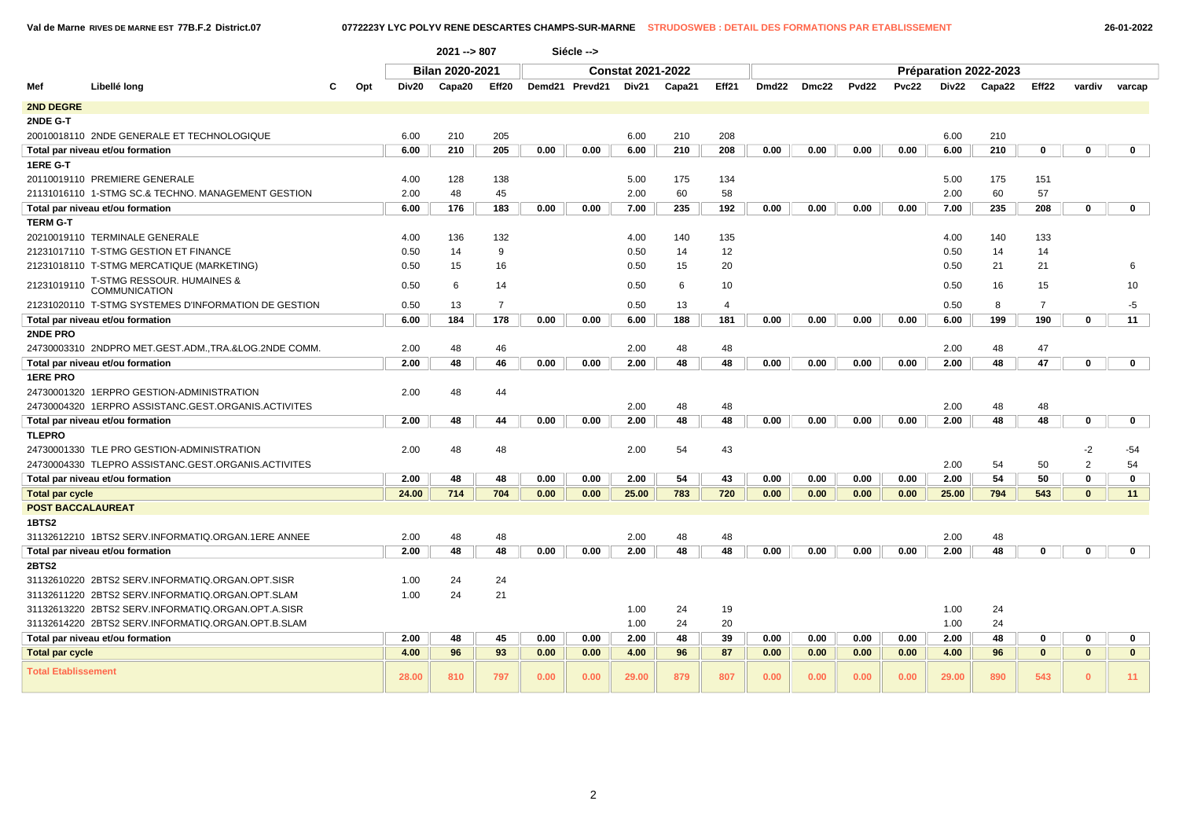**Val de Marne RIVES DE MARNE EST 77B.F.2 District.07 0772223Y LYC POLYV RENE DESCARTES CHAMPS-SUR-MARNE STRUDOSWEB : DETAIL DES FORMATIONS PAR ETABLISSEMENT 26-01-2022**

|                            |                                                                                                      |     |              | 2021 -- > 807   |                |        | Siécle --> |                          |          |                |                   |       |                   |              |                   |                       |                   |              |              |
|----------------------------|------------------------------------------------------------------------------------------------------|-----|--------------|-----------------|----------------|--------|------------|--------------------------|----------|----------------|-------------------|-------|-------------------|--------------|-------------------|-----------------------|-------------------|--------------|--------------|
|                            |                                                                                                      |     |              | Bilan 2020-2021 |                |        |            | <b>Constat 2021-2022</b> |          |                |                   |       |                   |              |                   | Préparation 2022-2023 |                   |              |              |
| Mef                        | Libellé long                                                                                         | Opt | Div20        | Capa20          | Eff20          | Demd21 | Prevd21    | Div21                    | Capa21   | Eff21          | Dmd <sub>22</sub> | Dmc22 | Pvd <sub>22</sub> | <b>Pvc22</b> | Div <sub>22</sub> | Capa22                | Eff <sub>22</sub> | vardiv       | varcap       |
| 2ND DEGRE                  |                                                                                                      |     |              |                 |                |        |            |                          |          |                |                   |       |                   |              |                   |                       |                   |              |              |
| 2NDE G-T                   |                                                                                                      |     |              |                 |                |        |            |                          |          |                |                   |       |                   |              |                   |                       |                   |              |              |
|                            | 20010018110 2NDE GENERALE ET TECHNOLOGIQUE                                                           |     | 6.00         | 210             | 205            |        |            | 6.00                     | 210      | 208            |                   |       |                   |              | 6.00              | 210                   |                   |              |              |
|                            | Total par niveau et/ou formation                                                                     |     | 6.00         | 210             | 205            | 0.00   | 0.00       | 6.00                     | 210      | 208            | 0.00              | 0.00  | 0.00              | 0.00         | 6.00              | 210                   | $\mathbf 0$       | $\bf{0}$     | $\mathbf 0$  |
| 1ERE G-T                   |                                                                                                      |     |              |                 |                |        |            |                          |          |                |                   |       |                   |              |                   |                       |                   |              |              |
|                            | 20110019110 PREMIERE GENERALE                                                                        |     | 4.00         | 128             | 138            |        |            | 5.00                     | 175      | 134            |                   |       |                   |              | 5.00              | 175                   | 151               |              |              |
|                            | 21131016110 1-STMG SC.& TECHNO. MANAGEMENT GESTION                                                   |     | 2.00         | 48              | 45             |        |            | 2.00                     | 60       | 58             |                   |       |                   |              | 2.00              | 60                    | 57                |              |              |
|                            | Total par niveau et/ou formation                                                                     |     | 6.00         | 176             | 183            | 0.00   | 0.00       | 7.00                     | 235      | 192            | 0.00              | 0.00  | 0.00              | 0.00         | 7.00              | 235                   | 208               | $\mathbf{0}$ | $\mathbf 0$  |
| <b>TERM G-T</b>            |                                                                                                      |     |              |                 |                |        |            |                          |          |                |                   |       |                   |              |                   |                       |                   |              |              |
|                            | 20210019110 TERMINALE GENERALE                                                                       |     | 4.00         | 136             | 132            |        |            | 4.00                     | 140      | 135            |                   |       |                   |              | 4.00              | 140                   | 133               |              |              |
|                            | 21231017110 T-STMG GESTION ET FINANCE                                                                |     | 0.50         | 14              | 9              |        |            | 0.50                     | 14       | 12             |                   |       |                   |              | 0.50              | 14                    | 14                |              |              |
|                            | 21231018110 T-STMG MERCATIQUE (MARKETING)                                                            |     | 0.50         | 15              | 16             |        |            | 0.50                     | 15       | 20             |                   |       |                   |              | 0.50              | 21                    | 21                |              | 6            |
| 21231019110                | T-STMG RESSOUR. HUMAINES & COMMUNICATION                                                             |     | 0.50         | 6               | 14             |        |            | 0.50                     | 6        | 10             |                   |       |                   |              | 0.50              | 16                    | 15                |              | 10           |
|                            | 21231020110 T-STMG SYSTEMES D'INFORMATION DE GESTION                                                 |     | 0.50         | 13              | $\overline{7}$ |        |            | 0.50                     | 13       | $\overline{4}$ |                   |       |                   |              | 0.50              | 8                     | $\overline{7}$    |              | -5           |
|                            | Total par niveau et/ou formation                                                                     |     | 6.00         | 184             | 178            | 0.00   | 0.00       | 6.00                     | 188      | 181            | 0.00              | 0.00  | 0.00              | 0.00         | 6.00              | 199                   | 190               | $\mathbf 0$  | 11           |
| 2NDE PRO                   |                                                                                                      |     |              |                 |                |        |            |                          |          |                |                   |       |                   |              |                   |                       |                   |              |              |
|                            | 24730003310 2NDPRO MET.GEST.ADM.,TRA.&LOG.2NDE COMM.                                                 |     | 2.00         | 48              | 46             |        |            | 2.00                     | 48       | 48             |                   |       |                   |              | 2.00              | 48                    | 47                |              |              |
|                            | Total par niveau et/ou formation                                                                     |     | 2.00         | 48              | 46             | 0.00   | 0.00       | 2.00                     | 48       | 48             | 0.00              | 0.00  | 0.00              | 0.00         | 2.00              | 48                    | 47                | $\mathbf{0}$ | $\mathbf 0$  |
| <b>1ERE PRO</b>            |                                                                                                      |     |              |                 |                |        |            |                          |          |                |                   |       |                   |              |                   |                       |                   |              |              |
|                            | 24730001320 1ERPRO GESTION-ADMINISTRATION                                                            |     | 2.00         | 48              | 44             |        |            |                          |          |                |                   |       |                   |              |                   |                       |                   |              |              |
|                            | 24730004320 1ERPRO ASSISTANC.GEST.ORGANIS.ACTIVITES                                                  |     |              |                 |                |        |            | 2.00                     | 48       | 48             |                   |       |                   |              | 2.00              | 48                    | 48                |              |              |
|                            | Total par niveau et/ou formation                                                                     |     | 2.00         | 48              | 44             | 0.00   | 0.00       | 2.00                     | 48       | 48             | 0.00              | 0.00  | 0.00              | 0.00         | 2.00              | 48                    | 48                | $\mathbf 0$  | $\mathbf 0$  |
| <b>TLEPRO</b>              |                                                                                                      |     |              |                 |                |        |            |                          |          |                |                   |       |                   |              |                   |                       |                   |              |              |
|                            | 24730001330 TLE PRO GESTION-ADMINISTRATION                                                           |     | 2.00         | 48              | 48             |        |            | 2.00                     | 54       | 43             |                   |       |                   |              |                   |                       |                   | $-2$         | $-54$        |
|                            | 24730004330 TLEPRO ASSISTANC.GEST.ORGANIS.ACTIVITES                                                  |     |              |                 |                |        |            |                          |          |                |                   |       |                   |              | 2.00              | 54                    | 50                | 2            | 54           |
|                            | Total par niveau et/ou formation                                                                     |     | 2.00         | 48              | 48             | 0.00   | 0.00       | 2.00                     | 54       | 43             | 0.00              | 0.00  | 0.00              | 0.00         | 2.00              | 54                    | 50                | 0            | $\mathbf 0$  |
| <b>Total par cycle</b>     |                                                                                                      |     | 24.00        | 714             | 704            | 0.00   | 0.00       | 25.00                    | 783      | 720            | 0.00              | 0.00  | 0.00              | 0.00         | 25.00             | 794                   | 543               | $\mathbf{0}$ | 11           |
|                            | <b>POST BACCALAUREAT</b>                                                                             |     |              |                 |                |        |            |                          |          |                |                   |       |                   |              |                   |                       |                   |              |              |
| <b>1BTS2</b>               |                                                                                                      |     |              |                 |                |        |            |                          |          |                |                   |       |                   |              |                   |                       |                   |              |              |
|                            | 31132612210 1BTS2 SERV.INFORMATIQ.ORGAN.1ERE ANNEE                                                   |     | 2.00         | 48              | 48             |        |            | 2.00                     | 48       | 48             |                   |       |                   |              | 2.00              | 48                    |                   |              |              |
|                            | Total par niveau et/ou formation                                                                     |     | 2.00         | 48              | 48             | 0.00   | 0.00       | 2.00                     | 48       | 48             | 0.00              | 0.00  | 0.00              | 0.00         | 2.00              | 48                    | 0                 | $\mathbf{0}$ | $\mathbf 0$  |
| 2BTS2                      |                                                                                                      |     |              |                 |                |        |            |                          |          |                |                   |       |                   |              |                   |                       |                   |              |              |
|                            | 31132610220 2BTS2 SERV.INFORMATIQ.ORGAN.OPT.SISR<br>31132611220 2BTS2 SERV.INFORMATIQ.ORGAN.OPT.SLAM |     | 1.00<br>1.00 | 24<br>24        | 24<br>21       |        |            |                          |          |                |                   |       |                   |              |                   |                       |                   |              |              |
|                            | 31132613220 2BTS2 SERV.INFORMATIQ.ORGAN.OPT.A.SISR                                                   |     |              |                 |                |        |            | 1.00                     |          |                |                   |       |                   |              |                   | 24                    |                   |              |              |
|                            | 31132614220 2BTS2 SERV.INFORMATIQ.ORGAN.OPT.B.SLAM                                                   |     |              |                 |                |        |            | 1.00                     | 24<br>24 | 19<br>20       |                   |       |                   |              | 1.00<br>1.00      | 24                    |                   |              |              |
|                            | Total par niveau et/ou formation                                                                     |     | 2.00         | 48              | 45             | 0.00   | 0.00       | 2.00                     | 48       | 39             | 0.00              | 0.00  | 0.00              | 0.00         | 2.00              | 48                    | 0                 | 0            | 0            |
| <b>Total par cycle</b>     |                                                                                                      |     | 4.00         | 96              | 93             | 0.00   | 0.00       | 4.00                     | 96       | 87             | 0.00              | 0.00  | 0.00              | 0.00         | 4.00              | 96                    | $\mathbf{0}$      | $\mathbf{0}$ | $\mathbf{0}$ |
|                            |                                                                                                      |     |              |                 |                |        |            |                          |          |                |                   |       |                   |              |                   |                       |                   |              |              |
| <b>Total Etablissement</b> |                                                                                                      |     | 28.00        | 810             | 797            | 0.00   | 0.00       | 29.00                    | 879      | 807            | 0.00              | 0.00  | 0.00              | 0.00         | 29.00             | 890                   | 543               | $\mathbf{0}$ | 11           |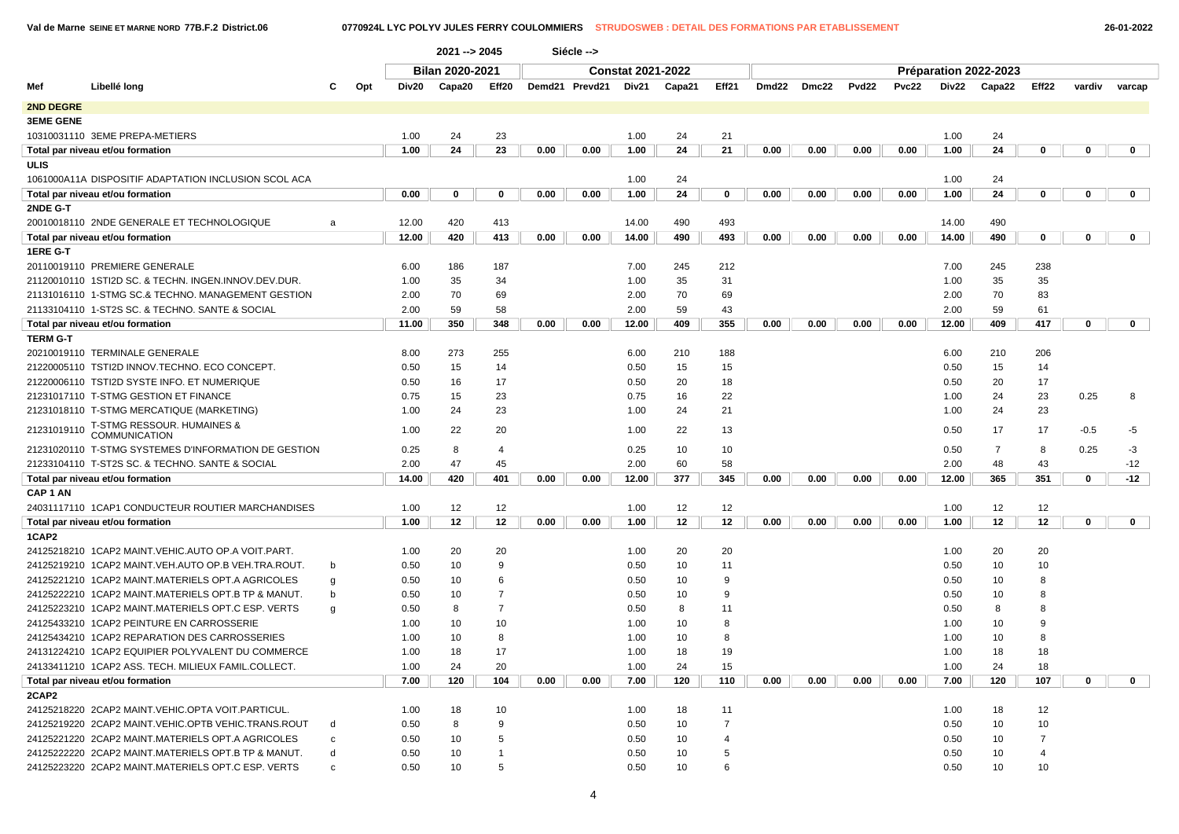$\sqrt{ }$ 

 $\sqrt{ }$ 

### **Val de Marne SEINE ET MARNE NORD 77B.F.2 District.06 0770924L LYC POLYV JULES FERRY COULOMMIERS STRUDOSWEB : DETAIL DES FORMATIONS PAR ETABLISSEMENT 26-01-2022**

|                     |                                                      |              |     |       | 2021 -- > 2045         |                |      | Siécle -->     |                          |        |                |      |             |                   |       |       |                       |                |             |             |
|---------------------|------------------------------------------------------|--------------|-----|-------|------------------------|----------------|------|----------------|--------------------------|--------|----------------|------|-------------|-------------------|-------|-------|-----------------------|----------------|-------------|-------------|
|                     |                                                      |              |     |       | <b>Bilan 2020-2021</b> |                |      |                | <b>Constat 2021-2022</b> |        |                |      |             |                   |       |       | Préparation 2022-2023 |                |             |             |
| Mef                 | Libellé long                                         | с            | Opt | Div20 | Capa20                 | Eff20          |      | Demd21 Prevd21 | Div21                    | Capa21 | Eff21          |      | Dmd22 Dmc22 | Pvd <sub>22</sub> | Pvc22 | Div22 | Capa22                | Eff22          | vardiv      | varcap      |
| <b>2ND DEGRE</b>    |                                                      |              |     |       |                        |                |      |                |                          |        |                |      |             |                   |       |       |                       |                |             |             |
| <b>3EME GENE</b>    |                                                      |              |     |       |                        |                |      |                |                          |        |                |      |             |                   |       |       |                       |                |             |             |
|                     | 10310031110 3EME PREPA-METIERS                       |              |     | 1.00  | 24                     | 23             |      |                | 1.00                     | 24     | 21             |      |             |                   |       | 1.00  | 24                    |                |             |             |
|                     | Total par niveau et/ou formation                     |              |     | 1.00  | 24                     | 23             | 0.00 | 0.00           | 1.00                     | 24     | 21             | 0.00 | 0.00        | 0.00              | 0.00  | 1.00  | 24                    | 0              | 0           | $\mathbf 0$ |
| <b>ULIS</b>         |                                                      |              |     |       |                        |                |      |                |                          |        |                |      |             |                   |       |       |                       |                |             |             |
|                     | 1061000A11A DISPOSITIF ADAPTATION INCLUSION SCOL ACA |              |     |       |                        |                |      |                | 1.00                     | 24     |                |      |             |                   |       | 1.00  | 24                    |                |             |             |
|                     | Total par niveau et/ou formation                     |              |     | 0.00  | 0                      | 0              | 0.00 | 0.00           | 1.00                     | 24     | $\mathbf 0$    | 0.00 | 0.00        | 0.00              | 0.00  | 1.00  | 24                    | 0              | 0           | $\mathbf 0$ |
| 2NDE G-T            |                                                      |              |     |       |                        |                |      |                |                          |        |                |      |             |                   |       |       |                       |                |             |             |
|                     | 20010018110 2NDE GENERALE ET TECHNOLOGIQUE           | a            |     | 12.00 | 420                    | 413            |      |                | 14.00                    | 490    | 493            |      |             |                   |       | 14.00 | 490                   |                |             |             |
|                     | Total par niveau et/ou formation                     |              |     | 12.00 | 420                    | 413            | 0.00 | 0.00           | 14.00                    | 490    | 493            | 0.00 | 0.00        | 0.00              | 0.00  | 14.00 | 490                   | 0              | 0           | $\mathbf 0$ |
| 1ERE G-T            |                                                      |              |     |       |                        |                |      |                |                          |        |                |      |             |                   |       |       |                       |                |             |             |
|                     | 20110019110 PREMIERE GENERALE                        |              |     | 6.00  | 186                    | 187            |      |                | 7.00                     | 245    | 212            |      |             |                   |       | 7.00  | 245                   | 238            |             |             |
|                     | 21120010110 1STI2D SC. & TECHN. INGEN.INNOV.DEV.DUR. |              |     | 1.00  | 35                     | 34             |      |                | 1.00                     | 35     | 31             |      |             |                   |       | 1.00  | 35                    | 35             |             |             |
|                     | 21131016110 1-STMG SC.& TECHNO. MANAGEMENT GESTION   |              |     | 2.00  | 70                     | 69             |      |                | 2.00                     | 70     | 69             |      |             |                   |       | 2.00  | 70                    | 83             |             |             |
|                     | 21133104110 1-ST2S SC. & TECHNO. SANTE & SOCIAL      |              |     | 2.00  | 59                     | 58             |      |                | 2.00                     | 59     | 43             |      |             |                   |       | 2.00  | 59                    | 61             |             |             |
|                     | Total par niveau et/ou formation                     |              |     | 11.00 | 350                    | 348            | 0.00 | 0.00           | 12.00                    | 409    | 355            | 0.00 | 0.00        | 0.00              | 0.00  | 12.00 | 409                   | 417            | $\mathbf 0$ | $\mathbf 0$ |
| <b>TERM G-T</b>     |                                                      |              |     |       |                        |                |      |                |                          |        |                |      |             |                   |       |       |                       |                |             |             |
|                     | 20210019110 TERMINALE GENERALE                       |              |     | 8.00  | 273                    | 255            |      |                | 6.00                     | 210    | 188            |      |             |                   |       | 6.00  | 210                   | 206            |             |             |
|                     | 21220005110 TSTI2D INNOV.TECHNO. ECO CONCEPT.        |              |     | 0.50  | 15                     | 14             |      |                | 0.50                     | 15     | 15             |      |             |                   |       | 0.50  | 15                    | 14             |             |             |
|                     | 21220006110 TSTI2D SYSTE INFO. ET NUMERIQUE          |              |     | 0.50  | 16                     | 17             |      |                | 0.50                     | 20     | 18             |      |             |                   |       | 0.50  | 20                    | 17             |             |             |
|                     | 21231017110 T-STMG GESTION ET FINANCE                |              |     | 0.75  | 15                     | 23             |      |                | 0.75                     | 16     | 22             |      |             |                   |       | 1.00  | 24                    | 23             | 0.25        | 8           |
|                     | 21231018110 T-STMG MERCATIQUE (MARKETING)            |              |     | 1.00  | 24                     | 23             |      |                | 1.00                     | 24     | 21             |      |             |                   |       | 1.00  | 24                    | 23             |             |             |
| 21231019110         | T-STMG RESSOUR. HUMAINES &<br><b>COMMUNICATION</b>   |              |     | 1.00  | 22                     | 20             |      |                | 1.00                     | 22     | 13             |      |             |                   |       | 0.50  | 17                    | 17             | $-0.5$      | -5          |
|                     | 21231020110 T-STMG SYSTEMES D'INFORMATION DE GESTION |              |     | 0.25  | 8                      | $\overline{4}$ |      |                | 0.25                     | 10     | 10             |      |             |                   |       | 0.50  | $\overline{7}$        | 8              | 0.25        | $-3$        |
|                     | 21233104110 T-ST2S SC. & TECHNO. SANTE & SOCIAL      |              |     | 2.00  | 47                     | 45             |      |                | 2.00                     | 60     | 58             |      |             |                   |       | 2.00  | 48                    | 43             |             | $-12$       |
|                     | Total par niveau et/ou formation                     |              |     | 14.00 | 420                    | 401            | 0.00 | 0.00           | 12.00                    | 377    | 345            | 0.00 | 0.00        | 0.00              | 0.00  | 12.00 | 365                   | 351            | $\mathbf 0$ | $-12$       |
| CAP <sub>1</sub> AN |                                                      |              |     |       |                        |                |      |                |                          |        |                |      |             |                   |       |       |                       |                |             |             |
|                     | 24031117110 1CAP1 CONDUCTEUR ROUTIER MARCHANDISES    |              |     | 1.00  | 12                     | 12             |      |                | 1.00                     | 12     | 12             |      |             |                   |       | 1.00  | 12                    | 12             |             |             |
|                     | Total par niveau et/ou formation                     |              |     | 1.00  | 12                     | 12             | 0.00 | 0.00           | 1.00                     | 12     | 12             | 0.00 | 0.00        | 0.00              | 0.00  | 1.00  | 12                    | 12             | $\mathbf 0$ | $\mathbf 0$ |
| 1CAP2               |                                                      |              |     |       |                        |                |      |                |                          |        |                |      |             |                   |       |       |                       |                |             |             |
|                     | 24125218210 1CAP2 MAINT.VEHIC.AUTO OP.A VOIT.PART.   |              |     | 1.00  | 20                     | 20             |      |                | 1.00                     | 20     | 20             |      |             |                   |       | 1.00  | 20                    | 20             |             |             |
|                     | 24125219210 1CAP2 MAINT.VEH.AUTO OP.B VEH.TRA.ROUT.  | b            |     | 0.50  | 10                     | 9              |      |                | 0.50                     | 10     | 11             |      |             |                   |       | 0.50  | 10                    | 10             |             |             |
|                     | 24125221210 1CAP2 MAINT.MATERIELS OPT.A AGRICOLES    | g            |     | 0.50  | 10                     | 6              |      |                | 0.50                     | 10     | 9              |      |             |                   |       | 0.50  | 10                    | 8              |             |             |
|                     | 24125222210 1CAP2 MAINT.MATERIELS OPT.B TP & MANUT.  | b            |     | 0.50  | 10                     | $\overline{7}$ |      |                | 0.50                     | 10     | 9              |      |             |                   |       | 0.50  | 10                    | 8              |             |             |
|                     | 24125223210 1CAP2 MAINT.MATERIELS OPT.C ESP. VERTS   | $\alpha$     |     | 0.50  | 8                      | $\overline{7}$ |      |                | 0.50                     | 8      | 11             |      |             |                   |       | 0.50  | 8                     | 8              |             |             |
|                     | 24125433210 1CAP2 PEINTURE EN CARROSSERIE            |              |     | 1.00  | 10                     | 10             |      |                | 1.00                     | 10     | 8              |      |             |                   |       | 1.00  | 10                    | 9              |             |             |
|                     | 24125434210 1CAP2 REPARATION DES CARROSSERIES        |              |     | 1.00  | 10                     | 8              |      |                | 1.00                     | 10     | 8              |      |             |                   |       | 1.00  | 10                    | $\mathsf{R}$   |             |             |
|                     | 24131224210 1CAP2 EQUIPIER POLYVALENT DU COMMERCE    |              |     | 1.00  | 18                     | 17             |      |                | 1.00                     | 18     | 19             |      |             |                   |       | 1.00  | 18                    | 18             |             |             |
|                     | 24133411210 1CAP2 ASS. TECH. MILIEUX FAMIL.COLLECT.  |              |     | 1.00  | 24                     | 20             |      |                | 1.00                     | 24     | 15             |      |             |                   |       | 1.00  | 24                    | 18             |             |             |
|                     | Total par niveau et/ou formation                     |              |     | 7.00  | 120                    | 104            | 0.00 | 0.00           | 7.00                     | 120    | 110            | 0.00 | 0.00        | 0.00              | 0.00  | 7.00  | 120                   | 107            | $\mathbf 0$ | $\mathbf 0$ |
| 2CAP2               |                                                      |              |     |       |                        |                |      |                |                          |        |                |      |             |                   |       |       |                       |                |             |             |
|                     | 24125218220 2CAP2 MAINT.VEHIC.OPTA VOIT.PARTICUL.    |              |     | 1.00  | 18                     | 10             |      |                | 1.00                     | 18     | 11             |      |             |                   |       | 1.00  | 18                    | 12             |             |             |
|                     | 24125219220 2CAP2 MAINT.VEHIC.OPTB VEHIC.TRANS.ROUT  | d            |     | 0.50  | 8                      | 9              |      |                | 0.50                     | 10     | $\overline{7}$ |      |             |                   |       | 0.50  | 10                    | 10             |             |             |
|                     | 24125221220 2CAP2 MAINT.MATERIELS OPT.A AGRICOLES    | C.           |     | 0.50  | 10                     | 5              |      |                | 0.50                     | 10     |                |      |             |                   |       | 0.50  | 10                    | $\overline{7}$ |             |             |
|                     | 24125222220 2CAP2 MAINT.MATERIELS OPT.B TP & MANUT.  | d            |     | 0.50  | 10                     | 1              |      |                | 0.50                     | 10     | 5              |      |             |                   |       | 0.50  | 10                    | 4              |             |             |
|                     | 24125223220 2CAP2 MAINT.MATERIELS OPT.C ESP. VERTS   | $\mathsf{C}$ |     | 0.50  | 10                     | 5              |      |                | 0.50                     | 10     | 6              |      |             |                   |       | 0.50  | 10                    | 10             |             |             |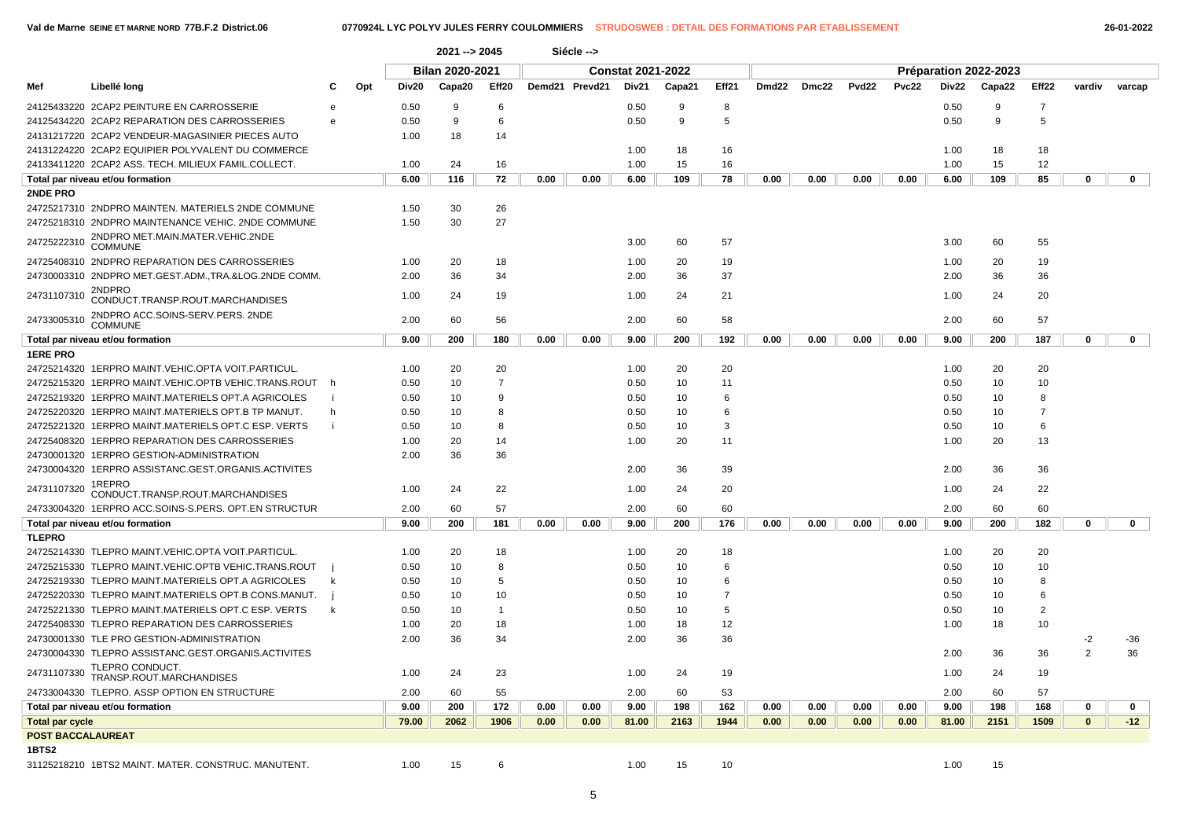|                          |                                                                                                                                                 |                                                                                                                                                           |  |       | $2021 - 2045$ |                |      | Siécle --> |       |          |                |      |       |       |       |       |                       |                |              |              |
|--------------------------|-------------------------------------------------------------------------------------------------------------------------------------------------|-----------------------------------------------------------------------------------------------------------------------------------------------------------|--|-------|---------------|----------------|------|------------|-------|----------|----------------|------|-------|-------|-------|-------|-----------------------|----------------|--------------|--------------|
|                          |                                                                                                                                                 |                                                                                                                                                           |  |       |               |                |      |            |       |          |                |      |       |       |       |       | Préparation 2022-2023 |                |              |              |
| Mef                      | <b>Bilan 2020-2021</b><br><b>Constat 2021-2022</b><br>Libellé long<br>С<br>Opt<br>Div20<br>Capa20<br>Eff20<br>Demd21 Prevd21<br>Div21<br>Capa21 |                                                                                                                                                           |  |       |               |                |      |            |       |          |                |      | Dmc22 | Pvd22 | Pvc22 | Div22 | Capa22                | Eff22          | vardiv       | varcap       |
|                          | 24125433220 2CAP2 PEINTURE EN CARROSSERIE                                                                                                       | e                                                                                                                                                         |  | 0.50  | 9             | 6              |      |            | 0.50  | 9        | 8              |      |       |       |       | 0.50  | 9                     | $\overline{7}$ |              |              |
|                          |                                                                                                                                                 |                                                                                                                                                           |  |       |               |                |      |            |       |          | $\sqrt{5}$     |      |       |       |       | 0.50  | 9                     | 5              |              |              |
|                          |                                                                                                                                                 | 24125434220 2CAP2 REPARATION DES CARROSSERIES<br>0.50<br>9<br>6<br>0.50<br>9<br>e<br>24131217220 2CAP2 VENDEUR-MAGASINIER PIECES AUTO<br>1.00<br>18<br>14 |  |       |               |                |      |            |       |          |                |      |       |       |       |       |                       |                |              |              |
|                          | 24131224220 2CAP2 EQUIPIER POLYVALENT DU COMMERCE                                                                                               | 1.00                                                                                                                                                      |  |       |               |                |      |            |       |          |                |      |       |       |       | 1.00  | 18                    | 18             |              |              |
|                          | 24133411220 2CAP2 ASS, TECH, MILIEUX FAMIL.COLLECT.                                                                                             |                                                                                                                                                           |  | 1.00  | 24            | 16             |      |            | 1.00  | 18<br>15 | 16<br>16       |      |       |       |       | 1.00  | 15                    | 12             |              |              |
|                          | Total par niveau et/ou formation                                                                                                                |                                                                                                                                                           |  | 6.00  | 116           | 72             | 0.00 | 0.00       | 6.00  | 109      | 78             | 0.00 | 0.00  | 0.00  | 0.00  | 6.00  | 109                   | 85             | 0            | $\mathbf 0$  |
| 2NDE PRO                 |                                                                                                                                                 |                                                                                                                                                           |  |       |               |                |      |            |       |          |                |      |       |       |       |       |                       |                |              |              |
|                          | 24725217310 2NDPRO MAINTEN. MATERIELS 2NDE COMMUNE                                                                                              |                                                                                                                                                           |  | 1.50  | 30            | 26             |      |            |       |          |                |      |       |       |       |       |                       |                |              |              |
|                          | 24725218310 2NDPRO MAINTENANCE VEHIC. 2NDE COMMUNE                                                                                              |                                                                                                                                                           |  | 1.50  | 30            | 27             |      |            |       |          |                |      |       |       |       |       |                       |                |              |              |
| 24725222310              | 2NDPRO MET.MAIN.MATER.VEHIC.2NDE<br><b>COMMUNE</b>                                                                                              |                                                                                                                                                           |  |       |               |                |      |            | 3.00  | 60       | 57             |      |       |       |       | 3.00  | 60                    | 55             |              |              |
|                          | 24725408310 2NDPRO REPARATION DES CARROSSERIES                                                                                                  |                                                                                                                                                           |  | 1.00  | 20            | 18             |      |            | 1.00  | 20       | 19             |      |       |       |       | 1.00  | 20                    | 19             |              |              |
|                          | 24730003310 2NDPRO MET.GEST.ADM., TRA.&LOG.2NDE COMM.                                                                                           |                                                                                                                                                           |  | 2.00  | 36            | 34             |      |            | 2.00  | 36       | 37             |      |       |       |       | 2.00  | 36                    | 36             |              |              |
|                          | 2NDPRO                                                                                                                                          |                                                                                                                                                           |  |       |               |                |      |            |       |          |                |      |       |       |       |       |                       |                |              |              |
| 24731107310              | CONDUCT.TRANSP.ROUT.MARCHANDISES                                                                                                                |                                                                                                                                                           |  | 1.00  | 24            | 19             |      |            | 1.00  | 24       | 21             |      |       |       |       | 1.00  | 24                    | 20             |              |              |
| 24733005310              | 2NDPRO ACC.SOINS-SERV.PERS. 2NDE<br><b>COMMUNE</b>                                                                                              |                                                                                                                                                           |  | 2.00  | 60            | 56             |      |            | 2.00  | 60       | 58             |      |       |       |       | 2.00  | 60                    | 57             |              |              |
|                          | Total par niveau et/ou formation                                                                                                                |                                                                                                                                                           |  | 9.00  | 200           | 180            | 0.00 | 0.00       | 9.00  | 200      | 192            | 0.00 | 0.00  | 0.00  | 0.00  | 9.00  | 200                   | 187            | 0            | $\mathbf 0$  |
| <b>1ERE PRO</b>          |                                                                                                                                                 |                                                                                                                                                           |  |       |               |                |      |            |       |          |                |      |       |       |       |       |                       |                |              |              |
|                          | 24725214320 1ERPRO MAINT.VEHIC.OPTA VOIT.PARTICUL.                                                                                              |                                                                                                                                                           |  | 1.00  | 20            | 20             |      |            | 1.00  | 20       | 20             |      |       |       |       | 1.00  | 20                    | 20             |              |              |
|                          | 24725215320 1ERPRO MAINT.VEHIC.OPTB VEHIC.TRANS.ROUT                                                                                            | h                                                                                                                                                         |  | 0.50  | 10            | $\overline{7}$ |      |            | 0.50  | 10       | 11             |      |       |       |       | 0.50  | 10                    | 10             |              |              |
|                          | 24725219320 1ERPRO MAINT.MATERIELS OPT.A AGRICOLES                                                                                              |                                                                                                                                                           |  | 0.50  | 10            | $\mathbf{Q}$   |      |            | 0.50  | 10       | 6              |      |       |       |       | 0.50  | 10                    | 8              |              |              |
|                          | 24725220320 1ERPRO MAINT.MATERIELS OPT.B TP MANUT.                                                                                              | h                                                                                                                                                         |  | 0.50  | 10            | 8              |      |            | 0.50  | 10       | 6              |      |       |       |       | 0.50  | 10                    | $\overline{7}$ |              |              |
|                          | 24725221320 1ERPRO MAINT.MATERIELS OPT.C ESP. VERTS                                                                                             | -i                                                                                                                                                        |  | 0.50  | 10            | 8              |      |            | 0.50  | 10       | 3              |      |       |       |       | 0.50  | 10                    | 6              |              |              |
|                          | 24725408320 1ERPRO REPARATION DES CARROSSERIES                                                                                                  |                                                                                                                                                           |  | 1.00  | 20            | 14             |      |            | 1.00  | 20       | 11             |      |       |       |       | 1.00  | 20                    | 13             |              |              |
|                          | 24730001320 1ERPRO GESTION-ADMINISTRATION                                                                                                       |                                                                                                                                                           |  | 2.00  | 36            | 36             |      |            |       |          |                |      |       |       |       |       |                       |                |              |              |
|                          | 24730004320 1ERPRO ASSISTANC.GEST.ORGANIS.ACTIVITES                                                                                             |                                                                                                                                                           |  |       |               |                |      |            | 2.00  | 36       | 39             |      |       |       |       | 2.00  | 36                    | 36             |              |              |
| 24731107320              | 1REPRO<br>CONDUCT.TRANSP.ROUT.MARCHANDISES                                                                                                      |                                                                                                                                                           |  | 1.00  | 24            | 22             |      |            | 1.00  | 24       | 20             |      |       |       |       | 1.00  | 24                    | 22             |              |              |
|                          | 24733004320 1ERPRO ACC.SOINS-S.PERS. OPT.EN STRUCTUR                                                                                            |                                                                                                                                                           |  | 2.00  | 60            | 57             |      |            | 2.00  | 60       | 60             |      |       |       |       | 2.00  | 60                    | 60             |              |              |
|                          | Total par niveau et/ou formation                                                                                                                |                                                                                                                                                           |  | 9.00  | 200           | 181            | 0.00 | 0.00       | 9.00  | 200      | 176            | 0.00 | 0.00  | 0.00  | 0.00  | 9.00  | 200                   | 182            | $\mathbf 0$  | $\mathbf{0}$ |
| <b>TLEPRO</b>            |                                                                                                                                                 |                                                                                                                                                           |  |       |               |                |      |            |       |          |                |      |       |       |       |       |                       |                |              |              |
|                          | 24725214330 TLEPRO MAINT.VEHIC.OPTA VOIT.PARTICUL.                                                                                              |                                                                                                                                                           |  | 1.00  | 20            | 18             |      |            | 1.00  | 20       | 18             |      |       |       |       | 1.00  | 20                    | 20             |              |              |
|                          | 24725215330 TLEPRO MAINT.VEHIC.OPTB VEHIC.TRANS.ROUT                                                                                            |                                                                                                                                                           |  | 0.50  | 10            | 8              |      |            | 0.50  | 10       | 6              |      |       |       |       | 0.50  | 10                    | 10             |              |              |
|                          | 24725219330 TLEPRO MAINT.MATERIELS OPT.A AGRICOLES                                                                                              | k                                                                                                                                                         |  | 0.50  | 10            | 5              |      |            | 0.50  | 10       | 6              |      |       |       |       | 0.50  | 10                    | 8              |              |              |
|                          | 24725220330 TLEPRO MAINT MATERIELS OPT B CONS MANUT.                                                                                            |                                                                                                                                                           |  | 0.50  | 10            | 10             |      |            | 0.50  | 10       | $\overline{7}$ |      |       |       |       | 0.50  | 10                    | 6              |              |              |
|                          | 24725221330 TLEPRO MAINT MATERIELS OPT C ESP. VERTS                                                                                             | k                                                                                                                                                         |  | 0.50  | 10            | $\overline{1}$ |      |            | 0.50  | 10       | 5              |      |       |       |       | 0.50  | 10                    | $\overline{2}$ |              |              |
|                          | 24725408330 TLEPRO REPARATION DES CARROSSERIES                                                                                                  |                                                                                                                                                           |  | 1.00  | 20            | 18             |      |            | 1.00  | 18       | 12             |      |       |       |       | 1.00  | 18                    | 10             |              |              |
|                          | 24730001330 TLE PRO GESTION-ADMINISTRATION                                                                                                      |                                                                                                                                                           |  | 2.00  | 36            | 34             |      |            | 2.00  | 36       | 36             |      |       |       |       |       |                       |                | $-2$         | $-36$        |
|                          | 24730004330 TLEPRO ASSISTANC.GEST.ORGANIS.ACTIVITES                                                                                             |                                                                                                                                                           |  |       |               |                |      |            |       |          |                |      |       |       |       | 2.00  | 36                    | 36             | 2            | 36           |
| 24731107330              | TLEPRO CONDUCT.<br>TRANSP.ROUT.MARCHANDISES                                                                                                     |                                                                                                                                                           |  | 1.00  | 24            | 23             |      |            | 1.00  | 24       | 19             |      |       |       |       | 1.00  | 24                    | 19             |              |              |
|                          | 24733004330 TLEPRO. ASSP OPTION EN STRUCTURE                                                                                                    |                                                                                                                                                           |  | 2.00  | 60            | 55             |      |            | 2.00  | 60       | 53             |      |       |       |       | 2.00  | 60                    | 57             |              |              |
|                          | Total par niveau et/ou formation                                                                                                                |                                                                                                                                                           |  | 9.00  | 200           | 172            | 0.00 | 0.00       | 9.00  | 198      | 162            | 0.00 | 0.00  | 0.00  | 0.00  | 9.00  | 198                   | 168            | 0            | $\mathbf 0$  |
| <b>Total par cycle</b>   |                                                                                                                                                 |                                                                                                                                                           |  | 79.00 | 2062          | 1906           | 0.00 | 0.00       | 81.00 | 2163     | 1944           | 0.00 | 0.00  | 0.00  | 0.00  | 81.00 | 2151                  | 1509           | $\mathbf{0}$ | $-12$        |
| <b>POST BACCALAUREAT</b> |                                                                                                                                                 |                                                                                                                                                           |  |       |               |                |      |            |       |          |                |      |       |       |       |       |                       |                |              |              |
| 1BTS2                    |                                                                                                                                                 |                                                                                                                                                           |  |       |               |                |      |            |       |          |                |      |       |       |       |       |                       |                |              |              |
|                          | 31125218210 1BTS2 MAINT. MATER. CONSTRUC. MANUTENT                                                                                              |                                                                                                                                                           |  | 1.00  | 15            | 6              |      |            | 1.00  | 15       | 10             |      |       |       |       | 1.00  | 15                    |                |              |              |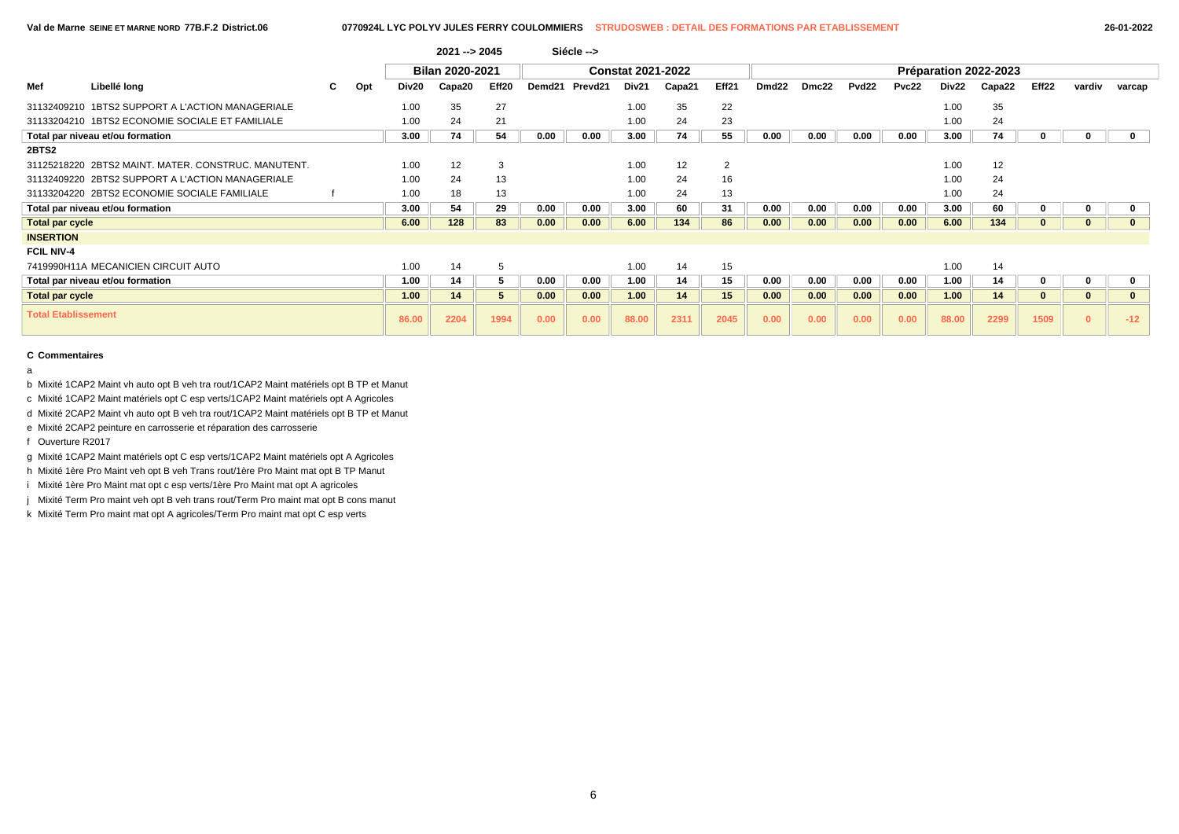|                            |                                                     |   |     |       | $2021 - 2045$          |       |        | Siécle --> |                          |        |                |                   |       |       |       |              |                       |              |          |              |
|----------------------------|-----------------------------------------------------|---|-----|-------|------------------------|-------|--------|------------|--------------------------|--------|----------------|-------------------|-------|-------|-------|--------------|-----------------------|--------------|----------|--------------|
|                            |                                                     |   |     |       | <b>Bilan 2020-2021</b> |       |        |            | <b>Constat 2021-2022</b> |        |                |                   |       |       |       |              | Préparation 2022-2023 |              |          |              |
| Mef                        | Libellé long                                        | C | Opt | Div20 | Capa20                 | Eff20 | Demd21 | Prevd21    | Div21                    | Capa21 | Eff21          | Dmd <sub>22</sub> | Dmc22 | Pvd22 | Pvc22 | <b>Div22</b> | Capa22                | Eff22        | vardiv   | varcap       |
|                            | 31132409210 1BTS2 SUPPORT A L'ACTION MANAGERIALE    |   |     | 1.00  | 35                     | 27    |        |            | 1.00                     | 35     | 22             |                   |       |       |       | 1.00         | 35                    |              |          |              |
|                            | 31133204210 1BTS2 ECONOMIE SOCIALE ET FAMILIALE     |   |     | 1.00  | 24                     | 21    |        |            | 1.00                     | 24     | 23             |                   |       |       |       | 1.00         | 24                    |              |          |              |
|                            | Total par niveau et/ou formation                    |   |     | 3.00  | 74                     | 54    | 0.00   | 0.00       | 3.00                     | 74     | 55             | 0.00              | 0.00  | 0.00  | 0.00  | 3.00         | 74                    | o            |          | $\mathbf{0}$ |
| 2BTS2                      |                                                     |   |     |       |                        |       |        |            |                          |        |                |                   |       |       |       |              |                       |              |          |              |
|                            | 31125218220 2BTS2 MAINT, MATER, CONSTRUC, MANUTENT. |   |     | 1.00  | 12                     | 3     |        |            | 1.00                     | 12     | $\overline{2}$ |                   |       |       |       | 1.00         | 12                    |              |          |              |
|                            | 31132409220 2BTS2 SUPPORT A L'ACTION MANAGERIALE    |   |     | 1.00  | 24                     | 13    |        |            | 1.00                     | 24     | 16             |                   |       |       |       | 1.00         | 24                    |              |          |              |
|                            | 31133204220 2BTS2 ECONOMIE SOCIALE FAMILIALE        |   |     | 1.00  | 18                     | 13    |        |            | 1.00                     | 24     | 13             |                   |       |       |       | 1.00         | 24                    |              |          |              |
|                            | Total par niveau et/ou formation                    |   |     | 3.00  | 54                     | 29    | 0.00   | 0.00       | 3.00                     | 60     | 31             | 0.00              | 0.00  | 0.00  | 0.00  | 3.00         | 60                    | 0            | 0        |              |
| <b>Total par cycle</b>     |                                                     |   |     | 6.00  | 128                    | 83    | 0.00   | 0.00       | 6.00                     | 134    | 86             | 0.00              | 0.00  | 0.00  | 0.00  | 6.00         | 134                   | 0            | 0        | $\mathbf{0}$ |
| <b>INSERTION</b>           |                                                     |   |     |       |                        |       |        |            |                          |        |                |                   |       |       |       |              |                       |              |          |              |
| <b>FCIL NIV-4</b>          |                                                     |   |     |       |                        |       |        |            |                          |        |                |                   |       |       |       |              |                       |              |          |              |
|                            | 7419990H11A MECANICIEN CIRCUIT AUTO                 |   |     | 1.00  | 14                     | 5     |        |            | 1.00                     | 14     | 15             |                   |       |       |       | 1.00         | 14                    |              |          |              |
|                            | Total par niveau et/ou formation                    |   |     | 1.00  | 14                     |       | 0.00   | 0.00       | 1.00                     | 14     | 15             | 0.00              | 0.00  | 0.00  | 0.00  | 1.00         | 14                    | 0            | 0        |              |
| <b>Total par cycle</b>     |                                                     |   |     | 1.00  | 14                     | 5     | 0.00   | 0.00       | 1.00                     | 14     | 15             | 0.00              | 0.00  | 0.00  | 0.00  | 1.00         | 14                    | $\mathbf{0}$ | $\bf{0}$ | $\mathbf{0}$ |
| <b>Total Etablissement</b> |                                                     |   |     | 86.00 | 2204                   | 1994  | 0.00   | 0.00       | 88.00                    | 2311   | 2045           | 0.00              | 0.00  | 0.00  | 0.00  | 88.00        | 2299                  | 1509         | $\Omega$ | $-12$        |

a

b Mixité 1CAP2 Maint vh auto opt B veh tra rout/1CAP2 Maint matériels opt B TP et Manut

c Mixité 1CAP2 Maint matériels opt C esp verts/1CAP2 Maint matériels opt A Agricoles

d Mixité 2CAP2 Maint vh auto opt B veh tra rout/1CAP2 Maint matériels opt B TP et Manut

e Mixité 2CAP2 peinture en carrosserie et réparation des carrosserie

f Ouverture R2017

g Mixité 1CAP2 Maint matériels opt C esp verts/1CAP2 Maint matériels opt A Agricoles

h Mixité 1ère Pro Maint veh opt B veh Trans rout/1ère Pro Maint mat opt B TP Manut

i Mixité 1ère Pro Maint mat opt c esp verts/1ère Pro Maint mat opt A agricoles

j Mixité Term Pro maint veh opt B veh trans rout/Term Pro maint mat opt B cons manut

k Mixité Term Pro maint mat opt A agricoles/Term Pro maint mat opt C esp verts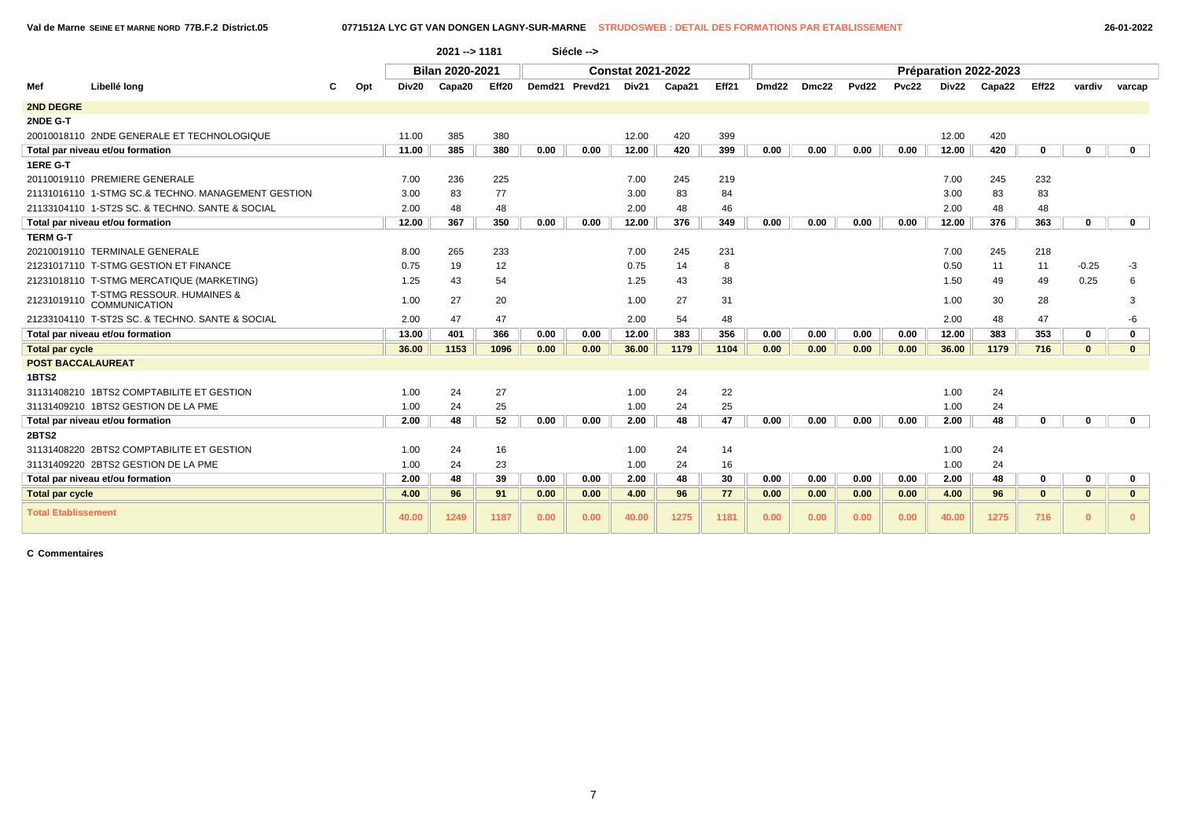**Val de Marne SEINE ET MARNE NORD 77B.F.2 District.05 0771512A LYC GT VAN DONGEN LAGNY-SUR-MARNE STRUDOSWEB : DETAIL DES FORMATIONS PAR ETABLISSEMENT 26-01-2022**

|                            |                                                    |     |       | $2021 - 1181$          |       |      | Siécle -->     |                          |        |       |                   |       |                   |       |       |                       |             |              |              |  |
|----------------------------|----------------------------------------------------|-----|-------|------------------------|-------|------|----------------|--------------------------|--------|-------|-------------------|-------|-------------------|-------|-------|-----------------------|-------------|--------------|--------------|--|
|                            |                                                    |     |       | <b>Bilan 2020-2021</b> |       |      |                | <b>Constat 2021-2022</b> |        |       |                   |       |                   |       |       | Préparation 2022-2023 |             |              |              |  |
| Mef                        | Libellé long                                       | Opt | Div20 | Capa20                 | Eff20 |      | Demd21 Prevd21 | Div21                    | Capa21 | Eff21 | Dmd <sub>22</sub> | Dmc22 | Pvd <sub>22</sub> | Pvc22 | Div22 | Capa22                | Eff22       | vardiv       | varcap       |  |
| 2ND DEGRE                  |                                                    |     |       |                        |       |      |                |                          |        |       |                   |       |                   |       |       |                       |             |              |              |  |
| 2NDE G-T                   |                                                    |     |       |                        |       |      |                |                          |        |       |                   |       |                   |       |       |                       |             |              |              |  |
|                            | 20010018110 2NDE GENERALE ET TECHNOLOGIQUE         |     | 11.00 | 385                    | 380   |      |                | 12.00                    | 420    | 399   |                   |       |                   |       | 12.00 | 420                   |             |              |              |  |
|                            | Total par niveau et/ou formation                   |     | 11.00 | 385                    | 380   | 0.00 | 0.00           | 12.00                    | 420    | 399   | 0.00              | 0.00  | 0.00              | 0.00  | 12.00 | 420                   | 0           | 0            | $\mathbf{0}$ |  |
| 1ERE G-T                   |                                                    |     |       |                        |       |      |                |                          |        |       |                   |       |                   |       |       |                       |             |              |              |  |
|                            | 20110019110 PREMIERE GENERALE                      |     | 7.00  | 236                    | 225   |      |                | 7.00                     | 245    | 219   |                   |       |                   |       | 7.00  | 245                   | 232         |              |              |  |
|                            | 21131016110 1-STMG SC.& TECHNO, MANAGEMENT GESTION |     | 3.00  | 83                     | 77    |      |                | 3.00                     | 83     | 84    |                   |       |                   |       | 3.00  | 83                    | 83          |              |              |  |
|                            | 21133104110 1-ST2S SC, & TECHNO, SANTE & SOCIAL    |     | 2.00  | 48                     | 48    |      |                | 2.00                     | 48     | 46    |                   |       |                   |       | 2.00  | 48                    | 48          |              |              |  |
|                            | Total par niveau et/ou formation                   |     | 12.00 | 367                    | 350   | 0.00 | 0.00           | 12.00                    | 376    | 349   | 0.00              | 0.00  | 0.00              | 0.00  | 12.00 | 376                   | 363         | 0            | $\mathbf{0}$ |  |
| <b>TERM G-T</b>            |                                                    |     |       |                        |       |      |                |                          |        |       |                   |       |                   |       |       |                       |             |              |              |  |
|                            | 20210019110 TERMINALE GENERALE                     |     | 8.00  | 265                    | 233   |      |                | 7.00                     | 245    | 231   |                   |       |                   |       | 7.00  | 245                   | 218         |              |              |  |
|                            | 21231017110 T-STMG GESTION ET FINANCE              |     | 0.75  | 19                     | 12    |      |                | 0.75                     | 14     | 8     |                   |       |                   |       | 0.50  | 11                    | 11          | $-0.25$      | $-3$         |  |
|                            | 21231018110 T-STMG MERCATIQUE (MARKETING)          |     | 1.25  | 43                     | 54    |      |                | 1.25                     | 43     | 38    |                   |       |                   |       | 1.50  | 49                    | 49          | 0.25         | 6            |  |
| 21231019110                | T-STMG RESSOUR. HUMAINES &<br>COMMUNICATION        |     | 1.00  | 27                     | 20    |      |                | 1.00                     | 27     | 31    |                   |       |                   |       | 1.00  | 30                    | 28          |              | 3            |  |
|                            | 21233104110 T-ST2S SC, & TECHNO, SANTE & SOCIAL    |     | 2.00  | 47                     | 47    |      |                | 2.00                     | 54     | 48    |                   |       |                   |       | 2.00  | 48                    | 47          |              | -6           |  |
|                            | Total par niveau et/ou formation                   |     | 13.00 | 401                    | 366   | 0.00 | 0.00           | 12.00                    | 383    | 356   | 0.00              | 0.00  | 0.00              | 0.00  | 12.00 | 383                   | 353         | $\mathbf 0$  | 0            |  |
| <b>Total par cycle</b>     |                                                    |     | 36.00 | 1153                   | 1096  | 0.00 | 0.00           | 36.00                    | 1179   | 1104  | 0.00              | 0.00  | 0.00              | 0.00  | 36.00 | 1179                  | 716         | $\mathbf{0}$ | $\mathbf{0}$ |  |
| <b>POST BACCALAUREAT</b>   |                                                    |     |       |                        |       |      |                |                          |        |       |                   |       |                   |       |       |                       |             |              |              |  |
| 1BTS2                      |                                                    |     |       |                        |       |      |                |                          |        |       |                   |       |                   |       |       |                       |             |              |              |  |
|                            | 31131408210 1BTS2 COMPTABILITE ET GESTION          |     | 1.00  | 24                     | 27    |      |                | 1.00                     | 24     | 22    |                   |       |                   |       | 1.00  | 24                    |             |              |              |  |
|                            | 31131409210 1BTS2 GESTION DE LA PME                |     | 1.00  | 24                     | 25    |      |                | 1.00                     | 24     | 25    |                   |       |                   |       | 1.00  | 24                    |             |              |              |  |
|                            | Total par niveau et/ou formation                   |     | 2.00  | 48                     | 52    | 0.00 | 0.00           | 2.00                     | 48     | 47    | 0.00              | 0.00  | 0.00              | 0.00  | 2.00  | 48                    | $\mathbf 0$ | $\mathbf 0$  | $\mathbf{0}$ |  |
| 2BTS2                      |                                                    |     |       |                        |       |      |                |                          |        |       |                   |       |                   |       |       |                       |             |              |              |  |
|                            | 31131408220 2BTS2 COMPTABILITE ET GESTION          |     | 1.00  | 24                     | 16    |      |                | 1.00                     | 24     | 14    |                   |       |                   |       | 1.00  | 24                    |             |              |              |  |
|                            | 31131409220 2BTS2 GESTION DE LA PME                |     | 1.00  | 24                     | 23    |      |                | 1.00                     | 24     | 16    |                   |       |                   |       | 1.00  | 24                    |             |              |              |  |
|                            | Total par niveau et/ou formation                   |     | 2.00  | 48                     | 39    | 0.00 | 0.00           | 2.00                     | 48     | 30    | 0.00              | 0.00  | 0.00              | 0.00  | 2.00  | 48                    | $\bf{0}$    | 0            | $\mathbf 0$  |  |
| <b>Total par cycle</b>     |                                                    |     | 4.00  | 96                     | 91    | 0.00 | 0.00           | 4.00                     | 96     | 77    | 0.00              | 0.00  | 0.00              | 0.00  | 4.00  | 96                    | $\bf{0}$    | $\mathbf{0}$ | $\mathbf{0}$ |  |
| <b>Total Etablissement</b> |                                                    |     | 40.00 | 1249                   | 1187  | 0.00 | 0.00           | 40.00                    | 1275   | 1181  | 0.00              | 0.00  | 0.00              | 0.00  | 40.00 | 1275                  | 716         | $\Omega$     | $\mathbf{0}$ |  |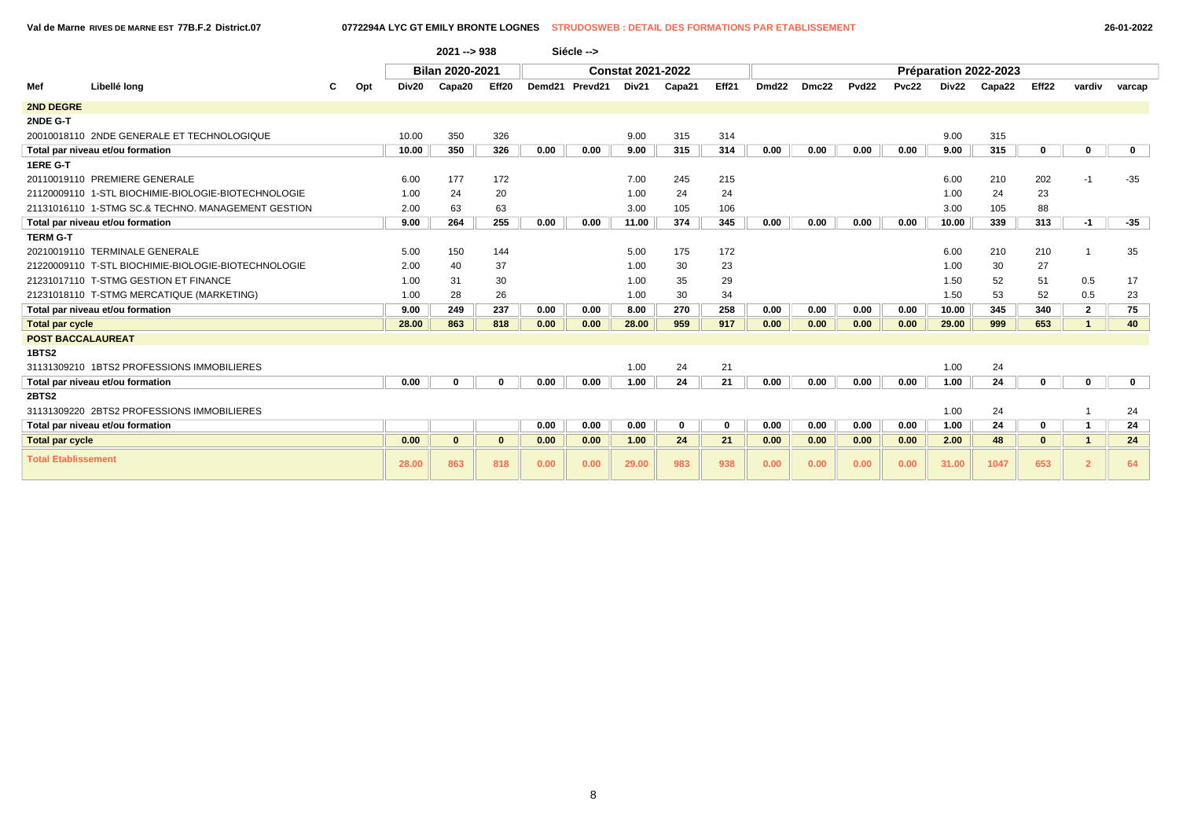**Val de Marne RIVES DE MARNE EST 77B.F.2 District.07 0772294A LYC GT EMILY BRONTE LOGNES STRUDOSWEB : DETAIL DES FORMATIONS PAR ETABLISSEMENT 26-01-2022**

|                            |                                                     |     |       | $2021 - 938$           |          |      | Siécle -->     |                          |        |             |                   |       |              |       |       |                       |          |                |              |
|----------------------------|-----------------------------------------------------|-----|-------|------------------------|----------|------|----------------|--------------------------|--------|-------------|-------------------|-------|--------------|-------|-------|-----------------------|----------|----------------|--------------|
|                            |                                                     |     |       | <b>Bilan 2020-2021</b> |          |      |                | <b>Constat 2021-2022</b> |        |             |                   |       |              |       |       | Préparation 2022-2023 |          |                |              |
| Mef                        | Libellé long                                        | Opt | Div20 | Capa20                 | Eff20    |      | Demd21 Prevd21 | Div21                    | Capa21 | Eff21       | Dmd <sub>22</sub> | Dmc22 | <b>Pvd22</b> | Pvc22 | Div22 | Capa22                | Eff22    | vardiv         | varcap       |
| 2ND DEGRE                  |                                                     |     |       |                        |          |      |                |                          |        |             |                   |       |              |       |       |                       |          |                |              |
| 2NDE G-T                   |                                                     |     |       |                        |          |      |                |                          |        |             |                   |       |              |       |       |                       |          |                |              |
|                            | 20010018110 2NDE GENERALE ET TECHNOLOGIQUE          |     | 10.00 | 350                    | 326      |      |                | 9.00                     | 315    | 314         |                   |       |              |       | 9.00  | 315                   |          |                |              |
|                            | Total par niveau et/ou formation                    |     | 10.00 | 350                    | 326      | 0.00 | 0.00           | 9.00                     | 315    | 314         | 0.00              | 0.00  | 0.00         | 0.00  | 9.00  | 315                   | 0        | $\mathbf 0$    | $\mathbf{0}$ |
| 1ERE G-T                   |                                                     |     |       |                        |          |      |                |                          |        |             |                   |       |              |       |       |                       |          |                |              |
|                            | 20110019110 PREMIERE GENERALE                       |     | 6.00  | 177                    | 172      |      |                | 7.00                     | 245    | 215         |                   |       |              |       | 6.00  | 210                   | 202      | $-1$           | $-35$        |
|                            | 21120009110 1-STL BIOCHIMIE-BIOLOGIE-BIOTECHNOLOGIE |     | 1.00  | 24                     | 20       |      |                | 1.00                     | 24     | 24          |                   |       |              |       | 1.00  | 24                    | 23       |                |              |
|                            | 21131016110 1-STMG SC.& TECHNO. MANAGEMENT GESTION  |     | 2.00  | 63                     | 63       |      |                | 3.00                     | 105    | 106         |                   |       |              |       | 3.00  | 105                   | 88       |                |              |
|                            | Total par niveau et/ou formation                    |     | 9.00  | 264                    | 255      | 0.00 | 0.00           | 11.00                    | 374    | 345         | 0.00              | 0.00  | 0.00         | 0.00  | 10.00 | 339                   | 313      | -1             | $-35$        |
| <b>TERM G-T</b>            |                                                     |     |       |                        |          |      |                |                          |        |             |                   |       |              |       |       |                       |          |                |              |
|                            | 20210019110 TERMINALE GENERALE                      |     | 5.00  | 150                    | 144      |      |                | 5.00                     | 175    | 172         |                   |       |              |       | 6.00  | 210                   | 210      |                | 35           |
|                            | 21220009110 T-STL BIOCHIMIE-BIOLOGIE-BIOTECHNOLOGIE |     | 2.00  | 40                     | 37       |      |                | 1.00                     | 30     | 23          |                   |       |              |       | 1.00  | 30                    | 27       |                |              |
|                            | 21231017110 T-STMG GESTION ET FINANCE               |     | 1.00  | 31                     | 30       |      |                | 1.00                     | 35     | 29          |                   |       |              |       | 1.50  | 52                    | 51       | 0.5            | 17           |
|                            | 21231018110 T-STMG MERCATIQUE (MARKETING)           |     | 1.00  | 28                     | 26       |      |                | 1.00                     | 30     | 34          |                   |       |              |       | 1.50  | 53                    | 52       | 0.5            | 23           |
|                            | Total par niveau et/ou formation                    |     | 9.00  | 249                    | 237      | 0.00 | 0.00           | 8.00                     | 270    | 258         | 0.00              | 0.00  | 0.00         | 0.00  | 10.00 | 345                   | 340      | $\overline{2}$ | 75           |
| <b>Total par cycle</b>     |                                                     |     | 28.00 | 863                    | 818      | 0.00 | 0.00           | 28.00                    | 959    | 917         | 0.00              | 0.00  | 0.00         | 0.00  | 29.00 | 999                   | 653      |                | 40           |
| <b>POST BACCALAUREAT</b>   |                                                     |     |       |                        |          |      |                |                          |        |             |                   |       |              |       |       |                       |          |                |              |
| 1BTS2                      |                                                     |     |       |                        |          |      |                |                          |        |             |                   |       |              |       |       |                       |          |                |              |
|                            | 31131309210 1BTS2 PROFESSIONS IMMOBILIERES          |     |       |                        |          |      |                | 1.00                     | 24     | 21          |                   |       |              |       | 1.00  | 24                    |          |                |              |
|                            | Total par niveau et/ou formation                    |     | 0.00  |                        | $\Omega$ | 0.00 | 0.00           | 1.00                     | 24     | 21          | 0.00              | 0.00  | 0.00         | 0.00  | 1.00  | 24                    | 0        | $\Omega$       | $\mathbf 0$  |
| <b>2BTS2</b>               |                                                     |     |       |                        |          |      |                |                          |        |             |                   |       |              |       |       |                       |          |                |              |
|                            | 31131309220 2BTS2 PROFESSIONS IMMOBILIERES          |     |       |                        |          |      |                |                          |        |             |                   |       |              |       | 1.00  | 24                    |          |                | 24           |
|                            | Total par niveau et/ou formation                    |     |       |                        |          | 0.00 | 0.00           | 0.00                     | 0      | $\mathbf 0$ | 0.00              | 0.00  | 0.00         | 0.00  | 1.00  | 24                    | 0        |                | 24           |
| <b>Total par cycle</b>     |                                                     |     | 0.00  | $\mathbf{0}$           | $\bf{0}$ | 0.00 | 0.00           | 1.00                     | 24     | 21          | 0.00              | 0.00  | 0.00         | 0.00  | 2.00  | 48                    | $\bf{0}$ |                | 24           |
| <b>Total Etablissement</b> |                                                     |     | 28.00 | 863                    | 818      | 0.00 | 0.00           | 29.00                    | 983    | 938         | 0.00              | 0.00  | 0.00         | 0.00  | 31.00 | 1047                  | 653      | $\overline{2}$ | 64           |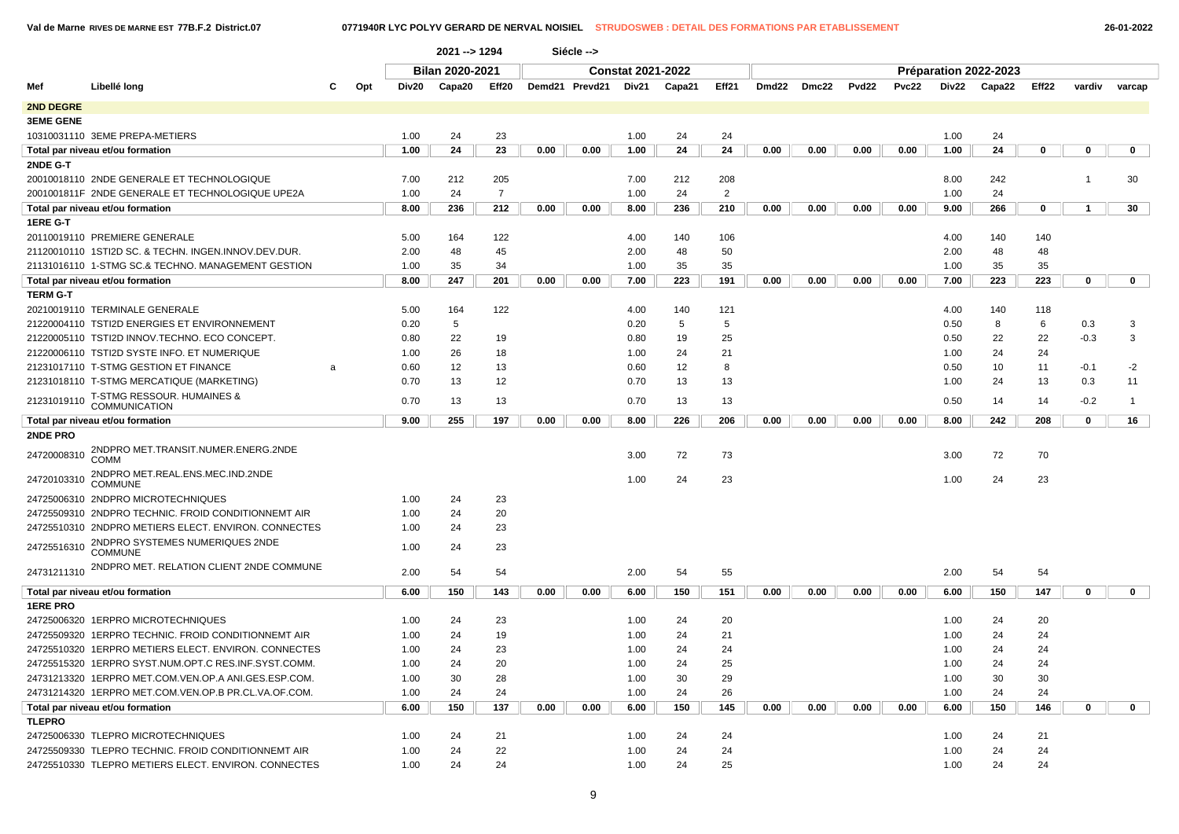# **Val de Marne RIVES DE MARNE EST 77B.F.2 District.07 0771940R LYC POLYV GERARD DE NERVAL NOISIEL STRUDOSWEB : DETAIL DES FORMATIONS PAR ETABLISSEMENT 26-01-2022**

|                  |                                                      |   |     |       | 2021 -- > 1294         |                |      | Siécle -->     |                          |        |       |                   |       |                   |              |       |                       |             |                |              |  |
|------------------|------------------------------------------------------|---|-----|-------|------------------------|----------------|------|----------------|--------------------------|--------|-------|-------------------|-------|-------------------|--------------|-------|-----------------------|-------------|----------------|--------------|--|
|                  |                                                      |   |     |       | <b>Bilan 2020-2021</b> |                |      |                | <b>Constat 2021-2022</b> |        |       |                   |       |                   |              |       | Préparation 2022-2023 |             |                |              |  |
| Mef              | Libellé long                                         | С | Opt | Div20 | Capa20                 | Eff20          |      | Demd21 Prevd21 | Div21                    | Capa21 | Eff21 | Dmd <sub>22</sub> | Dmc22 | Pvd <sub>22</sub> | <b>Pvc22</b> | Div22 | Capa22                | Eff22       | vardiv         | varcap       |  |
| <b>2ND DEGRE</b> |                                                      |   |     |       |                        |                |      |                |                          |        |       |                   |       |                   |              |       |                       |             |                |              |  |
| <b>3EME GENE</b> |                                                      |   |     |       |                        |                |      |                |                          |        |       |                   |       |                   |              |       |                       |             |                |              |  |
|                  | 10310031110 3EME PREPA-METIERS                       |   |     | 1.00  | 24                     | 23             |      |                | 1.00                     | 24     | 24    |                   |       |                   |              | 1.00  | 24                    |             |                |              |  |
|                  | Total par niveau et/ou formation                     |   |     | 1.00  | 24                     | 23             | 0.00 | 0.00           | 1.00                     | 24     | 24    | 0.00              | 0.00  | 0.00              | 0.00         | 1.00  | 24                    | 0           | $\mathbf 0$    | $\mathbf 0$  |  |
| 2NDE G-T         |                                                      |   |     |       |                        |                |      |                |                          |        |       |                   |       |                   |              |       |                       |             |                |              |  |
|                  | 20010018110 2NDE GENERALE ET TECHNOLOGIQUE           |   |     | 7.00  | 212                    | 205            |      |                | 7.00                     | 212    | 208   |                   |       |                   |              | 8.00  | 242                   |             | $\overline{1}$ | 30           |  |
|                  | 2001001811F 2NDE GENERALE ET TECHNOLOGIQUE UPE2A     |   |     | 1.00  | 24                     | $\overline{7}$ |      |                | 1.00                     | 24     | 2     |                   |       |                   |              | 1.00  | 24                    |             |                |              |  |
|                  | Total par niveau et/ou formation                     |   |     | 8.00  | 236                    | 212            | 0.00 | 0.00           | 8.00                     | 236    | 210   | 0.00              | 0.00  | 0.00              | 0.00         | 9.00  | 266                   | $\mathbf 0$ | $\mathbf{1}$   | 30           |  |
| 1ERE G-T         |                                                      |   |     |       |                        |                |      |                |                          |        |       |                   |       |                   |              |       |                       |             |                |              |  |
|                  | 20110019110 PREMIERE GENERALE                        |   |     | 5.00  | 164                    | 122            |      |                | 4.00                     | 140    | 106   |                   |       |                   |              | 4.00  | 140                   | 140         |                |              |  |
|                  | 21120010110 1STI2D SC. & TECHN. INGEN.INNOV.DEV.DUR. |   |     | 2.00  | 48                     | 45             |      |                | 2.00                     | 48     | 50    |                   |       |                   |              | 2.00  | 48                    | 48          |                |              |  |
|                  | 21131016110 1-STMG SC.& TECHNO. MANAGEMENT GESTION   |   |     | 1.00  | 35                     | 34             |      |                | 1.00                     | 35     | 35    |                   |       |                   |              | 1.00  | 35                    | 35          |                |              |  |
|                  | Total par niveau et/ou formation                     |   |     | 8.00  | 247                    | 201            | 0.00 | 0.00           | 7.00                     | 223    | 191   | 0.00              | 0.00  | 0.00              | 0.00         | 7.00  | 223                   | 223         | $\mathbf 0$    | $\mathbf{0}$ |  |
| <b>TERM G-T</b>  |                                                      |   |     |       |                        |                |      |                |                          |        |       |                   |       |                   |              |       |                       |             |                |              |  |
|                  | 20210019110 TERMINALE GENERALE                       |   |     | 5.00  | 164                    | 122            |      |                | 4.00                     | 140    | 121   |                   |       |                   |              | 4.00  | 140                   | 118         |                |              |  |
|                  | 21220004110 TSTI2D ENERGIES ET ENVIRONNEMENT         |   |     | 0.20  | $5\phantom{.0}$        |                |      |                | 0.20                     | 5      | 5     |                   |       |                   |              | 0.50  | 8                     | 6           | 0.3            | 3            |  |
|                  | 21220005110 TSTI2D INNOV.TECHNO. ECO CONCEPT.        |   |     | 0.80  | 22                     | 19             |      |                | 0.80                     | 19     | 25    |                   |       |                   |              | 0.50  | 22                    | 22          | $-0.3$         | 3            |  |
|                  | 21220006110 TSTI2D SYSTE INFO. ET NUMERIQUE          |   |     | 1.00  | 26                     | 18             |      |                | 1.00                     | 24     | 21    |                   |       |                   |              | 1.00  | 24                    | 24          |                |              |  |
|                  | 21231017110 T-STMG GESTION ET FINANCE                | a |     | 0.60  | 12                     | 13             |      |                | 0.60                     | 12     | 8     |                   |       |                   |              | 0.50  | 10                    | 11          | $-0.1$         | $-2$         |  |
|                  | 21231018110 T-STMG MERCATIQUE (MARKETING)            |   |     | 0.70  | 13                     | 12             |      |                | 0.70                     | 13     | 13    |                   |       |                   |              | 1.00  | 24                    | 13          | 0.3            | 11           |  |
| 21231019110      | T-STMG RESSOUR. HUMAINES & COMMUNICATION             |   |     | 0.70  | 13                     | 13             |      |                | 0.70                     | 13     | 13    |                   |       |                   |              | 0.50  | 14                    | 14          | $-0.2$         | $\mathbf{1}$ |  |
|                  | Total par niveau et/ou formation                     |   |     | 9.00  | 255                    | 197            | 0.00 | 0.00           | 8.00                     | 226    | 206   | 0.00              | 0.00  | 0.00              | 0.00         | 8.00  | 242                   | 208         | $\mathbf 0$    | 16           |  |
| 2NDE PRO         |                                                      |   |     |       |                        |                |      |                |                          |        |       |                   |       |                   |              |       |                       |             |                |              |  |
| 24720008310      | 2NDPRO MET.TRANSIT.NUMER.ENERG.2NDE<br><b>COMM</b>   |   |     |       |                        |                |      |                | 3.00                     | 72     | 73    |                   |       |                   |              | 3.00  | 72                    | 70          |                |              |  |
| 24720103310      | 2NDPRO MET.REAL.ENS.MEC.IND.2NDE<br><b>COMMUNE</b>   |   |     |       |                        |                |      |                | 1.00                     | 24     | 23    |                   |       |                   |              | 1.00  | 24                    | 23          |                |              |  |
|                  | 24725006310 2NDPRO MICROTECHNIQUES                   |   |     | 1.00  | 24                     | 23             |      |                |                          |        |       |                   |       |                   |              |       |                       |             |                |              |  |
|                  | 24725509310 2NDPRO TECHNIC. FROID CONDITIONNEMT AIR  |   |     | 1.00  | 24                     | 20             |      |                |                          |        |       |                   |       |                   |              |       |                       |             |                |              |  |
|                  | 24725510310 2NDPRO METIERS ELECT. ENVIRON. CONNECTES |   |     | 1.00  | 24                     | 23             |      |                |                          |        |       |                   |       |                   |              |       |                       |             |                |              |  |
| 24725516310      | 2NDPRO SYSTEMES NUMERIQUES 2NDE<br><b>COMMUNE</b>    |   |     | 1.00  | 24                     | 23             |      |                |                          |        |       |                   |       |                   |              |       |                       |             |                |              |  |
| 24731211310      | 2NDPRO MET. RELATION CLIENT 2NDE COMMUNE             |   |     | 2.00  | 54                     | 54             |      |                | 2.00                     | 54     | 55    |                   |       |                   |              | 2.00  | 54                    | 54          |                |              |  |
|                  | Total par niveau et/ou formation                     |   |     | 6.00  | 150                    | 143            | 0.00 | 0.00           | 6.00                     | 150    | 151   | 0.00              | 0.00  | 0.00              | 0.00         | 6.00  | 150                   | 147         | $\mathbf 0$    | $\mathbf 0$  |  |
| <b>1ERE PRO</b>  |                                                      |   |     |       |                        |                |      |                |                          |        |       |                   |       |                   |              |       |                       |             |                |              |  |
|                  | 24725006320 1ERPRO MICROTECHNIQUES                   |   |     | 1.00  | 24                     | 23             |      |                | 1.00                     | 24     | 20    |                   |       |                   |              | 1.00  | 24                    | 20          |                |              |  |
|                  | 24725509320 1ERPRO TECHNIC. FROID CONDITIONNEMT AIR  |   |     | 1.00  | 24                     | 19             |      |                | 1.00                     | 24     | 21    |                   |       |                   |              | 1.00  | 24                    | 24          |                |              |  |
|                  | 24725510320 1ERPRO METIERS ELECT. ENVIRON. CONNECTES |   |     | 1.00  | 24                     | 23             |      |                | 1.00                     | 24     | 24    |                   |       |                   |              | 1.00  | 24                    | 24          |                |              |  |
|                  | 24725515320 1ERPRO SYST.NUM.OPT.C RES.INF.SYST.COMM. |   |     | 1.00  | 24                     | 20             |      |                | 1.00                     | 24     | 25    |                   |       |                   |              | 1.00  | 24                    | 24          |                |              |  |
|                  | 24731213320 1ERPRO MET.COM.VEN.OP.A ANI.GES.ESP.COM. |   |     | 1.00  | 30                     | 28             |      |                | 1.00                     | 30     | 29    |                   |       |                   |              | 1.00  | 30                    | 30          |                |              |  |
|                  | 24731214320 1ERPRO MET.COM.VEN.OP.B PR.CL.VA.OF.COM. |   |     | 1.00  | 24                     | 24             |      |                | 1.00                     | 24     | 26    |                   |       |                   |              | 1.00  | 24                    | 24          |                |              |  |
|                  | Total par niveau et/ou formation                     |   |     | 6.00  | 150                    | 137            | 0.00 | 0.00           | 6.00                     | 150    | 145   | 0.00              | 0.00  | 0.00              | 0.00         | 6.00  | 150                   | 146         | $\mathbf 0$    | $\mathbf 0$  |  |
| <b>TLEPRO</b>    |                                                      |   |     |       |                        |                |      |                |                          |        |       |                   |       |                   |              |       |                       |             |                |              |  |
|                  | 24725006330 TLEPRO MICROTECHNIQUES                   |   |     | 1.00  | 24                     | 21             |      |                | 1.00                     | 24     | 24    |                   |       |                   |              | 1.00  | 24                    | 21          |                |              |  |
|                  | 24725509330 TLEPRO TECHNIC. FROID CONDITIONNEMT AIR  |   |     | 1.00  | 24                     | 22             |      |                | 1.00                     | 24     | 24    |                   |       |                   |              | 1.00  | 24                    | 24          |                |              |  |
|                  | 24725510330 TLEPRO METIERS ELECT. ENVIRON. CONNECTES |   |     | 1.00  | 24                     | 24             |      |                | 1.00                     | 24     | 25    |                   |       |                   |              | 1.00  | 24                    | 24          |                |              |  |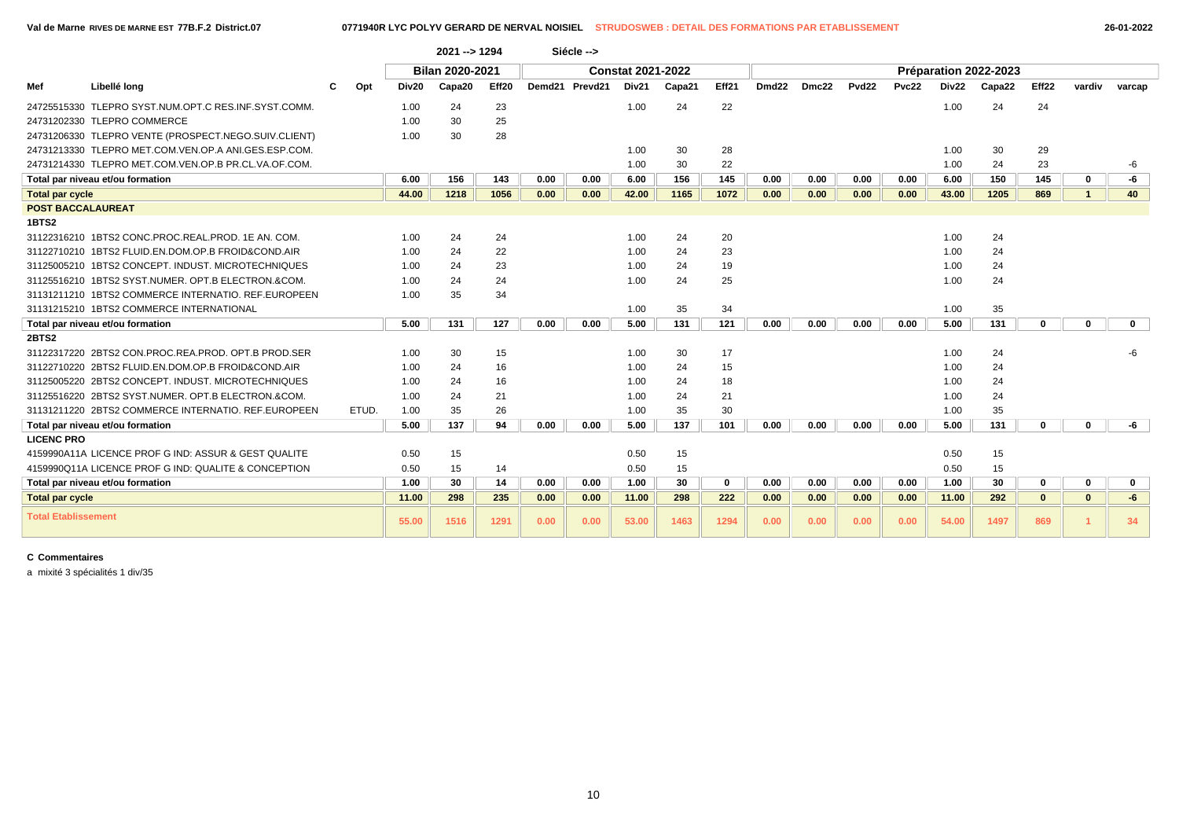|                            |                                                      |       |       | 2021 -- > 1294  |       |      | Siécle -->     |                          |        |             |                   |       |       |       |       |                       |              |              |              |
|----------------------------|------------------------------------------------------|-------|-------|-----------------|-------|------|----------------|--------------------------|--------|-------------|-------------------|-------|-------|-------|-------|-----------------------|--------------|--------------|--------------|
|                            |                                                      |       |       | Bilan 2020-2021 |       |      |                | <b>Constat 2021-2022</b> |        |             |                   |       |       |       |       | Préparation 2022-2023 |              |              |              |
| Mef                        | Libellé long                                         | Opt   | Div20 | Capa20          | Eff20 |      | Demd21 Prevd21 | Div21                    | Capa21 | Eff21       | Dmd <sub>22</sub> | Dmc22 | Pvd22 | Pvc22 | Div22 | Capa22                | Eff22        | vardiv       | varcap       |
|                            | 24725515330 TLEPRO SYST.NUM.OPT.C RES.INF.SYST.COMM. |       | 1.00  | 24              | 23    |      |                | 1.00                     | 24     | 22          |                   |       |       |       | 1.00  | 24                    | 24           |              |              |
|                            | 24731202330 TLEPRO COMMERCE                          |       | 1.00  | 30              | 25    |      |                |                          |        |             |                   |       |       |       |       |                       |              |              |              |
|                            | 24731206330 TLEPRO VENTE (PROSPECT.NEGO.SUIV.CLIENT) |       | 1.00  | 30              | 28    |      |                |                          |        |             |                   |       |       |       |       |                       |              |              |              |
|                            | 24731213330 TLEPRO MET.COM.VEN.OP.A ANI.GES.ESP.COM. |       |       |                 |       |      |                | 1.00                     | 30     | 28          |                   |       |       |       | 1.00  | 30                    | 29           |              |              |
|                            | 24731214330 TLEPRO MET.COM.VEN.OP.B PR.CL.VA.OF.COM. |       |       |                 |       |      |                | 1.00                     | 30     | 22          |                   |       |       |       | 1.00  | 24                    | 23           |              | -6           |
|                            | Total par niveau et/ou formation                     |       | 6.00  | 156             | 143   | 0.00 | 0.00           | 6.00                     | 156    | 145         | 0.00              | 0.00  | 0.00  | 0.00  | 6.00  | 150                   | 145          | 0            | -6           |
| <b>Total par cycle</b>     |                                                      |       | 44.00 | 1218            | 1056  | 0.00 | 0.00           | 42.00                    | 1165   | 1072        | 0.00              | 0.00  | 0.00  | 0.00  | 43.00 | 1205                  | 869          | $\mathbf{1}$ | 40           |
| <b>POST BACCALAUREAT</b>   |                                                      |       |       |                 |       |      |                |                          |        |             |                   |       |       |       |       |                       |              |              |              |
| <b>1BTS2</b>               |                                                      |       |       |                 |       |      |                |                          |        |             |                   |       |       |       |       |                       |              |              |              |
|                            | 31122316210 1BTS2 CONC.PROC.REAL.PROD. 1E AN. COM.   |       | 1.00  | 24              | 24    |      |                | 1.00                     | 24     | 20          |                   |       |       |       | 1.00  | 24                    |              |              |              |
|                            | 31122710210 1BTS2 FLUID.EN.DOM.OP.B FROID&COND.AIR   |       | 1.00  | 24              | 22    |      |                | 1.00                     | 24     | 23          |                   |       |       |       | 1.00  | 24                    |              |              |              |
|                            | 31125005210 1BTS2 CONCEPT. INDUST. MICROTECHNIQUES   |       | 1.00  | 24              | 23    |      |                | 1.00                     | 24     | 19          |                   |       |       |       | 1.00  | 24                    |              |              |              |
|                            | 31125516210 1BTS2 SYST.NUMER. OPT.B ELECTRON.&COM.   |       | 1.00  | 24              | 24    |      |                | 1.00                     | 24     | 25          |                   |       |       |       | 1.00  | 24                    |              |              |              |
|                            | 31131211210 1BTS2 COMMERCE INTERNATIO. REF.EUROPEEN  |       | 1.00  | 35              | 34    |      |                |                          |        |             |                   |       |       |       |       |                       |              |              |              |
|                            | 31131215210 1BTS2 COMMERCE INTERNATIONAL             |       |       |                 |       |      |                | 1.00                     | 35     | 34          |                   |       |       |       | 1.00  | 35                    |              |              |              |
|                            | Total par niveau et/ou formation                     |       | 5.00  | 131             | 127   | 0.00 | 0.00           | 5.00                     | 131    | 121         | 0.00              | 0.00  | 0.00  | 0.00  | 5.00  | 131                   | 0            | 0            | $\mathbf{0}$ |
| <b>2BTS2</b>               |                                                      |       |       |                 |       |      |                |                          |        |             |                   |       |       |       |       |                       |              |              |              |
|                            | 31122317220 2BTS2 CON PROC REA PROD, OPT B PROD SER  |       | 1.00  | 30              | 15    |      |                | 1.00                     | 30     | 17          |                   |       |       |       | 1.00  | 24                    |              |              |              |
|                            | 31122710220 2BTS2 FLUID.EN.DOM.OP.B FROID&COND.AIR   |       | 1.00  | 24              | 16    |      |                | 1.00                     | 24     | 15          |                   |       |       |       | 1.00  | 24                    |              |              |              |
|                            | 31125005220 2BTS2 CONCEPT. INDUST. MICROTECHNIQUES   |       | 1.00  | 24              | 16    |      |                | 1.00                     | 24     | 18          |                   |       |       |       | 1.00  | 24                    |              |              |              |
|                            | 31125516220 2BTS2 SYST.NUMER. OPT.B ELECTRON.&COM.   |       | 1.00  | 24              | 21    |      |                | 1.00                     | 24     | 21          |                   |       |       |       | 1.00  | 24                    |              |              |              |
|                            | 31131211220 2BTS2 COMMERCE INTERNATIO, REF.EUROPEEN  | ETUD. | 1.00  | 35              | 26    |      |                | 1.00                     | 35     | 30          |                   |       |       |       | 1.00  | 35                    |              |              |              |
|                            | Total par niveau et/ou formation                     |       | 5.00  | 137             | 94    | 0.00 | 0.00           | 5.00                     | 137    | 101         | 0.00              | 0.00  | 0.00  | 0.00  | 5.00  | 131                   | $\mathbf{0}$ | $\bf{0}$     | -6           |
| <b>LICENC PRO</b>          |                                                      |       |       |                 |       |      |                |                          |        |             |                   |       |       |       |       |                       |              |              |              |
|                            | 4159990A11A LICENCE PROF G IND: ASSUR & GEST QUALITE |       | 0.50  | 15              |       |      |                | 0.50                     | 15     |             |                   |       |       |       | 0.50  | 15                    |              |              |              |
|                            | 4159990Q11A LICENCE PROF G IND: QUALITE & CONCEPTION |       | 0.50  | 15              | 14    |      |                | 0.50                     | 15     |             |                   |       |       |       | 0.50  | 15                    |              |              |              |
|                            | Total par niveau et/ou formation                     |       | 1.00  | 30              | 14    | 0.00 | 0.00           | 1.00                     | 30     | $\mathbf 0$ | 0.00              | 0.00  | 0.00  | 0.00  | 1.00  | 30                    | 0            | 0            | $\mathbf{0}$ |
| <b>Total par cycle</b>     |                                                      |       | 11.00 | 298             | 235   | 0.00 | 0.00           | 11.00                    | 298    | 222         | 0.00              | 0.00  | 0.00  | 0.00  | 11.00 | 292                   | $\mathbf{0}$ | $\mathbf{0}$ | -6           |
| <b>Total Etablissement</b> |                                                      |       | 55.00 | 1516            | 1291  | 0.00 | 0.00           | 53.00                    | 1463   | 1294        | 0.00              | 0.00  | 0.00  | 0.00  | 54.00 | 1497                  | 869          |              | 34           |

a mixité 3 spécialités 1 div/35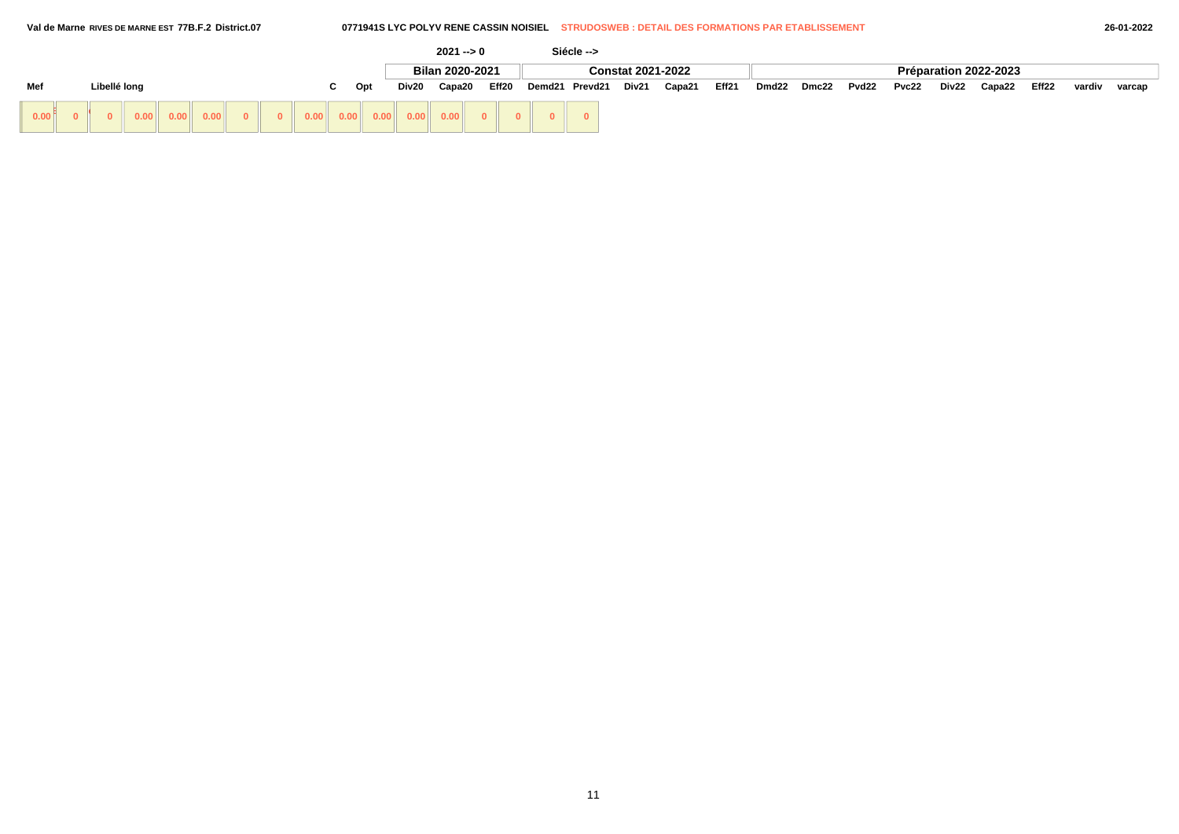### **Val de Marne RIVES DE MARNE EST 77B.F.2 District.07 0771941S LYC POLYV RENE CASSIN NOISIEL STRUDOSWEB : DETAIL DES FORMATIONS PAR ETABLISSEMENT 26-01-2022**

|      |              |                                     |  |  |    |     |       | $2021 - 0$      |       | Siécle -->     |                          |        |       |       |       |       |       |       |                       |       |        |        |
|------|--------------|-------------------------------------|--|--|----|-----|-------|-----------------|-------|----------------|--------------------------|--------|-------|-------|-------|-------|-------|-------|-----------------------|-------|--------|--------|
|      |              |                                     |  |  |    |     |       | Bilan 2020-2021 |       |                | <b>Constat 2021-2022</b> |        |       |       |       |       |       |       | Préparation 2022-2023 |       |        |        |
| Mef  | Libellé long |                                     |  |  | C. | Opt | Div20 | Capa20          | Eff20 | Demd21 Prevd21 | Div21                    | Capa21 | Eff21 | Dmd22 | Dmc22 | Pvd22 | Pvc22 | Div22 | Capa22                | Eff22 | vardiv | varcap |
| 0.00 |              | $\vert 0.00 \vert \vert 0.00 \vert$ |  |  |    |     |       |                 |       |                |                          |        |       |       |       |       |       |       |                       |       |        |        |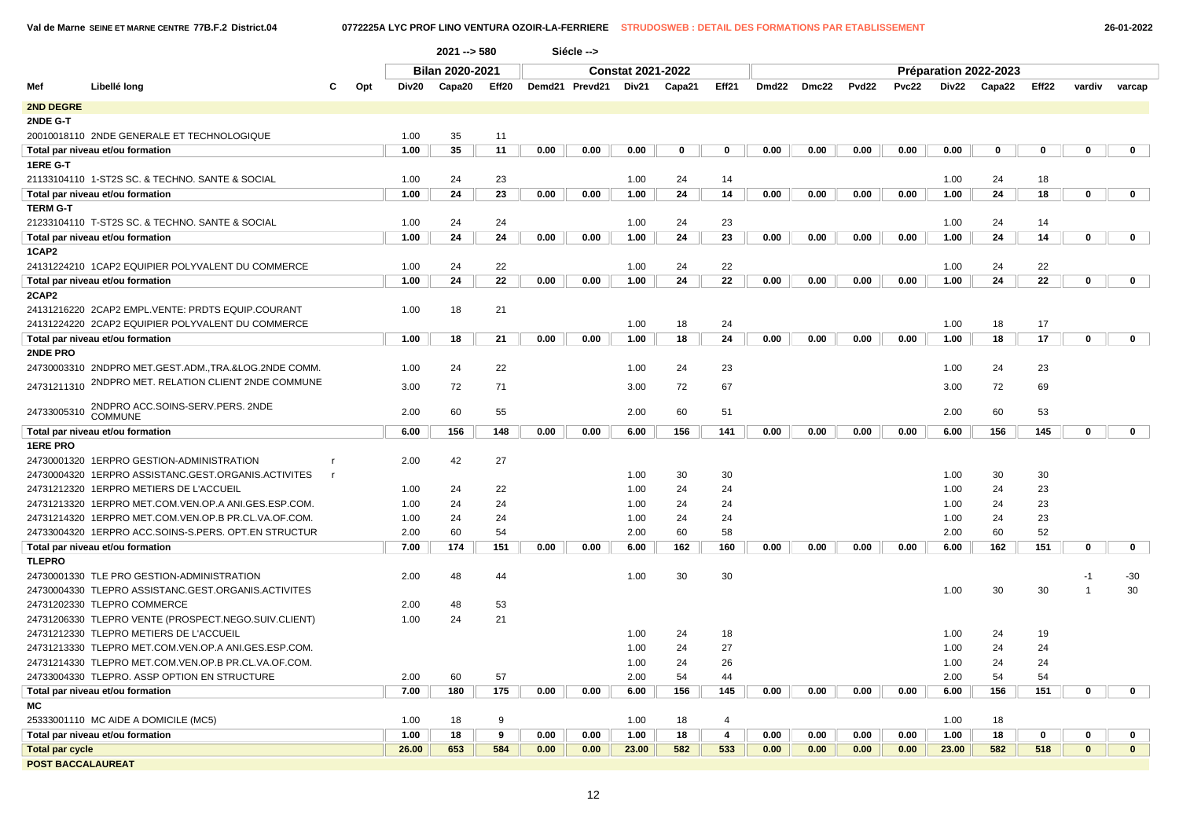**Val de Marne SEINE ET MARNE CENTRE 77B.F.2 District.04 0772225A LYC PROF LINO VENTURA OZOIR-LA-FERRIERE STRUDOSWEB : DETAIL DES FORMATIONS PAR ETABLISSEMENT 26-01-2022**

| Bilan 2020-2021<br><b>Constat 2021-2022</b><br>Préparation 2022-2023<br>Libellé long<br>Demd21 Prevd21 Div21<br>Dmd22 Dmc22<br><b>Pvc22</b><br>Div22<br>Mef<br>Opt<br>Div20<br>Capa20<br>Eff20<br>Capa21<br>Eff21<br>Pvd <sub>22</sub><br>Capa22<br>Eff22<br>vardiv<br>С<br>varcap<br><b>2ND DEGRE</b><br>2NDE G-T<br>1.00<br>35<br>11<br>20010018110 2NDE GENERALE ET TECHNOLOGIQUE<br>35<br>1.00<br>11<br>0.00<br>0.00<br>0.00<br>0.00<br>0.00<br>0.00<br>0.00<br>0<br>0<br>$\mathbf 0$<br>$\mathbf 0$<br>Total par niveau et/ou formation<br>0.00<br>0<br>$\mathbf 0$<br>1ERE G-T<br>21133104110 1-ST2S SC. & TECHNO. SANTE & SOCIAL<br>24<br>23<br>1.00<br>24<br>1.00<br>24<br>14<br>1.00<br>18<br>24<br>23<br>24<br>14<br>24<br>18<br>Total par niveau et/ou formation<br>1.00<br>0.00<br>0.00<br>1.00<br>0.00<br>0.00<br>0.00<br>0.00<br>1.00<br>$\mathbf 0$<br>$\mathbf 0$<br><b>TERM G-T</b><br>23<br>21233104110 T-ST2S SC. & TECHNO. SANTE & SOCIAL<br>1.00<br>24<br>24<br>1.00<br>24<br>1.00<br>24<br>14<br>23<br>24<br>14<br>Total par niveau et/ou formation<br>1.00<br>24<br>24<br>0.00<br>0.00<br>1.00<br>24<br>0.00<br>0.00<br>0.00<br>0.00<br>1.00<br>0<br>$\mathbf 0$<br>1CAP2<br>24131224210 1CAP2 EQUIPIER POLYVALENT DU COMMERCE<br>1.00<br>24<br>22<br>1.00<br>24<br>22<br>1.00<br>24<br>22<br>24<br>22<br>24<br>22<br>24<br>22<br>Total par niveau et/ou formation<br>1.00<br>0.00<br>0.00<br>1.00<br>0.00<br>0.00<br>0.00<br>0.00<br>1.00<br>0<br>$\mathbf 0$<br>2CAP2<br>24131216220 2CAP2 EMPL.VENTE: PRDTS EQUIP.COURANT<br>18<br>21<br>1.00<br>24131224220 2CAP2 EQUIPIER POLYVALENT DU COMMERCE<br>1.00<br>18<br>24<br>1.00<br>18<br>17<br>1.00<br>18<br>21<br>1.00<br>18<br>24<br>0.00<br>0.00<br>0.00<br>0.00<br>1.00<br>18<br>17<br>$\mathbf 0$<br>Total par niveau et/ou formation<br>0.00<br>0.00<br>0<br>2NDE PRO<br>24730003310 2NDPRO MET.GEST.ADM.,TRA.&LOG.2NDE COMM.<br>24<br>22<br>1.00<br>23<br>24<br>23<br>1.00<br>24<br>1.00<br>2NDPRO MET. RELATION CLIENT 2NDE COMMUNE<br>24731211310<br>72<br>3.00<br>72<br>71<br>3.00<br>72<br>67<br>3.00<br>69<br>2NDPRO ACC.SOINS-SERV.PERS. 2NDE<br>24733005310<br>2.00<br>60<br>55<br>2.00<br>51<br>2.00<br>60<br>53<br>60<br><b>COMMUNE</b><br>6.00<br>145<br>156<br>148<br>0.00<br>0.00<br>6.00<br>156<br>141<br>0.00<br>0.00<br>0.00<br>0.00<br>6.00<br>156<br>0<br>$\mathbf 0$<br>Total par niveau et/ou formation<br><b>1ERE PRO</b><br>42<br>27<br>24730001320 1ERPRO GESTION-ADMINISTRATION<br>2.00<br>24730004320 1ERPRO ASSISTANC.GEST.ORGANIS.ACTIVITES<br>1.00<br>30<br>30<br>1.00<br>30<br>30<br>24731212320 1ERPRO METIERS DE L'ACCUEIL<br>22<br>1.00<br>23<br>1.00<br>24<br>24<br>24<br>1.00<br>24<br>24731213320 1ERPRO MET.COM.VEN.OP.A ANI.GES.ESP.COM.<br>1.00<br>24<br>24<br>1.00<br>24<br>23<br>24<br>24<br>1.00<br>24731214320 1ERPRO MET.COM.VEN.OP.B PR.CL.VA.OF.COM.<br>23<br>1.00<br>24<br>24<br>1.00<br>24<br>24<br>1.00<br>24<br>24733004320 1ERPRO ACC.SOINS-S.PERS. OPT.EN STRUCTUR<br>2.00<br>60<br>2.00<br>2.00<br>60<br>52<br>54<br>60<br>58<br>162<br>160<br>7.00<br>174<br>151<br>0.00<br>0.00<br>0.00<br>0.00<br>0.00<br>0.00<br>6.00<br>162<br>151<br>0<br>$\mathbf 0$<br>Total par niveau et/ou formation<br>6.00<br><b>TLEPRO</b><br>30<br>24730001330 TLE PRO GESTION-ADMINISTRATION<br>2.00<br>48<br>1.00<br>30<br>$-30$<br>44<br>-1<br>24730004330 TLEPRO ASSISTANC.GEST.ORGANIS.ACTIVITES<br>1.00<br>30<br>30<br>30<br>24731202330 TLEPRO COMMERCE<br>2.00<br>48<br>53<br>24731206330 TLEPRO VENTE (PROSPECT.NEGO.SUIV.CLIENT)<br>1.00<br>24<br>21<br>24731212330 TLEPRO METIERS DE L'ACCUEIL<br>1.00<br>24<br>18<br>1.00<br>24<br>19<br>24731213330 TLEPRO MET.COM.VEN.OP.A ANI.GES.ESP.COM.<br>1.00<br>27<br>24<br>24<br>24<br>1.00<br>24731214330 TLEPRO MET.COM.VEN.OP.B PR.CL.VA.OF.COM.<br>1.00<br>24<br>26<br>1.00<br>24<br>24<br>24733004330 TLEPRO. ASSP OPTION EN STRUCTURE<br>2.00<br>2.00<br>60<br>57<br>54<br>44<br>2.00<br>54<br>54<br>7.00<br>180<br>175<br>0.00<br>156<br>145<br>0.00<br>0.00<br>0.00<br>156<br>151<br>$\mathbf 0$<br>0<br>Total par niveau et/ou formation<br>0.00<br>6.00<br>0.00<br>6.00<br>МC<br>25333001110 MC AIDE A DOMICILE (MC5)<br>1.00<br>9<br>1.00<br>18<br>1.00<br>18<br>18<br>$\overline{4}$<br>18<br>1.00<br>18<br>9<br>0.00<br>0.00<br>18<br>$\overline{\mathbf{4}}$<br>1.00<br>Total par niveau et/ou formation<br>1.00<br>0.00<br>0.00<br>0.00<br>0.00<br>0<br>0<br>0<br>$\mathbf{0}$<br>26.00<br>653<br>584<br>0.00<br>23.00<br>582<br>533<br>23.00<br>582<br>518<br>$\mathbf{0}$<br><b>Total par cycle</b><br>0.00<br>0.00<br>0.00<br>0.00<br>0.00<br><b>POST BACCALAUREAT</b> |  |  | $2021 - 580$ |  | Siécle --> |  |  |  |  |  |  |
|------------------------------------------------------------------------------------------------------------------------------------------------------------------------------------------------------------------------------------------------------------------------------------------------------------------------------------------------------------------------------------------------------------------------------------------------------------------------------------------------------------------------------------------------------------------------------------------------------------------------------------------------------------------------------------------------------------------------------------------------------------------------------------------------------------------------------------------------------------------------------------------------------------------------------------------------------------------------------------------------------------------------------------------------------------------------------------------------------------------------------------------------------------------------------------------------------------------------------------------------------------------------------------------------------------------------------------------------------------------------------------------------------------------------------------------------------------------------------------------------------------------------------------------------------------------------------------------------------------------------------------------------------------------------------------------------------------------------------------------------------------------------------------------------------------------------------------------------------------------------------------------------------------------------------------------------------------------------------------------------------------------------------------------------------------------------------------------------------------------------------------------------------------------------------------------------------------------------------------------------------------------------------------------------------------------------------------------------------------------------------------------------------------------------------------------------------------------------------------------------------------------------------------------------------------------------------------------------------------------------------------------------------------------------------------------------------------------------------------------------------------------------------------------------------------------------------------------------------------------------------------------------------------------------------------------------------------------------------------------------------------------------------------------------------------------------------------------------------------------------------------------------------------------------------------------------------------------------------------------------------------------------------------------------------------------------------------------------------------------------------------------------------------------------------------------------------------------------------------------------------------------------------------------------------------------------------------------------------------------------------------------------------------------------------------------------------------------------------------------------------------------------------------------------------------------------------------------------------------------------------------------------------------------------------------------------------------------------------------------------------------------------------------------------------------------------------------------------------------------------------------------------------------------------------------------------------------------------------------------------------------------------------------------------------------------------------------------------------------------------------------------------------------------------------------------------------------------------------------------------------------------------------------------------------------------------------------------------------------------------------------------------------------------|--|--|--------------|--|------------|--|--|--|--|--|--|
|                                                                                                                                                                                                                                                                                                                                                                                                                                                                                                                                                                                                                                                                                                                                                                                                                                                                                                                                                                                                                                                                                                                                                                                                                                                                                                                                                                                                                                                                                                                                                                                                                                                                                                                                                                                                                                                                                                                                                                                                                                                                                                                                                                                                                                                                                                                                                                                                                                                                                                                                                                                                                                                                                                                                                                                                                                                                                                                                                                                                                                                                                                                                                                                                                                                                                                                                                                                                                                                                                                                                                                                                                                                                                                                                                                                                                                                                                                                                                                                                                                                                                                                                                                                                                                                                                                                                                                                                                                                                                                                                                                                                                                                                  |  |  |              |  |            |  |  |  |  |  |  |
|                                                                                                                                                                                                                                                                                                                                                                                                                                                                                                                                                                                                                                                                                                                                                                                                                                                                                                                                                                                                                                                                                                                                                                                                                                                                                                                                                                                                                                                                                                                                                                                                                                                                                                                                                                                                                                                                                                                                                                                                                                                                                                                                                                                                                                                                                                                                                                                                                                                                                                                                                                                                                                                                                                                                                                                                                                                                                                                                                                                                                                                                                                                                                                                                                                                                                                                                                                                                                                                                                                                                                                                                                                                                                                                                                                                                                                                                                                                                                                                                                                                                                                                                                                                                                                                                                                                                                                                                                                                                                                                                                                                                                                                                  |  |  |              |  |            |  |  |  |  |  |  |
|                                                                                                                                                                                                                                                                                                                                                                                                                                                                                                                                                                                                                                                                                                                                                                                                                                                                                                                                                                                                                                                                                                                                                                                                                                                                                                                                                                                                                                                                                                                                                                                                                                                                                                                                                                                                                                                                                                                                                                                                                                                                                                                                                                                                                                                                                                                                                                                                                                                                                                                                                                                                                                                                                                                                                                                                                                                                                                                                                                                                                                                                                                                                                                                                                                                                                                                                                                                                                                                                                                                                                                                                                                                                                                                                                                                                                                                                                                                                                                                                                                                                                                                                                                                                                                                                                                                                                                                                                                                                                                                                                                                                                                                                  |  |  |              |  |            |  |  |  |  |  |  |
|                                                                                                                                                                                                                                                                                                                                                                                                                                                                                                                                                                                                                                                                                                                                                                                                                                                                                                                                                                                                                                                                                                                                                                                                                                                                                                                                                                                                                                                                                                                                                                                                                                                                                                                                                                                                                                                                                                                                                                                                                                                                                                                                                                                                                                                                                                                                                                                                                                                                                                                                                                                                                                                                                                                                                                                                                                                                                                                                                                                                                                                                                                                                                                                                                                                                                                                                                                                                                                                                                                                                                                                                                                                                                                                                                                                                                                                                                                                                                                                                                                                                                                                                                                                                                                                                                                                                                                                                                                                                                                                                                                                                                                                                  |  |  |              |  |            |  |  |  |  |  |  |
|                                                                                                                                                                                                                                                                                                                                                                                                                                                                                                                                                                                                                                                                                                                                                                                                                                                                                                                                                                                                                                                                                                                                                                                                                                                                                                                                                                                                                                                                                                                                                                                                                                                                                                                                                                                                                                                                                                                                                                                                                                                                                                                                                                                                                                                                                                                                                                                                                                                                                                                                                                                                                                                                                                                                                                                                                                                                                                                                                                                                                                                                                                                                                                                                                                                                                                                                                                                                                                                                                                                                                                                                                                                                                                                                                                                                                                                                                                                                                                                                                                                                                                                                                                                                                                                                                                                                                                                                                                                                                                                                                                                                                                                                  |  |  |              |  |            |  |  |  |  |  |  |
|                                                                                                                                                                                                                                                                                                                                                                                                                                                                                                                                                                                                                                                                                                                                                                                                                                                                                                                                                                                                                                                                                                                                                                                                                                                                                                                                                                                                                                                                                                                                                                                                                                                                                                                                                                                                                                                                                                                                                                                                                                                                                                                                                                                                                                                                                                                                                                                                                                                                                                                                                                                                                                                                                                                                                                                                                                                                                                                                                                                                                                                                                                                                                                                                                                                                                                                                                                                                                                                                                                                                                                                                                                                                                                                                                                                                                                                                                                                                                                                                                                                                                                                                                                                                                                                                                                                                                                                                                                                                                                                                                                                                                                                                  |  |  |              |  |            |  |  |  |  |  |  |
|                                                                                                                                                                                                                                                                                                                                                                                                                                                                                                                                                                                                                                                                                                                                                                                                                                                                                                                                                                                                                                                                                                                                                                                                                                                                                                                                                                                                                                                                                                                                                                                                                                                                                                                                                                                                                                                                                                                                                                                                                                                                                                                                                                                                                                                                                                                                                                                                                                                                                                                                                                                                                                                                                                                                                                                                                                                                                                                                                                                                                                                                                                                                                                                                                                                                                                                                                                                                                                                                                                                                                                                                                                                                                                                                                                                                                                                                                                                                                                                                                                                                                                                                                                                                                                                                                                                                                                                                                                                                                                                                                                                                                                                                  |  |  |              |  |            |  |  |  |  |  |  |
|                                                                                                                                                                                                                                                                                                                                                                                                                                                                                                                                                                                                                                                                                                                                                                                                                                                                                                                                                                                                                                                                                                                                                                                                                                                                                                                                                                                                                                                                                                                                                                                                                                                                                                                                                                                                                                                                                                                                                                                                                                                                                                                                                                                                                                                                                                                                                                                                                                                                                                                                                                                                                                                                                                                                                                                                                                                                                                                                                                                                                                                                                                                                                                                                                                                                                                                                                                                                                                                                                                                                                                                                                                                                                                                                                                                                                                                                                                                                                                                                                                                                                                                                                                                                                                                                                                                                                                                                                                                                                                                                                                                                                                                                  |  |  |              |  |            |  |  |  |  |  |  |
|                                                                                                                                                                                                                                                                                                                                                                                                                                                                                                                                                                                                                                                                                                                                                                                                                                                                                                                                                                                                                                                                                                                                                                                                                                                                                                                                                                                                                                                                                                                                                                                                                                                                                                                                                                                                                                                                                                                                                                                                                                                                                                                                                                                                                                                                                                                                                                                                                                                                                                                                                                                                                                                                                                                                                                                                                                                                                                                                                                                                                                                                                                                                                                                                                                                                                                                                                                                                                                                                                                                                                                                                                                                                                                                                                                                                                                                                                                                                                                                                                                                                                                                                                                                                                                                                                                                                                                                                                                                                                                                                                                                                                                                                  |  |  |              |  |            |  |  |  |  |  |  |
|                                                                                                                                                                                                                                                                                                                                                                                                                                                                                                                                                                                                                                                                                                                                                                                                                                                                                                                                                                                                                                                                                                                                                                                                                                                                                                                                                                                                                                                                                                                                                                                                                                                                                                                                                                                                                                                                                                                                                                                                                                                                                                                                                                                                                                                                                                                                                                                                                                                                                                                                                                                                                                                                                                                                                                                                                                                                                                                                                                                                                                                                                                                                                                                                                                                                                                                                                                                                                                                                                                                                                                                                                                                                                                                                                                                                                                                                                                                                                                                                                                                                                                                                                                                                                                                                                                                                                                                                                                                                                                                                                                                                                                                                  |  |  |              |  |            |  |  |  |  |  |  |
|                                                                                                                                                                                                                                                                                                                                                                                                                                                                                                                                                                                                                                                                                                                                                                                                                                                                                                                                                                                                                                                                                                                                                                                                                                                                                                                                                                                                                                                                                                                                                                                                                                                                                                                                                                                                                                                                                                                                                                                                                                                                                                                                                                                                                                                                                                                                                                                                                                                                                                                                                                                                                                                                                                                                                                                                                                                                                                                                                                                                                                                                                                                                                                                                                                                                                                                                                                                                                                                                                                                                                                                                                                                                                                                                                                                                                                                                                                                                                                                                                                                                                                                                                                                                                                                                                                                                                                                                                                                                                                                                                                                                                                                                  |  |  |              |  |            |  |  |  |  |  |  |
|                                                                                                                                                                                                                                                                                                                                                                                                                                                                                                                                                                                                                                                                                                                                                                                                                                                                                                                                                                                                                                                                                                                                                                                                                                                                                                                                                                                                                                                                                                                                                                                                                                                                                                                                                                                                                                                                                                                                                                                                                                                                                                                                                                                                                                                                                                                                                                                                                                                                                                                                                                                                                                                                                                                                                                                                                                                                                                                                                                                                                                                                                                                                                                                                                                                                                                                                                                                                                                                                                                                                                                                                                                                                                                                                                                                                                                                                                                                                                                                                                                                                                                                                                                                                                                                                                                                                                                                                                                                                                                                                                                                                                                                                  |  |  |              |  |            |  |  |  |  |  |  |
|                                                                                                                                                                                                                                                                                                                                                                                                                                                                                                                                                                                                                                                                                                                                                                                                                                                                                                                                                                                                                                                                                                                                                                                                                                                                                                                                                                                                                                                                                                                                                                                                                                                                                                                                                                                                                                                                                                                                                                                                                                                                                                                                                                                                                                                                                                                                                                                                                                                                                                                                                                                                                                                                                                                                                                                                                                                                                                                                                                                                                                                                                                                                                                                                                                                                                                                                                                                                                                                                                                                                                                                                                                                                                                                                                                                                                                                                                                                                                                                                                                                                                                                                                                                                                                                                                                                                                                                                                                                                                                                                                                                                                                                                  |  |  |              |  |            |  |  |  |  |  |  |
|                                                                                                                                                                                                                                                                                                                                                                                                                                                                                                                                                                                                                                                                                                                                                                                                                                                                                                                                                                                                                                                                                                                                                                                                                                                                                                                                                                                                                                                                                                                                                                                                                                                                                                                                                                                                                                                                                                                                                                                                                                                                                                                                                                                                                                                                                                                                                                                                                                                                                                                                                                                                                                                                                                                                                                                                                                                                                                                                                                                                                                                                                                                                                                                                                                                                                                                                                                                                                                                                                                                                                                                                                                                                                                                                                                                                                                                                                                                                                                                                                                                                                                                                                                                                                                                                                                                                                                                                                                                                                                                                                                                                                                                                  |  |  |              |  |            |  |  |  |  |  |  |
|                                                                                                                                                                                                                                                                                                                                                                                                                                                                                                                                                                                                                                                                                                                                                                                                                                                                                                                                                                                                                                                                                                                                                                                                                                                                                                                                                                                                                                                                                                                                                                                                                                                                                                                                                                                                                                                                                                                                                                                                                                                                                                                                                                                                                                                                                                                                                                                                                                                                                                                                                                                                                                                                                                                                                                                                                                                                                                                                                                                                                                                                                                                                                                                                                                                                                                                                                                                                                                                                                                                                                                                                                                                                                                                                                                                                                                                                                                                                                                                                                                                                                                                                                                                                                                                                                                                                                                                                                                                                                                                                                                                                                                                                  |  |  |              |  |            |  |  |  |  |  |  |
|                                                                                                                                                                                                                                                                                                                                                                                                                                                                                                                                                                                                                                                                                                                                                                                                                                                                                                                                                                                                                                                                                                                                                                                                                                                                                                                                                                                                                                                                                                                                                                                                                                                                                                                                                                                                                                                                                                                                                                                                                                                                                                                                                                                                                                                                                                                                                                                                                                                                                                                                                                                                                                                                                                                                                                                                                                                                                                                                                                                                                                                                                                                                                                                                                                                                                                                                                                                                                                                                                                                                                                                                                                                                                                                                                                                                                                                                                                                                                                                                                                                                                                                                                                                                                                                                                                                                                                                                                                                                                                                                                                                                                                                                  |  |  |              |  |            |  |  |  |  |  |  |
|                                                                                                                                                                                                                                                                                                                                                                                                                                                                                                                                                                                                                                                                                                                                                                                                                                                                                                                                                                                                                                                                                                                                                                                                                                                                                                                                                                                                                                                                                                                                                                                                                                                                                                                                                                                                                                                                                                                                                                                                                                                                                                                                                                                                                                                                                                                                                                                                                                                                                                                                                                                                                                                                                                                                                                                                                                                                                                                                                                                                                                                                                                                                                                                                                                                                                                                                                                                                                                                                                                                                                                                                                                                                                                                                                                                                                                                                                                                                                                                                                                                                                                                                                                                                                                                                                                                                                                                                                                                                                                                                                                                                                                                                  |  |  |              |  |            |  |  |  |  |  |  |
|                                                                                                                                                                                                                                                                                                                                                                                                                                                                                                                                                                                                                                                                                                                                                                                                                                                                                                                                                                                                                                                                                                                                                                                                                                                                                                                                                                                                                                                                                                                                                                                                                                                                                                                                                                                                                                                                                                                                                                                                                                                                                                                                                                                                                                                                                                                                                                                                                                                                                                                                                                                                                                                                                                                                                                                                                                                                                                                                                                                                                                                                                                                                                                                                                                                                                                                                                                                                                                                                                                                                                                                                                                                                                                                                                                                                                                                                                                                                                                                                                                                                                                                                                                                                                                                                                                                                                                                                                                                                                                                                                                                                                                                                  |  |  |              |  |            |  |  |  |  |  |  |
|                                                                                                                                                                                                                                                                                                                                                                                                                                                                                                                                                                                                                                                                                                                                                                                                                                                                                                                                                                                                                                                                                                                                                                                                                                                                                                                                                                                                                                                                                                                                                                                                                                                                                                                                                                                                                                                                                                                                                                                                                                                                                                                                                                                                                                                                                                                                                                                                                                                                                                                                                                                                                                                                                                                                                                                                                                                                                                                                                                                                                                                                                                                                                                                                                                                                                                                                                                                                                                                                                                                                                                                                                                                                                                                                                                                                                                                                                                                                                                                                                                                                                                                                                                                                                                                                                                                                                                                                                                                                                                                                                                                                                                                                  |  |  |              |  |            |  |  |  |  |  |  |
|                                                                                                                                                                                                                                                                                                                                                                                                                                                                                                                                                                                                                                                                                                                                                                                                                                                                                                                                                                                                                                                                                                                                                                                                                                                                                                                                                                                                                                                                                                                                                                                                                                                                                                                                                                                                                                                                                                                                                                                                                                                                                                                                                                                                                                                                                                                                                                                                                                                                                                                                                                                                                                                                                                                                                                                                                                                                                                                                                                                                                                                                                                                                                                                                                                                                                                                                                                                                                                                                                                                                                                                                                                                                                                                                                                                                                                                                                                                                                                                                                                                                                                                                                                                                                                                                                                                                                                                                                                                                                                                                                                                                                                                                  |  |  |              |  |            |  |  |  |  |  |  |
|                                                                                                                                                                                                                                                                                                                                                                                                                                                                                                                                                                                                                                                                                                                                                                                                                                                                                                                                                                                                                                                                                                                                                                                                                                                                                                                                                                                                                                                                                                                                                                                                                                                                                                                                                                                                                                                                                                                                                                                                                                                                                                                                                                                                                                                                                                                                                                                                                                                                                                                                                                                                                                                                                                                                                                                                                                                                                                                                                                                                                                                                                                                                                                                                                                                                                                                                                                                                                                                                                                                                                                                                                                                                                                                                                                                                                                                                                                                                                                                                                                                                                                                                                                                                                                                                                                                                                                                                                                                                                                                                                                                                                                                                  |  |  |              |  |            |  |  |  |  |  |  |
|                                                                                                                                                                                                                                                                                                                                                                                                                                                                                                                                                                                                                                                                                                                                                                                                                                                                                                                                                                                                                                                                                                                                                                                                                                                                                                                                                                                                                                                                                                                                                                                                                                                                                                                                                                                                                                                                                                                                                                                                                                                                                                                                                                                                                                                                                                                                                                                                                                                                                                                                                                                                                                                                                                                                                                                                                                                                                                                                                                                                                                                                                                                                                                                                                                                                                                                                                                                                                                                                                                                                                                                                                                                                                                                                                                                                                                                                                                                                                                                                                                                                                                                                                                                                                                                                                                                                                                                                                                                                                                                                                                                                                                                                  |  |  |              |  |            |  |  |  |  |  |  |
|                                                                                                                                                                                                                                                                                                                                                                                                                                                                                                                                                                                                                                                                                                                                                                                                                                                                                                                                                                                                                                                                                                                                                                                                                                                                                                                                                                                                                                                                                                                                                                                                                                                                                                                                                                                                                                                                                                                                                                                                                                                                                                                                                                                                                                                                                                                                                                                                                                                                                                                                                                                                                                                                                                                                                                                                                                                                                                                                                                                                                                                                                                                                                                                                                                                                                                                                                                                                                                                                                                                                                                                                                                                                                                                                                                                                                                                                                                                                                                                                                                                                                                                                                                                                                                                                                                                                                                                                                                                                                                                                                                                                                                                                  |  |  |              |  |            |  |  |  |  |  |  |
|                                                                                                                                                                                                                                                                                                                                                                                                                                                                                                                                                                                                                                                                                                                                                                                                                                                                                                                                                                                                                                                                                                                                                                                                                                                                                                                                                                                                                                                                                                                                                                                                                                                                                                                                                                                                                                                                                                                                                                                                                                                                                                                                                                                                                                                                                                                                                                                                                                                                                                                                                                                                                                                                                                                                                                                                                                                                                                                                                                                                                                                                                                                                                                                                                                                                                                                                                                                                                                                                                                                                                                                                                                                                                                                                                                                                                                                                                                                                                                                                                                                                                                                                                                                                                                                                                                                                                                                                                                                                                                                                                                                                                                                                  |  |  |              |  |            |  |  |  |  |  |  |
|                                                                                                                                                                                                                                                                                                                                                                                                                                                                                                                                                                                                                                                                                                                                                                                                                                                                                                                                                                                                                                                                                                                                                                                                                                                                                                                                                                                                                                                                                                                                                                                                                                                                                                                                                                                                                                                                                                                                                                                                                                                                                                                                                                                                                                                                                                                                                                                                                                                                                                                                                                                                                                                                                                                                                                                                                                                                                                                                                                                                                                                                                                                                                                                                                                                                                                                                                                                                                                                                                                                                                                                                                                                                                                                                                                                                                                                                                                                                                                                                                                                                                                                                                                                                                                                                                                                                                                                                                                                                                                                                                                                                                                                                  |  |  |              |  |            |  |  |  |  |  |  |
|                                                                                                                                                                                                                                                                                                                                                                                                                                                                                                                                                                                                                                                                                                                                                                                                                                                                                                                                                                                                                                                                                                                                                                                                                                                                                                                                                                                                                                                                                                                                                                                                                                                                                                                                                                                                                                                                                                                                                                                                                                                                                                                                                                                                                                                                                                                                                                                                                                                                                                                                                                                                                                                                                                                                                                                                                                                                                                                                                                                                                                                                                                                                                                                                                                                                                                                                                                                                                                                                                                                                                                                                                                                                                                                                                                                                                                                                                                                                                                                                                                                                                                                                                                                                                                                                                                                                                                                                                                                                                                                                                                                                                                                                  |  |  |              |  |            |  |  |  |  |  |  |
|                                                                                                                                                                                                                                                                                                                                                                                                                                                                                                                                                                                                                                                                                                                                                                                                                                                                                                                                                                                                                                                                                                                                                                                                                                                                                                                                                                                                                                                                                                                                                                                                                                                                                                                                                                                                                                                                                                                                                                                                                                                                                                                                                                                                                                                                                                                                                                                                                                                                                                                                                                                                                                                                                                                                                                                                                                                                                                                                                                                                                                                                                                                                                                                                                                                                                                                                                                                                                                                                                                                                                                                                                                                                                                                                                                                                                                                                                                                                                                                                                                                                                                                                                                                                                                                                                                                                                                                                                                                                                                                                                                                                                                                                  |  |  |              |  |            |  |  |  |  |  |  |
|                                                                                                                                                                                                                                                                                                                                                                                                                                                                                                                                                                                                                                                                                                                                                                                                                                                                                                                                                                                                                                                                                                                                                                                                                                                                                                                                                                                                                                                                                                                                                                                                                                                                                                                                                                                                                                                                                                                                                                                                                                                                                                                                                                                                                                                                                                                                                                                                                                                                                                                                                                                                                                                                                                                                                                                                                                                                                                                                                                                                                                                                                                                                                                                                                                                                                                                                                                                                                                                                                                                                                                                                                                                                                                                                                                                                                                                                                                                                                                                                                                                                                                                                                                                                                                                                                                                                                                                                                                                                                                                                                                                                                                                                  |  |  |              |  |            |  |  |  |  |  |  |
|                                                                                                                                                                                                                                                                                                                                                                                                                                                                                                                                                                                                                                                                                                                                                                                                                                                                                                                                                                                                                                                                                                                                                                                                                                                                                                                                                                                                                                                                                                                                                                                                                                                                                                                                                                                                                                                                                                                                                                                                                                                                                                                                                                                                                                                                                                                                                                                                                                                                                                                                                                                                                                                                                                                                                                                                                                                                                                                                                                                                                                                                                                                                                                                                                                                                                                                                                                                                                                                                                                                                                                                                                                                                                                                                                                                                                                                                                                                                                                                                                                                                                                                                                                                                                                                                                                                                                                                                                                                                                                                                                                                                                                                                  |  |  |              |  |            |  |  |  |  |  |  |
|                                                                                                                                                                                                                                                                                                                                                                                                                                                                                                                                                                                                                                                                                                                                                                                                                                                                                                                                                                                                                                                                                                                                                                                                                                                                                                                                                                                                                                                                                                                                                                                                                                                                                                                                                                                                                                                                                                                                                                                                                                                                                                                                                                                                                                                                                                                                                                                                                                                                                                                                                                                                                                                                                                                                                                                                                                                                                                                                                                                                                                                                                                                                                                                                                                                                                                                                                                                                                                                                                                                                                                                                                                                                                                                                                                                                                                                                                                                                                                                                                                                                                                                                                                                                                                                                                                                                                                                                                                                                                                                                                                                                                                                                  |  |  |              |  |            |  |  |  |  |  |  |
|                                                                                                                                                                                                                                                                                                                                                                                                                                                                                                                                                                                                                                                                                                                                                                                                                                                                                                                                                                                                                                                                                                                                                                                                                                                                                                                                                                                                                                                                                                                                                                                                                                                                                                                                                                                                                                                                                                                                                                                                                                                                                                                                                                                                                                                                                                                                                                                                                                                                                                                                                                                                                                                                                                                                                                                                                                                                                                                                                                                                                                                                                                                                                                                                                                                                                                                                                                                                                                                                                                                                                                                                                                                                                                                                                                                                                                                                                                                                                                                                                                                                                                                                                                                                                                                                                                                                                                                                                                                                                                                                                                                                                                                                  |  |  |              |  |            |  |  |  |  |  |  |
|                                                                                                                                                                                                                                                                                                                                                                                                                                                                                                                                                                                                                                                                                                                                                                                                                                                                                                                                                                                                                                                                                                                                                                                                                                                                                                                                                                                                                                                                                                                                                                                                                                                                                                                                                                                                                                                                                                                                                                                                                                                                                                                                                                                                                                                                                                                                                                                                                                                                                                                                                                                                                                                                                                                                                                                                                                                                                                                                                                                                                                                                                                                                                                                                                                                                                                                                                                                                                                                                                                                                                                                                                                                                                                                                                                                                                                                                                                                                                                                                                                                                                                                                                                                                                                                                                                                                                                                                                                                                                                                                                                                                                                                                  |  |  |              |  |            |  |  |  |  |  |  |
|                                                                                                                                                                                                                                                                                                                                                                                                                                                                                                                                                                                                                                                                                                                                                                                                                                                                                                                                                                                                                                                                                                                                                                                                                                                                                                                                                                                                                                                                                                                                                                                                                                                                                                                                                                                                                                                                                                                                                                                                                                                                                                                                                                                                                                                                                                                                                                                                                                                                                                                                                                                                                                                                                                                                                                                                                                                                                                                                                                                                                                                                                                                                                                                                                                                                                                                                                                                                                                                                                                                                                                                                                                                                                                                                                                                                                                                                                                                                                                                                                                                                                                                                                                                                                                                                                                                                                                                                                                                                                                                                                                                                                                                                  |  |  |              |  |            |  |  |  |  |  |  |
|                                                                                                                                                                                                                                                                                                                                                                                                                                                                                                                                                                                                                                                                                                                                                                                                                                                                                                                                                                                                                                                                                                                                                                                                                                                                                                                                                                                                                                                                                                                                                                                                                                                                                                                                                                                                                                                                                                                                                                                                                                                                                                                                                                                                                                                                                                                                                                                                                                                                                                                                                                                                                                                                                                                                                                                                                                                                                                                                                                                                                                                                                                                                                                                                                                                                                                                                                                                                                                                                                                                                                                                                                                                                                                                                                                                                                                                                                                                                                                                                                                                                                                                                                                                                                                                                                                                                                                                                                                                                                                                                                                                                                                                                  |  |  |              |  |            |  |  |  |  |  |  |
|                                                                                                                                                                                                                                                                                                                                                                                                                                                                                                                                                                                                                                                                                                                                                                                                                                                                                                                                                                                                                                                                                                                                                                                                                                                                                                                                                                                                                                                                                                                                                                                                                                                                                                                                                                                                                                                                                                                                                                                                                                                                                                                                                                                                                                                                                                                                                                                                                                                                                                                                                                                                                                                                                                                                                                                                                                                                                                                                                                                                                                                                                                                                                                                                                                                                                                                                                                                                                                                                                                                                                                                                                                                                                                                                                                                                                                                                                                                                                                                                                                                                                                                                                                                                                                                                                                                                                                                                                                                                                                                                                                                                                                                                  |  |  |              |  |            |  |  |  |  |  |  |
|                                                                                                                                                                                                                                                                                                                                                                                                                                                                                                                                                                                                                                                                                                                                                                                                                                                                                                                                                                                                                                                                                                                                                                                                                                                                                                                                                                                                                                                                                                                                                                                                                                                                                                                                                                                                                                                                                                                                                                                                                                                                                                                                                                                                                                                                                                                                                                                                                                                                                                                                                                                                                                                                                                                                                                                                                                                                                                                                                                                                                                                                                                                                                                                                                                                                                                                                                                                                                                                                                                                                                                                                                                                                                                                                                                                                                                                                                                                                                                                                                                                                                                                                                                                                                                                                                                                                                                                                                                                                                                                                                                                                                                                                  |  |  |              |  |            |  |  |  |  |  |  |
|                                                                                                                                                                                                                                                                                                                                                                                                                                                                                                                                                                                                                                                                                                                                                                                                                                                                                                                                                                                                                                                                                                                                                                                                                                                                                                                                                                                                                                                                                                                                                                                                                                                                                                                                                                                                                                                                                                                                                                                                                                                                                                                                                                                                                                                                                                                                                                                                                                                                                                                                                                                                                                                                                                                                                                                                                                                                                                                                                                                                                                                                                                                                                                                                                                                                                                                                                                                                                                                                                                                                                                                                                                                                                                                                                                                                                                                                                                                                                                                                                                                                                                                                                                                                                                                                                                                                                                                                                                                                                                                                                                                                                                                                  |  |  |              |  |            |  |  |  |  |  |  |
|                                                                                                                                                                                                                                                                                                                                                                                                                                                                                                                                                                                                                                                                                                                                                                                                                                                                                                                                                                                                                                                                                                                                                                                                                                                                                                                                                                                                                                                                                                                                                                                                                                                                                                                                                                                                                                                                                                                                                                                                                                                                                                                                                                                                                                                                                                                                                                                                                                                                                                                                                                                                                                                                                                                                                                                                                                                                                                                                                                                                                                                                                                                                                                                                                                                                                                                                                                                                                                                                                                                                                                                                                                                                                                                                                                                                                                                                                                                                                                                                                                                                                                                                                                                                                                                                                                                                                                                                                                                                                                                                                                                                                                                                  |  |  |              |  |            |  |  |  |  |  |  |
|                                                                                                                                                                                                                                                                                                                                                                                                                                                                                                                                                                                                                                                                                                                                                                                                                                                                                                                                                                                                                                                                                                                                                                                                                                                                                                                                                                                                                                                                                                                                                                                                                                                                                                                                                                                                                                                                                                                                                                                                                                                                                                                                                                                                                                                                                                                                                                                                                                                                                                                                                                                                                                                                                                                                                                                                                                                                                                                                                                                                                                                                                                                                                                                                                                                                                                                                                                                                                                                                                                                                                                                                                                                                                                                                                                                                                                                                                                                                                                                                                                                                                                                                                                                                                                                                                                                                                                                                                                                                                                                                                                                                                                                                  |  |  |              |  |            |  |  |  |  |  |  |
|                                                                                                                                                                                                                                                                                                                                                                                                                                                                                                                                                                                                                                                                                                                                                                                                                                                                                                                                                                                                                                                                                                                                                                                                                                                                                                                                                                                                                                                                                                                                                                                                                                                                                                                                                                                                                                                                                                                                                                                                                                                                                                                                                                                                                                                                                                                                                                                                                                                                                                                                                                                                                                                                                                                                                                                                                                                                                                                                                                                                                                                                                                                                                                                                                                                                                                                                                                                                                                                                                                                                                                                                                                                                                                                                                                                                                                                                                                                                                                                                                                                                                                                                                                                                                                                                                                                                                                                                                                                                                                                                                                                                                                                                  |  |  |              |  |            |  |  |  |  |  |  |
|                                                                                                                                                                                                                                                                                                                                                                                                                                                                                                                                                                                                                                                                                                                                                                                                                                                                                                                                                                                                                                                                                                                                                                                                                                                                                                                                                                                                                                                                                                                                                                                                                                                                                                                                                                                                                                                                                                                                                                                                                                                                                                                                                                                                                                                                                                                                                                                                                                                                                                                                                                                                                                                                                                                                                                                                                                                                                                                                                                                                                                                                                                                                                                                                                                                                                                                                                                                                                                                                                                                                                                                                                                                                                                                                                                                                                                                                                                                                                                                                                                                                                                                                                                                                                                                                                                                                                                                                                                                                                                                                                                                                                                                                  |  |  |              |  |            |  |  |  |  |  |  |
|                                                                                                                                                                                                                                                                                                                                                                                                                                                                                                                                                                                                                                                                                                                                                                                                                                                                                                                                                                                                                                                                                                                                                                                                                                                                                                                                                                                                                                                                                                                                                                                                                                                                                                                                                                                                                                                                                                                                                                                                                                                                                                                                                                                                                                                                                                                                                                                                                                                                                                                                                                                                                                                                                                                                                                                                                                                                                                                                                                                                                                                                                                                                                                                                                                                                                                                                                                                                                                                                                                                                                                                                                                                                                                                                                                                                                                                                                                                                                                                                                                                                                                                                                                                                                                                                                                                                                                                                                                                                                                                                                                                                                                                                  |  |  |              |  |            |  |  |  |  |  |  |
|                                                                                                                                                                                                                                                                                                                                                                                                                                                                                                                                                                                                                                                                                                                                                                                                                                                                                                                                                                                                                                                                                                                                                                                                                                                                                                                                                                                                                                                                                                                                                                                                                                                                                                                                                                                                                                                                                                                                                                                                                                                                                                                                                                                                                                                                                                                                                                                                                                                                                                                                                                                                                                                                                                                                                                                                                                                                                                                                                                                                                                                                                                                                                                                                                                                                                                                                                                                                                                                                                                                                                                                                                                                                                                                                                                                                                                                                                                                                                                                                                                                                                                                                                                                                                                                                                                                                                                                                                                                                                                                                                                                                                                                                  |  |  |              |  |            |  |  |  |  |  |  |
|                                                                                                                                                                                                                                                                                                                                                                                                                                                                                                                                                                                                                                                                                                                                                                                                                                                                                                                                                                                                                                                                                                                                                                                                                                                                                                                                                                                                                                                                                                                                                                                                                                                                                                                                                                                                                                                                                                                                                                                                                                                                                                                                                                                                                                                                                                                                                                                                                                                                                                                                                                                                                                                                                                                                                                                                                                                                                                                                                                                                                                                                                                                                                                                                                                                                                                                                                                                                                                                                                                                                                                                                                                                                                                                                                                                                                                                                                                                                                                                                                                                                                                                                                                                                                                                                                                                                                                                                                                                                                                                                                                                                                                                                  |  |  |              |  |            |  |  |  |  |  |  |
|                                                                                                                                                                                                                                                                                                                                                                                                                                                                                                                                                                                                                                                                                                                                                                                                                                                                                                                                                                                                                                                                                                                                                                                                                                                                                                                                                                                                                                                                                                                                                                                                                                                                                                                                                                                                                                                                                                                                                                                                                                                                                                                                                                                                                                                                                                                                                                                                                                                                                                                                                                                                                                                                                                                                                                                                                                                                                                                                                                                                                                                                                                                                                                                                                                                                                                                                                                                                                                                                                                                                                                                                                                                                                                                                                                                                                                                                                                                                                                                                                                                                                                                                                                                                                                                                                                                                                                                                                                                                                                                                                                                                                                                                  |  |  |              |  |            |  |  |  |  |  |  |
|                                                                                                                                                                                                                                                                                                                                                                                                                                                                                                                                                                                                                                                                                                                                                                                                                                                                                                                                                                                                                                                                                                                                                                                                                                                                                                                                                                                                                                                                                                                                                                                                                                                                                                                                                                                                                                                                                                                                                                                                                                                                                                                                                                                                                                                                                                                                                                                                                                                                                                                                                                                                                                                                                                                                                                                                                                                                                                                                                                                                                                                                                                                                                                                                                                                                                                                                                                                                                                                                                                                                                                                                                                                                                                                                                                                                                                                                                                                                                                                                                                                                                                                                                                                                                                                                                                                                                                                                                                                                                                                                                                                                                                                                  |  |  |              |  |            |  |  |  |  |  |  |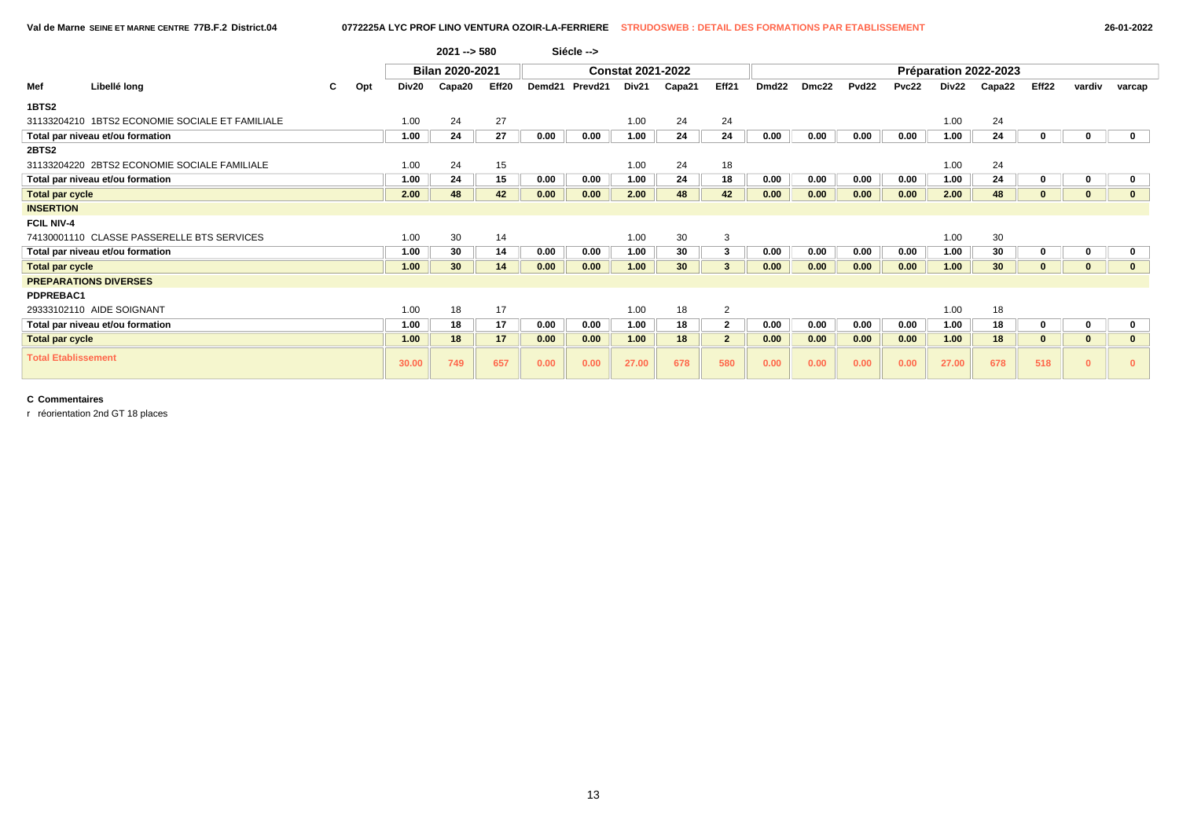|                            |                                                 |   |     |       | $2021 - 580$           |       |        | Siécle --> |                          |                 |                |       |       |       |              |       |                       |              |          |              |
|----------------------------|-------------------------------------------------|---|-----|-------|------------------------|-------|--------|------------|--------------------------|-----------------|----------------|-------|-------|-------|--------------|-------|-----------------------|--------------|----------|--------------|
|                            |                                                 |   |     |       | <b>Bilan 2020-2021</b> |       |        |            | <b>Constat 2021-2022</b> |                 |                |       |       |       |              |       | Préparation 2022-2023 |              |          |              |
| Mef                        | Libellé long                                    | C | Opt | Div20 | Capa20                 | Eff20 | Demd21 | Prevd21    | Div21                    | Capa21          | Eff21          | Dmd22 | Dmc22 | Pvd22 | <b>Pvc22</b> | Div22 | Capa22                | Eff22        | vardiv   | varcap       |
| 1BTS2                      |                                                 |   |     |       |                        |       |        |            |                          |                 |                |       |       |       |              |       |                       |              |          |              |
|                            | 31133204210 1BTS2 ECONOMIE SOCIALE ET FAMILIALE |   |     | 1.00  | 24                     | 27    |        |            | 1.00                     | 24              | 24             |       |       |       |              | 1.00  | 24                    |              |          |              |
|                            | Total par niveau et/ou formation                |   |     | 1.00  | 24                     | 27    | 0.00   | 0.00       | 1.00                     | 24              | 24             | 0.00  | 0.00  | 0.00  | 0.00         | 1.00  | 24                    | 0            | 0        | $\mathbf 0$  |
| 2BTS2                      |                                                 |   |     |       |                        |       |        |            |                          |                 |                |       |       |       |              |       |                       |              |          |              |
|                            | 31133204220 2BTS2 ECONOMIE SOCIALE FAMILIALE    |   |     | 1.00  | 24                     | 15    |        |            | 1.00                     | 24              | 18             |       |       |       |              | 1.00  | 24                    |              |          |              |
|                            | Total par niveau et/ou formation                |   |     | 1.00  | 24                     | 15    | 0.00   | 0.00       | 1.00                     | 24              | 18             | 0.00  | 0.00  | 0.00  | 0.00         | 1.00  | 24                    | 0            | 0        | $\mathbf 0$  |
| <b>Total par cycle</b>     |                                                 |   |     | 2.00  | 48                     | 42    | 0.00   | 0.00       | 2.00                     | 48              | 42             | 0.00  | 0.00  | 0.00  | 0.00         | 2.00  | 48                    | $\mathbf{0}$ | 0        | $\mathbf{0}$ |
| <b>INSERTION</b>           |                                                 |   |     |       |                        |       |        |            |                          |                 |                |       |       |       |              |       |                       |              |          |              |
| FCIL NIV-4                 |                                                 |   |     |       |                        |       |        |            |                          |                 |                |       |       |       |              |       |                       |              |          |              |
|                            | 74130001110 CLASSE PASSERELLE BTS SERVICES      |   |     | 1.00  | 30                     | 14    |        |            | 1.00                     | 30              | 3              |       |       |       |              | 1.00  | 30                    |              |          |              |
|                            | Total par niveau et/ou formation                |   |     | 1.00  | 30                     | 14    | 0.00   | 0.00       | 1.00                     | 30              | 3              | 0.00  | 0.00  | 0.00  | 0.00         | 1.00  | 30                    | 0            |          |              |
| <b>Total par cycle</b>     |                                                 |   |     | 1.00  | 30                     | 14    | 0.00   | 0.00       | 1.00                     | 30 <sup>°</sup> | $\mathbf{3}$   | 0.00  | 0.00  | 0.00  | 0.00         | 1.00  | 30                    | $\bf{0}$     | 0        | $\mathbf{0}$ |
|                            | <b>PREPARATIONS DIVERSES</b>                    |   |     |       |                        |       |        |            |                          |                 |                |       |       |       |              |       |                       |              |          |              |
| PDPREBAC1                  |                                                 |   |     |       |                        |       |        |            |                          |                 |                |       |       |       |              |       |                       |              |          |              |
|                            | 29333102110 AIDE SOIGNANT                       |   |     | 1.00  | 18                     | 17    |        |            | 1.00                     | 18              | 2              |       |       |       |              | 1.00  | 18                    |              |          |              |
|                            | Total par niveau et/ou formation                |   |     | 1.00  | 18                     | 17    | 0.00   | 0.00       | 1.00                     | 18              | $\overline{2}$ | 0.00  | 0.00  | 0.00  | 0.00         | 1.00  | 18                    | 0            | 0        |              |
| <b>Total par cycle</b>     |                                                 |   |     | 1.00  | 18                     | 17    | 0.00   | 0.00       | 1.00                     | 18              | $\overline{2}$ | 0.00  | 0.00  | 0.00  | 0.00         | 1.00  | 18                    | $\mathbf{0}$ | $\bf{0}$ | $\bf{0}$     |
| <b>Total Etablissement</b> |                                                 |   |     | 30.00 | 749                    | 657   | 0.00   | 0.00       | 27.00                    | 678             | 580            | 0.00  | 0.00  | 0.00  | 0.00         | 27.00 | 678                   | 518          | $\bf{0}$ |              |

r réorientation 2nd GT 18 places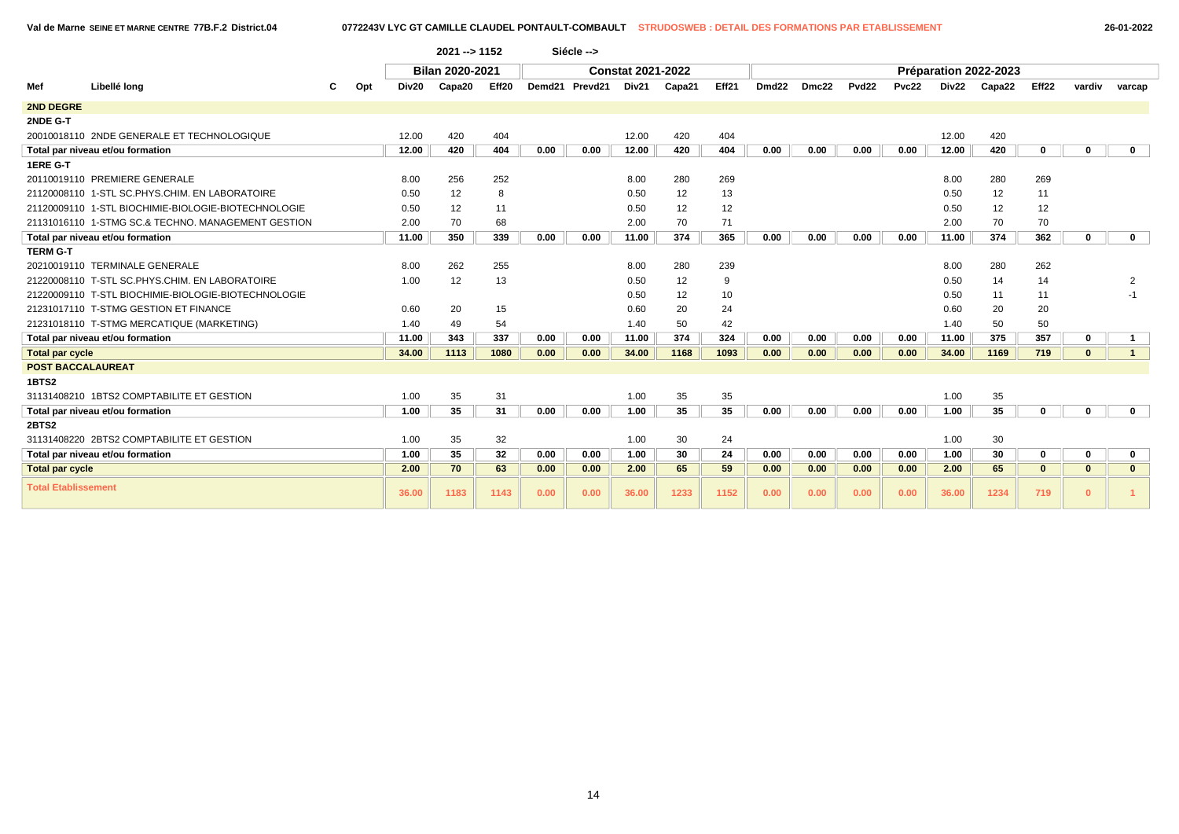**Val de Marne SEINE ET MARNE CENTRE 77B.F.2 District.04 0772243V LYC GT CAMILLE CLAUDEL PONTAULT-COMBAULT STRUDOSWEB : DETAIL DES FORMATIONS PAR ETABLISSEMENT 26-01-2022**

|                            |                                                     |   |     |       | 2021 -- > 1152         |       |      | Siécle -->     |                          |        |       |       |       |                   |       |       |                       |                   |              |              |
|----------------------------|-----------------------------------------------------|---|-----|-------|------------------------|-------|------|----------------|--------------------------|--------|-------|-------|-------|-------------------|-------|-------|-----------------------|-------------------|--------------|--------------|
|                            |                                                     |   |     |       | <b>Bilan 2020-2021</b> |       |      |                | <b>Constat 2021-2022</b> |        |       |       |       |                   |       |       | Préparation 2022-2023 |                   |              |              |
| Mef                        | Libellé long                                        | С | Opt | Div20 | Capa20                 | Eff20 |      | Demd21 Prevd21 | Div21                    | Capa21 | Eff21 | Dmd22 | Dmc22 | Pvd <sub>22</sub> | Pvc22 | Div22 | Capa22                | Eff <sub>22</sub> | vardiv       | varcap       |
| <b>2ND DEGRE</b>           |                                                     |   |     |       |                        |       |      |                |                          |        |       |       |       |                   |       |       |                       |                   |              |              |
| 2NDE G-T                   |                                                     |   |     |       |                        |       |      |                |                          |        |       |       |       |                   |       |       |                       |                   |              |              |
|                            | 20010018110 2NDE GENERALE ET TECHNOLOGIQUE          |   |     | 12.00 | 420                    | 404   |      |                | 12.00                    | 420    | 404   |       |       |                   |       | 12.00 | 420                   |                   |              |              |
|                            | Total par niveau et/ou formation                    |   |     | 12.00 | 420                    | 404   | 0.00 | 0.00           | 12.00                    | 420    | 404   | 0.00  | 0.00  | 0.00              | 0.00  | 12.00 | 420                   | 0                 | $\mathbf 0$  | $\mathbf 0$  |
| 1ERE G-T                   |                                                     |   |     |       |                        |       |      |                |                          |        |       |       |       |                   |       |       |                       |                   |              |              |
|                            | 20110019110 PREMIERE GENERALE                       |   |     | 8.00  | 256                    | 252   |      |                | 8.00                     | 280    | 269   |       |       |                   |       | 8.00  | 280                   | 269               |              |              |
|                            | 21120008110 1-STL SC.PHYS.CHIM. EN LABORATOIRE      |   |     | 0.50  | 12                     | 8     |      |                | 0.50                     | 12     | 13    |       |       |                   |       | 0.50  | 12                    | 11                |              |              |
|                            | 21120009110 1-STL BIOCHIMIE-BIOLOGIE-BIOTECHNOLOGIE |   |     | 0.50  | 12                     | 11    |      |                | 0.50                     | 12     | 12    |       |       |                   |       | 0.50  | 12                    | 12                |              |              |
|                            | 21131016110 1-STMG SC.& TECHNO, MANAGEMENT GESTION  |   |     | 2.00  | 70                     | 68    |      |                | 2.00                     | 70     | 71    |       |       |                   |       | 2.00  | 70                    | 70                |              |              |
|                            | Total par niveau et/ou formation                    |   |     | 11.00 | 350                    | 339   | 0.00 | 0.00           | 11.00                    | 374    | 365   | 0.00  | 0.00  | 0.00              | 0.00  | 11.00 | 374                   | 362               | $\mathbf 0$  | $\mathbf{0}$ |
| <b>TERM G-T</b>            |                                                     |   |     |       |                        |       |      |                |                          |        |       |       |       |                   |       |       |                       |                   |              |              |
|                            | 20210019110 TERMINALE GENERALE                      |   |     | 8.00  | 262                    | 255   |      |                | 8.00                     | 280    | 239   |       |       |                   |       | 8.00  | 280                   | 262               |              |              |
|                            | 21220008110 T-STL SC.PHYS.CHIM. EN LABORATOIRE      |   |     | 1.00  | 12                     | 13    |      |                | 0.50                     | 12     | 9     |       |       |                   |       | 0.50  | 14                    | 14                |              | 2            |
|                            | 21220009110 T-STL BIOCHIMIE-BIOLOGIE-BIOTECHNOLOGIE |   |     |       |                        |       |      |                | 0.50                     | 12     | 10    |       |       |                   |       | 0.50  | 11                    | 11                |              | $-1$         |
|                            | 21231017110 T-STMG GESTION ET FINANCE               |   |     | 0.60  | 20                     | 15    |      |                | 0.60                     | 20     | 24    |       |       |                   |       | 0.60  | 20                    | 20                |              |              |
|                            | 21231018110 T-STMG MERCATIQUE (MARKETING)           |   |     | 1.40  | 49                     | 54    |      |                | 1.40                     | 50     | 42    |       |       |                   |       | 1.40  | 50                    | 50                |              |              |
|                            | Total par niveau et/ou formation                    |   |     | 11.00 | 343                    | 337   | 0.00 | 0.00           | 11.00                    | 374    | 324   | 0.00  | 0.00  | 0.00              | 0.00  | 11.00 | 375                   | 357               | $\mathbf 0$  | 1            |
| <b>Total par cycle</b>     |                                                     |   |     | 34.00 | 1113                   | 1080  | 0.00 | 0.00           | 34.00                    | 1168   | 1093  | 0.00  | 0.00  | 0.00              | 0.00  | 34.00 | 1169                  | 719               | $\mathbf{0}$ | $\mathbf{1}$ |
| <b>POST BACCALAUREAT</b>   |                                                     |   |     |       |                        |       |      |                |                          |        |       |       |       |                   |       |       |                       |                   |              |              |
| 1BTS2                      |                                                     |   |     |       |                        |       |      |                |                          |        |       |       |       |                   |       |       |                       |                   |              |              |
|                            | 31131408210 1BTS2 COMPTABILITE ET GESTION           |   |     | 1.00  | 35                     | 31    |      |                | 1.00                     | 35     | 35    |       |       |                   |       | 1.00  | 35                    |                   |              |              |
|                            | Total par niveau et/ou formation                    |   |     | 1.00  | 35                     | 31    | 0.00 | 0.00           | 1.00                     | 35     | 35    | 0.00  | 0.00  | 0.00              | 0.00  | 1.00  | 35                    | 0                 | 0            | $\mathbf{0}$ |
| <b>2BTS2</b>               |                                                     |   |     |       |                        |       |      |                |                          |        |       |       |       |                   |       |       |                       |                   |              |              |
|                            | 31131408220 2BTS2 COMPTABILITE ET GESTION           |   |     | 1.00  | 35                     | 32    |      |                | 1.00                     | 30     | 24    |       |       |                   |       | 1.00  | 30                    |                   |              |              |
|                            | Total par niveau et/ou formation                    |   |     | 1.00  | 35                     | 32    | 0.00 | 0.00           | 1.00                     | 30     | 24    | 0.00  | 0.00  | 0.00              | 0.00  | 1.00  | 30                    | 0                 | $\mathbf 0$  | $\mathbf{0}$ |
| <b>Total par cycle</b>     |                                                     |   |     | 2.00  | 70                     | 63    | 0.00 | 0.00           | 2.00                     | 65     | 59    | 0.00  | 0.00  | 0.00              | 0.00  | 2.00  | 65                    | $\bf{0}$          | $\mathbf{0}$ | $\mathbf{0}$ |
| <b>Total Etablissement</b> |                                                     |   |     | 36.00 | 1183                   | 1143  | 0.00 | 0.00           | 36.00                    | 1233   | 1152  | 0.00  | 0.00  | 0.00              | 0.00  | 36.00 | 1234                  | 719               | $\Omega$     |              |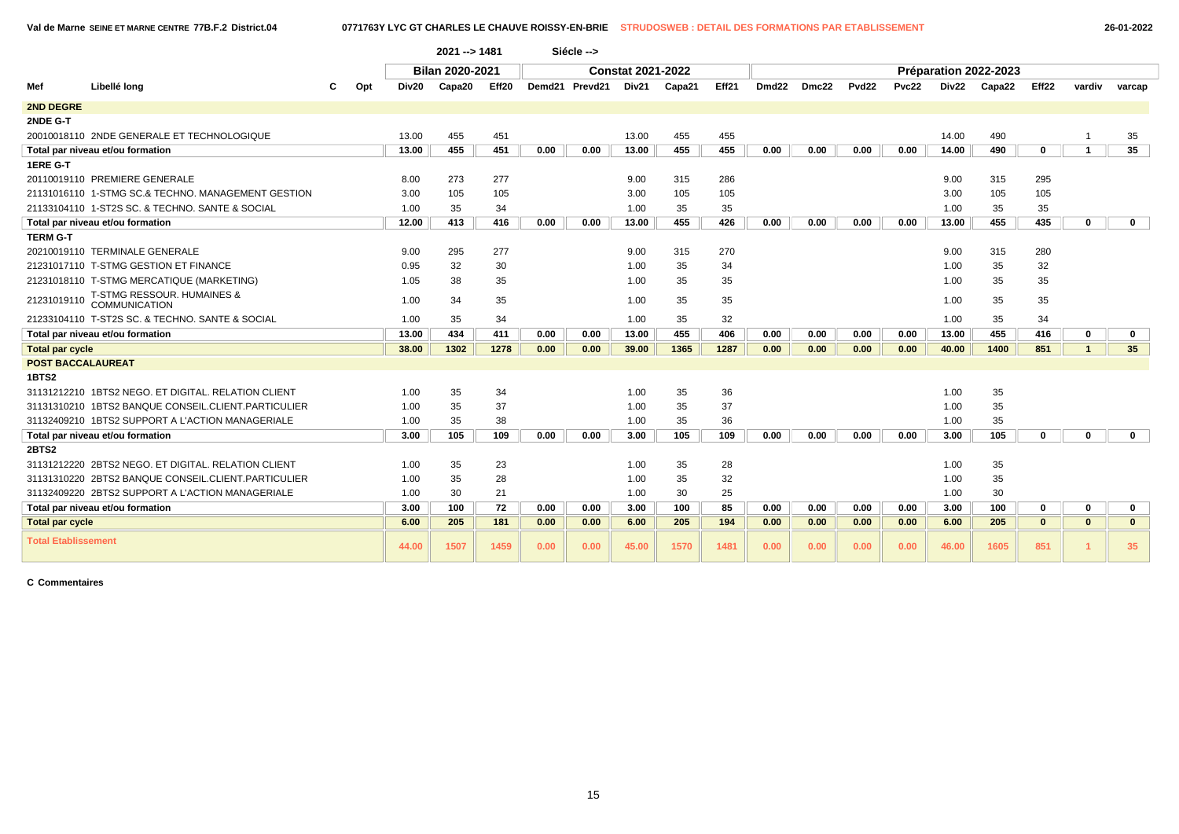|                            |                                                     |     |       | 2021 -- > 1481  |       |      | Siécle -->     |                          |        |       |       |       |                   |       |       |                       |              |                |              |
|----------------------------|-----------------------------------------------------|-----|-------|-----------------|-------|------|----------------|--------------------------|--------|-------|-------|-------|-------------------|-------|-------|-----------------------|--------------|----------------|--------------|
|                            |                                                     |     |       | Bilan 2020-2021 |       |      |                | <b>Constat 2021-2022</b> |        |       |       |       |                   |       |       | Préparation 2022-2023 |              |                |              |
| Mef                        | Libellé long                                        | Opt | Div20 | Capa20          | Eff20 |      | Demd21 Prevd21 | Div21                    | Capa21 | Eff21 | Dmd22 | Dmc22 | Pvd <sub>22</sub> | Pvc22 | Div22 | Capa22                | Eff22        | vardiv         | varcap       |
| <b>2ND DEGRE</b>           |                                                     |     |       |                 |       |      |                |                          |        |       |       |       |                   |       |       |                       |              |                |              |
| 2NDE G-T                   |                                                     |     |       |                 |       |      |                |                          |        |       |       |       |                   |       |       |                       |              |                |              |
|                            | 20010018110 2NDE GENERALE ET TECHNOLOGIQUE          |     | 13.00 | 455             | 451   |      |                | 13.00                    | 455    | 455   |       |       |                   |       | 14.00 | 490                   |              |                | 35           |
|                            | Total par niveau et/ou formation                    |     | 13.00 | 455             | 451   | 0.00 | 0.00           | 13.00                    | 455    | 455   | 0.00  | 0.00  | 0.00              | 0.00  | 14.00 | 490                   | $\mathbf 0$  | $\mathbf{1}$   | 35           |
| 1ERE G-T                   |                                                     |     |       |                 |       |      |                |                          |        |       |       |       |                   |       |       |                       |              |                |              |
|                            | 20110019110 PREMIERE GENERALE                       |     | 8.00  | 273             | 277   |      |                | 9.00                     | 315    | 286   |       |       |                   |       | 9.00  | 315                   | 295          |                |              |
|                            | 21131016110 1-STMG SC.& TECHNO, MANAGEMENT GESTION  |     | 3.00  | 105             | 105   |      |                | 3.00                     | 105    | 105   |       |       |                   |       | 3.00  | 105                   | 105          |                |              |
|                            | 21133104110 1-ST2S SC, & TECHNO, SANTE & SOCIAL     |     | 1.00  | 35              | 34    |      |                | 1.00                     | 35     | 35    |       |       |                   |       | 1.00  | 35                    | 35           |                |              |
|                            | Total par niveau et/ou formation                    |     | 12.00 | 413             | 416   | 0.00 | 0.00           | 13.00                    | 455    | 426   | 0.00  | 0.00  | 0.00              | 0.00  | 13.00 | 455                   | 435          | $\bf{0}$       | $\mathbf{0}$ |
| <b>TERM G-T</b>            |                                                     |     |       |                 |       |      |                |                          |        |       |       |       |                   |       |       |                       |              |                |              |
|                            | 20210019110 TERMINALE GENERALE                      |     | 9.00  | 295             | 277   |      |                | 9.00                     | 315    | 270   |       |       |                   |       | 9.00  | 315                   | 280          |                |              |
|                            | 21231017110 T-STMG GESTION ET FINANCE               |     | 0.95  | 32              | 30    |      |                | 1.00                     | 35     | 34    |       |       |                   |       | 1.00  | 35                    | 32           |                |              |
|                            | 21231018110 T-STMG MERCATIQUE (MARKETING)           |     | 1.05  | 38              | 35    |      |                | 1.00                     | 35     | 35    |       |       |                   |       | 1.00  | 35                    | 35           |                |              |
| 21231019110                | T-STMG RESSOUR. HUMAINES &<br><b>COMMUNICATION</b>  |     | 1.00  | 34              | 35    |      |                | 1.00                     | 35     | 35    |       |       |                   |       | 1.00  | 35                    | 35           |                |              |
|                            | 21233104110 T-ST2S SC, & TECHNO, SANTE & SOCIAL     |     | 1.00  | 35              | 34    |      |                | 1.00                     | 35     | 32    |       |       |                   |       | 1.00  | 35                    | 34           |                |              |
|                            | Total par niveau et/ou formation                    |     | 13.00 | 434             | 411   | 0.00 | 0.00           | 13.00                    | 455    | 406   | 0.00  | 0.00  | 0.00              | 0.00  | 13.00 | 455                   | 416          | $\mathbf 0$    | $\mathbf 0$  |
| <b>Total par cycle</b>     |                                                     |     | 38.00 | 1302            | 1278  | 0.00 | 0.00           | 39.00                    | 1365   | 1287  | 0.00  | 0.00  | 0.00              | 0.00  | 40.00 | 1400                  | 851          | $\overline{1}$ | 35           |
| <b>POST BACCALAUREAT</b>   |                                                     |     |       |                 |       |      |                |                          |        |       |       |       |                   |       |       |                       |              |                |              |
| 1BTS2                      |                                                     |     |       |                 |       |      |                |                          |        |       |       |       |                   |       |       |                       |              |                |              |
|                            | 31131212210 1BTS2 NEGO. ET DIGITAL. RELATION CLIENT |     | 1.00  | 35              | 34    |      |                | 1.00                     | 35     | 36    |       |       |                   |       | 1.00  | 35                    |              |                |              |
|                            | 31131310210 1BTS2 BANQUE CONSEIL.CLIENT.PARTICULIER |     | 1.00  | 35              | 37    |      |                | 1.00                     | 35     | 37    |       |       |                   |       | 1.00  | 35                    |              |                |              |
|                            | 31132409210 1BTS2 SUPPORT A L'ACTION MANAGERIALE    |     | 1.00  | 35              | 38    |      |                | 1.00                     | 35     | 36    |       |       |                   |       | 1.00  | 35                    |              |                |              |
|                            | Total par niveau et/ou formation                    |     | 3.00  | 105             | 109   | 0.00 | 0.00           | 3.00                     | 105    | 109   | 0.00  | 0.00  | 0.00              | 0.00  | 3.00  | 105                   | $\bf{0}$     | $\Omega$       | $\mathbf{0}$ |
| 2BTS2                      |                                                     |     |       |                 |       |      |                |                          |        |       |       |       |                   |       |       |                       |              |                |              |
|                            | 31131212220 2BTS2 NEGO. ET DIGITAL. RELATION CLIENT |     | 1.00  | 35              | 23    |      |                | 1.00                     | 35     | 28    |       |       |                   |       | 1.00  | 35                    |              |                |              |
|                            | 31131310220 2BTS2 BANQUE CONSEIL.CLIENT.PARTICULIER |     | 1.00  | 35              | 28    |      |                | 1.00                     | 35     | 32    |       |       |                   |       | 1.00  | 35                    |              |                |              |
|                            | 31132409220 2BTS2 SUPPORT A L'ACTION MANAGERIALE    |     | 1.00  | 30              | 21    |      |                | 1.00                     | 30     | 25    |       |       |                   |       | 1.00  | 30                    |              |                |              |
|                            | Total par niveau et/ou formation                    |     | 3.00  | 100             | 72    | 0.00 | 0.00           | 3.00                     | 100    | 85    | 0.00  | 0.00  | 0.00              | 0.00  | 3.00  | 100                   | 0            | 0              | $\mathbf 0$  |
| <b>Total par cycle</b>     |                                                     |     | 6.00  | 205             | 181   | 0.00 | 0.00           | 6.00                     | 205    | 194   | 0.00  | 0.00  | 0.00              | 0.00  | 6.00  | 205                   | $\mathbf{0}$ | $\mathbf{0}$   | $\mathbf{0}$ |
| <b>Total Etablissement</b> |                                                     |     | 44.00 | 1507            | 1459  | 0.00 | 0.00           | 45.00                    | 1570   | 1481  | 0.00  | 0.00  | 0.00              | 0.00  | 46.00 | 1605                  | 851          |                | 35           |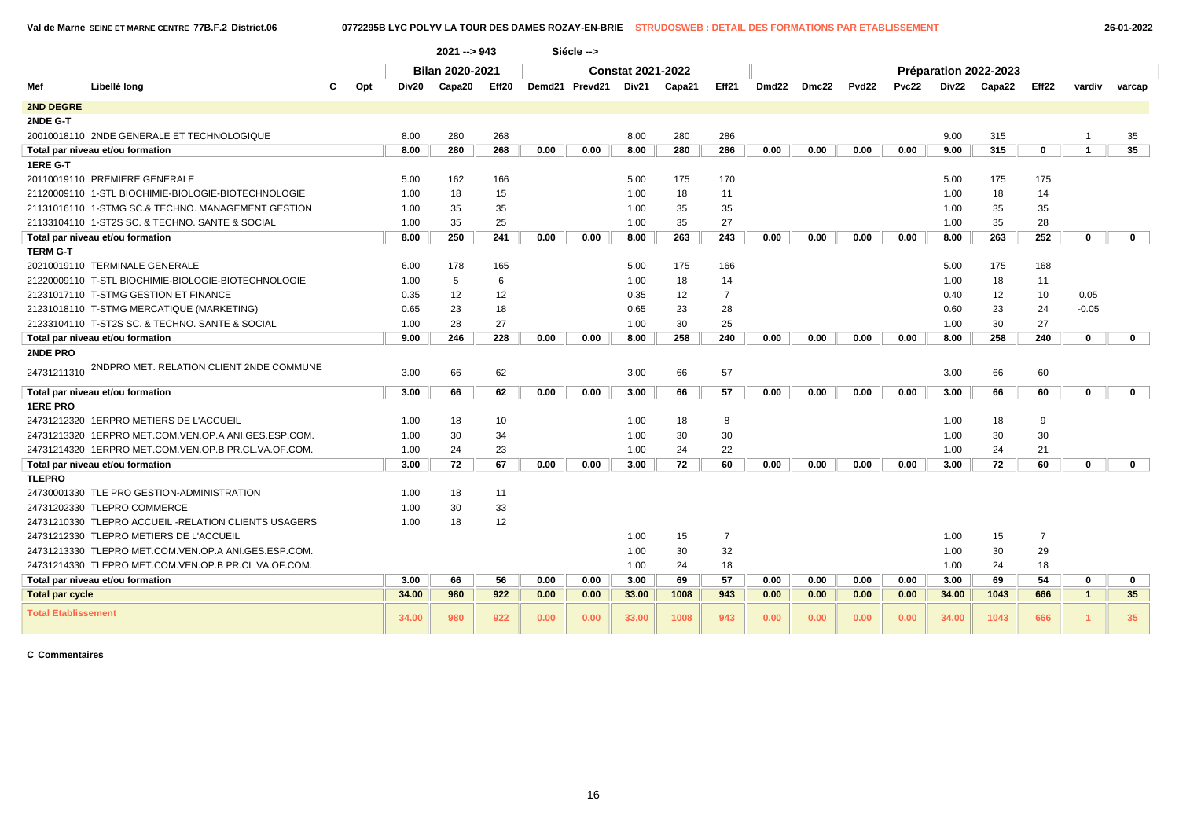|                            |                                                       |     |       | $2021 - 943$           |       |      | Siécle -->     |                          |        |                |                   |       |                   |       |       |                       |                |                |              |  |
|----------------------------|-------------------------------------------------------|-----|-------|------------------------|-------|------|----------------|--------------------------|--------|----------------|-------------------|-------|-------------------|-------|-------|-----------------------|----------------|----------------|--------------|--|
|                            |                                                       |     |       | <b>Bilan 2020-2021</b> |       |      |                | <b>Constat 2021-2022</b> |        |                |                   |       |                   |       |       | Préparation 2022-2023 |                |                |              |  |
| Mef                        | Libellé long                                          | Opt | Div20 | Capa20                 | Eff20 |      | Demd21 Prevd21 | Div21                    | Capa21 | Eff21          | Dmd <sub>22</sub> | Dmc22 | Pvd <sub>22</sub> | Pvc22 |       | Div22 Capa22          | Eff22          | vardiv         | varcap       |  |
| <b>2ND DEGRE</b>           |                                                       |     |       |                        |       |      |                |                          |        |                |                   |       |                   |       |       |                       |                |                |              |  |
| 2NDE G-T                   |                                                       |     |       |                        |       |      |                |                          |        |                |                   |       |                   |       |       |                       |                |                |              |  |
|                            | 20010018110 2NDE GENERALE ET TECHNOLOGIQUE            |     | 8.00  | 280                    | 268   |      |                | 8.00                     | 280    | 286            |                   |       |                   |       | 9.00  | 315                   |                | $\overline{1}$ | 35           |  |
|                            | Total par niveau et/ou formation                      |     | 8.00  | 280                    | 268   | 0.00 | 0.00           | 8.00                     | 280    | 286            | 0.00              | 0.00  | 0.00              | 0.00  | 9.00  | 315                   | $\mathbf 0$    | $\overline{1}$ | 35           |  |
| <b>1ERE G-T</b>            |                                                       |     |       |                        |       |      |                |                          |        |                |                   |       |                   |       |       |                       |                |                |              |  |
|                            | 20110019110 PREMIERE GENERALE                         |     | 5.00  | 162                    | 166   |      |                | 5.00                     | 175    | 170            |                   |       |                   |       | 5.00  | 175                   | 175            |                |              |  |
|                            | 21120009110  1-STL  BIOCHIMIE-BIOLOGIE-BIOTECHNOLOGIE |     | 1.00  | 18                     | 15    |      |                | 1.00                     | 18     | 11             |                   |       |                   |       | 1.00  | 18                    | 14             |                |              |  |
|                            | 21131016110 1-STMG SC.& TECHNO. MANAGEMENT GESTION    |     | 1.00  | 35                     | 35    |      |                | 1.00                     | 35     | 35             |                   |       |                   |       | 1.00  | 35                    | 35             |                |              |  |
|                            |                                                       |     | 1.00  | 35                     | 25    |      |                | 1.00                     | 35     | 27             |                   |       |                   |       | 1.00  | 35                    | 28             |                |              |  |
|                            | Total par niveau et/ou formation                      |     | 8.00  | 250                    | 241   | 0.00 | 0.00           | 8.00                     | 263    | 243            | 0.00              | 0.00  | 0.00              | 0.00  | 8.00  | 263                   | 252            | $\mathbf{0}$   | $\mathbf 0$  |  |
| <b>TERM G-T</b>            |                                                       |     |       |                        |       |      |                |                          |        |                |                   |       |                   |       |       |                       |                |                |              |  |
|                            | 20210019110 TERMINALE GENERALE                        |     | 6.00  | 178                    | 165   |      |                | 5.00                     | 175    | 166            |                   |       |                   |       | 5.00  | 175                   | 168            |                |              |  |
|                            | 21220009110 T-STL BIOCHIMIE-BIOLOGIE-BIOTECHNOLOGIE   |     | 1.00  | 5                      | 6     |      |                | 1.00                     | 18     | 14             |                   |       |                   |       | 1.00  | 18                    | 11             |                |              |  |
|                            | 21231017110 T-STMG GESTION ET FINANCE                 |     | 0.35  | 12                     | 12    |      |                | 0.35                     | 12     | $\overline{7}$ |                   |       |                   |       | 0.40  | 12                    | 10             | 0.05           |              |  |
|                            | 21231018110 T-STMG MERCATIQUE (MARKETING)             |     | 0.65  | 23                     | 18    |      |                | 0.65                     | 23     | 28             |                   |       |                   |       | 0.60  | 23                    | 24             | $-0.05$        |              |  |
|                            | 21233104110 T-ST2S SC. & TECHNO. SANTE & SOCIAL       |     | 1.00  | 28                     | 27    |      |                | 1.00                     | 30     | 25             |                   |       |                   |       | 1.00  | 30                    | 27             |                |              |  |
|                            | Total par niveau et/ou formation                      |     | 9.00  | 246                    | 228   | 0.00 | 0.00           | 8.00                     | 258    | 240            | 0.00              | 0.00  | 0.00              | 0.00  | 8.00  | 258                   | 240            | $\mathbf 0$    | $\mathbf 0$  |  |
| <b>2NDE PRO</b>            |                                                       |     |       |                        |       |      |                |                          |        |                |                   |       |                   |       |       |                       |                |                |              |  |
|                            | 24731211310 2NDPRO MET. RELATION CLIENT 2NDE COMMUNE  |     | 3.00  | 66                     | 62    |      |                | 3.00                     | 66     | 57             |                   |       |                   |       | 3.00  | 66                    | 60             |                |              |  |
|                            | Total par niveau et/ou formation                      |     | 3.00  | 66                     | 62    | 0.00 | 0.00           | 3.00                     | 66     | 57             | 0.00              | 0.00  | 0.00              | 0.00  | 3.00  | 66                    | 60             | $\mathbf 0$    | $\mathbf 0$  |  |
| <b>1ERE PRO</b>            |                                                       |     |       |                        |       |      |                |                          |        |                |                   |       |                   |       |       |                       |                |                |              |  |
|                            | 24731212320 1ERPRO METIERS DE L'ACCUEIL               |     | 1.00  | 18                     | 10    |      |                | 1.00                     | 18     | 8              |                   |       |                   |       | 1.00  | 18                    | 9              |                |              |  |
|                            | 24731213320 1ERPRO MET.COM.VEN.OP.A ANI.GES.ESP.COM.  |     | 1.00  | 30                     | 34    |      |                | 1.00                     | 30     | 30             |                   |       |                   |       | 1.00  | 30                    | 30             |                |              |  |
|                            | 24731214320 1ERPRO MET.COM.VEN.OP.B PR.CL.VA.OF.COM.  |     | 1.00  | 24                     | 23    |      |                | 1.00                     | 24     | 22             |                   |       |                   |       | 1.00  | 24                    | 21             |                |              |  |
|                            | Total par niveau et/ou formation                      |     | 3.00  | 72                     | 67    | 0.00 | 0.00           | 3.00                     | 72     | 60             | 0.00              | 0.00  | 0.00              | 0.00  | 3.00  | 72                    | 60             | $\mathbf 0$    | $\mathbf{0}$ |  |
| <b>TLEPRO</b>              |                                                       |     |       |                        |       |      |                |                          |        |                |                   |       |                   |       |       |                       |                |                |              |  |
|                            | 24730001330 TLE PRO GESTION-ADMINISTRATION            |     | 1.00  | 18                     | 11    |      |                |                          |        |                |                   |       |                   |       |       |                       |                |                |              |  |
|                            | 24731202330 TLEPRO COMMERCE                           |     | 1.00  | 30                     | 33    |      |                |                          |        |                |                   |       |                   |       |       |                       |                |                |              |  |
|                            | 24731210330 TLEPRO ACCUEIL -RELATION CLIENTS USAGERS  |     | 1.00  | 18                     | 12    |      |                |                          |        |                |                   |       |                   |       |       |                       |                |                |              |  |
|                            | 24731212330 TLEPRO METIERS DE L'ACCUEIL               |     |       |                        |       |      |                | 1.00                     | 15     | $\overline{7}$ |                   |       |                   |       | 1.00  | 15                    | $\overline{7}$ |                |              |  |
|                            | 24731213330 TLEPRO MET.COM.VEN.OP.A ANI.GES.ESP.COM.  |     |       |                        |       |      |                | 1.00                     | 30     | 32             |                   |       |                   |       | 1.00  | 30                    | 29             |                |              |  |
|                            | 24731214330 TLEPRO MET.COM.VEN.OP.B PR.CL.VA.OF.COM.  |     |       |                        |       |      |                | 1.00                     | 24     | 18             |                   |       |                   |       | 1.00  | 24                    | 18             |                |              |  |
|                            | Total par niveau et/ou formation                      |     | 3.00  | 66                     | 56    | 0.00 | 0.00           | 3.00                     | 69     | 57             | 0.00              | 0.00  | 0.00              | 0.00  | 3.00  | 69                    | 54             | $\mathbf 0$    | $\mathbf 0$  |  |
| <b>Total par cycle</b>     |                                                       |     | 34.00 | 980                    | 922   | 0.00 | 0.00           | 33.00                    | 1008   | 943            | 0.00              | 0.00  | 0.00              | 0.00  | 34.00 | 1043                  | 666            | $\overline{1}$ | 35           |  |
| <b>Total Etablissement</b> |                                                       |     | 34.00 | 980                    | 922   | 0.00 | 0.00           | 33.00                    | 1008   | 943            | 0.00              | 0.00  | 0.00              | 0.00  | 34.00 | 1043                  | 666            |                | 35           |  |

Т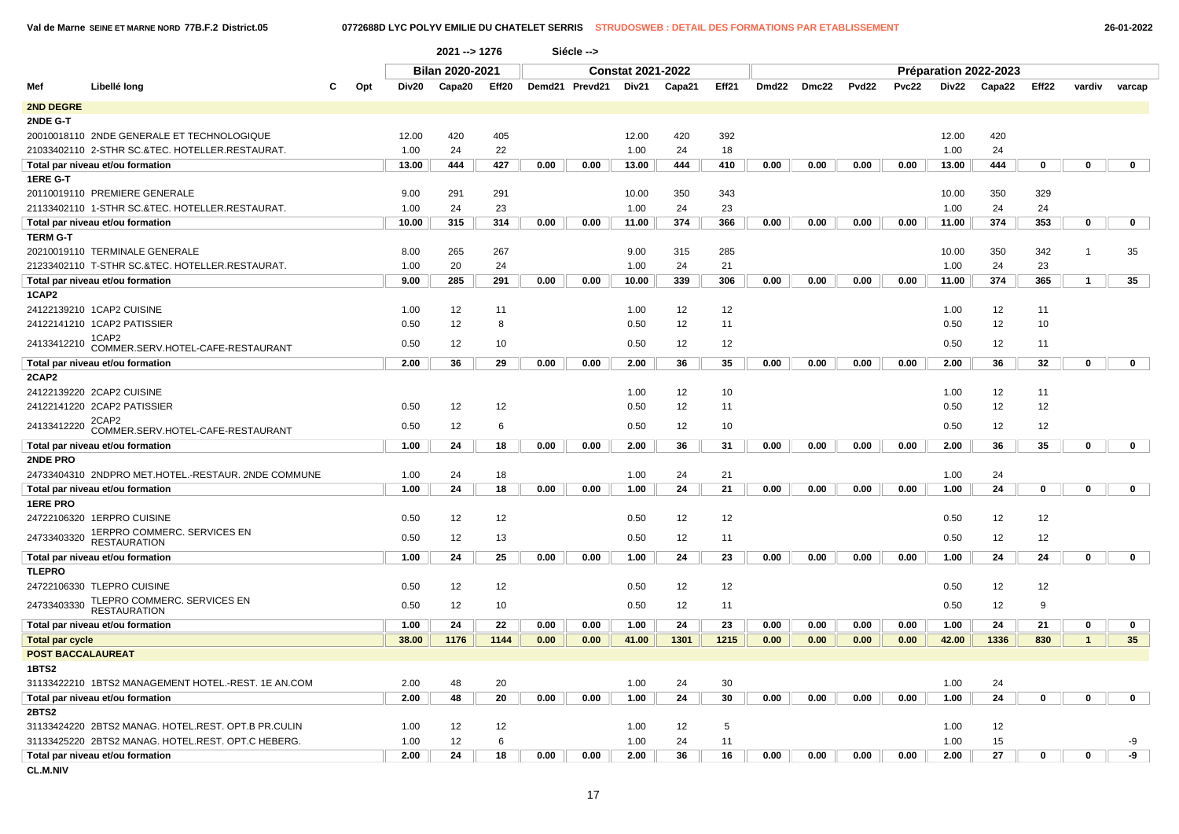## **Val de Marne SEINE ET MARNE NORD 77B.F.2 District.05 0772688D LYC POLYV EMILIE DU CHATELET SERRIS STRUDOSWEB : DETAIL DES FORMATIONS PAR ETABLISSEMENT 26-01-2022**

|                          |                                                         |     |       | 2021 -- > 1276         |       |      | Siécle -->     |                          |        |       |       |       |                   |              |       |                       |             |              |                 |
|--------------------------|---------------------------------------------------------|-----|-------|------------------------|-------|------|----------------|--------------------------|--------|-------|-------|-------|-------------------|--------------|-------|-----------------------|-------------|--------------|-----------------|
|                          |                                                         |     |       | <b>Bilan 2020-2021</b> |       |      |                | <b>Constat 2021-2022</b> |        |       |       |       |                   |              |       | Préparation 2022-2023 |             |              |                 |
| Mef                      | Libellé long                                            | Opt | Div20 | Capa20                 | Eff20 |      | Demd21 Prevd21 | Div21                    | Capa21 | Eff21 | Dmd22 | Dmc22 | Pvd <sub>22</sub> | <b>Pvc22</b> | Div22 | Capa22                | Eff22       | vardiv       | varcap          |
| 2ND DEGRE                |                                                         |     |       |                        |       |      |                |                          |        |       |       |       |                   |              |       |                       |             |              |                 |
| 2NDE G-T                 |                                                         |     |       |                        |       |      |                |                          |        |       |       |       |                   |              |       |                       |             |              |                 |
|                          | 20010018110 2NDE GENERALE ET TECHNOLOGIQUE              |     | 12.00 | 420                    | 405   |      |                | 12.00                    | 420    | 392   |       |       |                   |              | 12.00 | 420                   |             |              |                 |
|                          | 21033402110 2-STHR SC.&TEC. HOTELLER.RESTAURAT.         |     | 1.00  | 24                     | 22    |      |                | 1.00                     | 24     | 18    |       |       |                   |              | 1.00  | 24                    |             |              |                 |
|                          | Total par niveau et/ou formation                        |     | 13.00 | 444                    | 427   | 0.00 | 0.00           | 13.00                    | 444    | 410   | 0.00  | 0.00  | 0.00              | 0.00         | 13.00 | 444                   | 0           | $\Omega$     | $\mathbf{0}$    |
| 1ERE G-T                 |                                                         |     |       |                        |       |      |                |                          |        |       |       |       |                   |              |       |                       |             |              |                 |
|                          | 20110019110 PREMIERE GENERALE                           |     | 9.00  | 291                    | 291   |      |                | 10.00                    | 350    | 343   |       |       |                   |              | 10.00 | 350                   | 329         |              |                 |
|                          | 21133402110 1-STHR SC.&TEC. HOTELLER.RESTAURAT.         |     | 1.00  | 24                     | 23    |      |                | 1.00                     | 24     | 23    |       |       |                   |              | 1.00  | 24                    | 24          |              |                 |
|                          | Total par niveau et/ou formation                        |     | 10.00 | 315                    | 314   | 0.00 | 0.00           | 11.00                    | 374    | 366   | 0.00  | 0.00  | 0.00              | 0.00         | 11.00 | 374                   | 353         | 0            | $\mathbf 0$     |
| <b>TERM G-T</b>          |                                                         |     |       |                        |       |      |                |                          |        |       |       |       |                   |              |       |                       |             |              |                 |
|                          | 20210019110 TERMINALE GENERALE                          |     | 8.00  | 265                    | 267   |      |                | 9.00                     | 315    | 285   |       |       |                   |              | 10.00 | 350                   | 342         | $\mathbf{1}$ | 35              |
|                          | 21233402110 T-STHR SC.&TEC. HOTELLER.RESTAURAT.         |     | 1.00  | 20                     | 24    |      |                | 1.00                     | 24     | 21    |       |       |                   |              | 1.00  | 24                    | 23          |              |                 |
|                          | Total par niveau et/ou formation                        |     | 9.00  | 285                    | 291   | 0.00 | 0.00           | 10.00                    | 339    | 306   | 0.00  | 0.00  | 0.00              | 0.00         | 11.00 | 374                   | 365         | 1            | 35              |
| 1CAP2                    |                                                         |     |       |                        |       |      |                |                          |        |       |       |       |                   |              |       |                       |             |              |                 |
|                          | 24122139210 1CAP2 CUISINE                               |     | 1.00  | 12                     | 11    |      |                | 1.00                     | 12     | 12    |       |       |                   |              | 1.00  | 12                    | 11          |              |                 |
|                          | 24122141210 1CAP2 PATISSIER                             |     | 0.50  | 12                     | 8     |      |                | 0.50                     | 12     | 11    |       |       |                   |              | 0.50  | 12                    | 10          |              |                 |
| 24133412210              | 1CAP2<br>COMMER.SERV.HOTEL-CAFE-RESTAURANT              |     | 0.50  | 12                     | 10    |      |                | 0.50                     | 12     | 12    |       |       |                   |              | 0.50  | 12                    | 11          |              |                 |
|                          | Total par niveau et/ou formation                        |     | 2.00  | 36                     | 29    | 0.00 | 0.00           | 2.00                     | 36     | 35    | 0.00  | 0.00  | 0.00              | 0.00         | 2.00  | 36                    | 32          | 0            | $\mathbf{0}$    |
| 2CAP2                    |                                                         |     |       |                        |       |      |                |                          |        |       |       |       |                   |              |       |                       |             |              |                 |
|                          | 24122139220 2CAP2 CUISINE                               |     |       |                        |       |      |                | 1.00                     | 12     | 10    |       |       |                   |              | 1.00  | 12                    | 11          |              |                 |
|                          | 24122141220 2CAP2 PATISSIER                             |     | 0.50  | 12                     | 12    |      |                | 0.50                     | 12     | 11    |       |       |                   |              | 0.50  | 12                    | 12          |              |                 |
| 24133412220 2CAP2        | COMMER.SERV.HOTEL-CAFE-RESTAURANT                       |     | 0.50  | 12                     | 6     |      |                | 0.50                     | 12     | 10    |       |       |                   |              | 0.50  | 12                    | 12          |              |                 |
|                          | Total par niveau et/ou formation                        |     | 1.00  | 24                     | 18    | 0.00 | 0.00           | 2.00                     | 36     | 31    | 0.00  | 0.00  | 0.00              | 0.00         | 2.00  | 36                    | 35          | 0            | $\mathbf{0}$    |
| 2NDE PRO                 |                                                         |     |       |                        |       |      |                |                          |        |       |       |       |                   |              |       |                       |             |              |                 |
|                          | 24733404310 2NDPRO MET.HOTEL.-RESTAUR. 2NDE COMMUNE     |     | 1.00  | 24                     | 18    |      |                | 1.00                     | 24     | 21    |       |       |                   |              | 1.00  | 24                    |             |              |                 |
|                          | Total par niveau et/ou formation                        |     | 1.00  | 24                     | 18    | 0.00 | 0.00           | 1.00                     | 24     | 21    | 0.00  | 0.00  | 0.00              | 0.00         | 1.00  | 24                    | $\mathbf 0$ | 0            | $\mathbf{0}$    |
| <b>1ERE PRO</b>          |                                                         |     |       |                        |       |      |                |                          |        |       |       |       |                   |              |       |                       |             |              |                 |
|                          | 24722106320 1ERPRO CUISINE                              |     | 0.50  | 12                     | 12    |      |                | 0.50                     | 12     | 12    |       |       |                   |              | 0.50  | 12                    | 12          |              |                 |
| 24733403320              | 1ERPRO COMMERC. SERVICES EN<br><b>RESTAURATION</b>      |     | 0.50  | 12                     | 13    |      |                | 0.50                     | 12     | 11    |       |       |                   |              | 0.50  | 12                    | 12          |              |                 |
|                          | Total par niveau et/ou formation                        |     | 1.00  | 24                     | 25    | 0.00 | 0.00           | 1.00                     | 24     | 23    | 0.00  | 0.00  | 0.00              | 0.00         | 1.00  | 24                    | 24          | 0            | $\mathbf{0}$    |
| <b>TLEPRO</b>            |                                                         |     |       |                        |       |      |                |                          |        |       |       |       |                   |              |       |                       |             |              |                 |
|                          | 24722106330 TLEPRO CUISINE                              |     | 0.50  | 12                     | 12    |      |                | 0.50                     | 12     | 12    |       |       |                   |              | 0.50  | 12                    | 12          |              |                 |
|                          | 24733403330 TLEPRO COMMERC. SERVICES EN<br>RESTAURATION |     | 0.50  | 12                     | 10    |      |                | 0.50                     | 12     | 11    |       |       |                   |              | 0.50  | 12                    | 9           |              |                 |
|                          | Total par niveau et/ou formation                        |     | 1.00  | 24                     | 22    | 0.00 | 0.00           | 1.00                     | 24     | 23    | 0.00  | 0.00  | 0.00              | 0.00         | 1.00  | 24                    | 21          | 0            | $\mathbf 0$     |
| <b>Total par cycle</b>   |                                                         |     | 38.00 | 1176                   | 1144  | 0.00 | 0.00           | 41.00                    | 1301   | 1215  | 0.00  | 0.00  | 0.00              | 0.00         | 42.00 | 1336                  | 830         | $\mathbf{1}$ | 35 <sub>5</sub> |
| <b>POST BACCALAUREAT</b> |                                                         |     |       |                        |       |      |                |                          |        |       |       |       |                   |              |       |                       |             |              |                 |
| 1BTS2                    |                                                         |     |       |                        |       |      |                |                          |        |       |       |       |                   |              |       |                       |             |              |                 |
|                          | 31133422210 1BTS2 MANAGEMENT HOTEL.-REST. 1E AN.COM     |     | 2.00  | 48                     | 20    |      |                | 1.00                     | 24     | 30    |       |       |                   |              | 1.00  | 24                    |             |              |                 |
|                          | Total par niveau et/ou formation                        |     | 2.00  | 48                     | 20    | 0.00 | 0.00           | 1.00                     | 24     | 30    | 0.00  | 0.00  | 0.00              | 0.00         | 1.00  | 24                    | 0           | 0            | $\mathbf 0$     |
| <b>2BTS2</b>             |                                                         |     |       |                        |       |      |                |                          |        |       |       |       |                   |              |       |                       |             |              |                 |
|                          | 31133424220 2BTS2 MANAG. HOTEL.REST. OPT.B PR.CULIN     |     | 1.00  | 12                     | 12    |      |                | 1.00                     | 12     | 5     |       |       |                   |              | 1.00  | 12                    |             |              |                 |
|                          | 31133425220 2BTS2 MANAG. HOTEL.REST. OPT.C HEBERG.      |     | 1.00  | 12                     | 6     |      |                | 1.00                     | 24     | 11    |       |       |                   |              | 1.00  | 15                    |             |              | -9              |
|                          | Total par niveau et/ou formation                        |     | 2.00  | 24                     | 18    | 0.00 | 0.00           | 2.00                     | 36     | 16    | 0.00  | 0.00  | 0.00              | 0.00         | 2.00  | 27                    | 0           | 0            | -9              |
| <b>CL.M.NIV</b>          |                                                         |     |       |                        |       |      |                |                          |        |       |       |       |                   |              |       |                       |             |              |                 |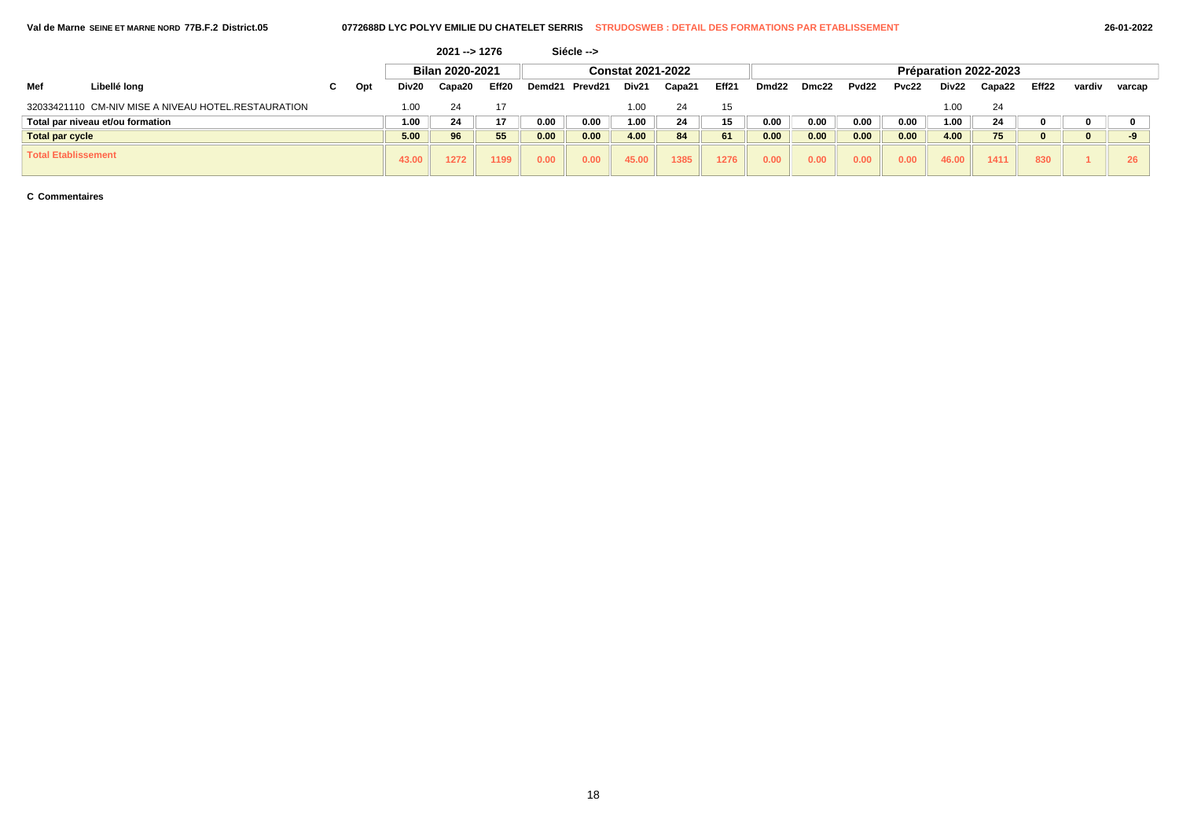| $26 - 01$ |
|-----------|
|           |

|                            |                                                     |    |     |       | 2021 --> 1276   |                   |        | Siécle --> |                          |        |       |                   |       |                   |       |       |                       |       |        |        |
|----------------------------|-----------------------------------------------------|----|-----|-------|-----------------|-------------------|--------|------------|--------------------------|--------|-------|-------------------|-------|-------------------|-------|-------|-----------------------|-------|--------|--------|
|                            |                                                     |    |     |       | Bilan 2020-2021 |                   |        |            | <b>Constat 2021-2022</b> |        |       |                   |       |                   |       |       | Préparation 2022-2023 |       |        |        |
| Mef                        | Libellé long                                        | C. | Opt | Div20 | Capa20          | Eff <sub>20</sub> | Demd21 | Prevd21    | Div <sub>21</sub>        | Capa21 | Eff21 | Dmd <sub>22</sub> | Dmc22 | Pvd <sub>22</sub> | Pvc22 | Div22 | Capa22                | Eff22 | vardiv | varcap |
|                            | 32033421110 CM-NIV MISE A NIVEAU HOTEL.RESTAURATION |    |     | 1.00  | 24              | 17                |        |            | 1.00                     | 24     | 15    |                   |       |                   |       | 1.00  | 24                    |       |        |        |
|                            | Total par niveau et/ou formation                    |    |     | 1.00  | 24              | 17                | 0.00   | 0.00       | 1.00                     | 24     | 15    | 0.00              | 0.00  | 0.00              | 0.00  | 1.00  | 24                    |       |        |        |
| Total par cycle            |                                                     |    |     | 5.00  | 96              | 55                | 0.00   | 0.00       | 4.00                     | 84     | 61    | 0.00              | 0.00  | 0.00              | 0.00  | 4.00  | 75                    |       | 0      | -9     |
| <b>Total Etablissement</b> |                                                     |    |     | 43.00 | 1272            | 1199              | 0.00   | 0.00       | 45.00                    | 1385   | 1276  | 0.00              | 0.00  | 0.00              | 0.00  | 46.00 | 1411                  | 830   |        |        |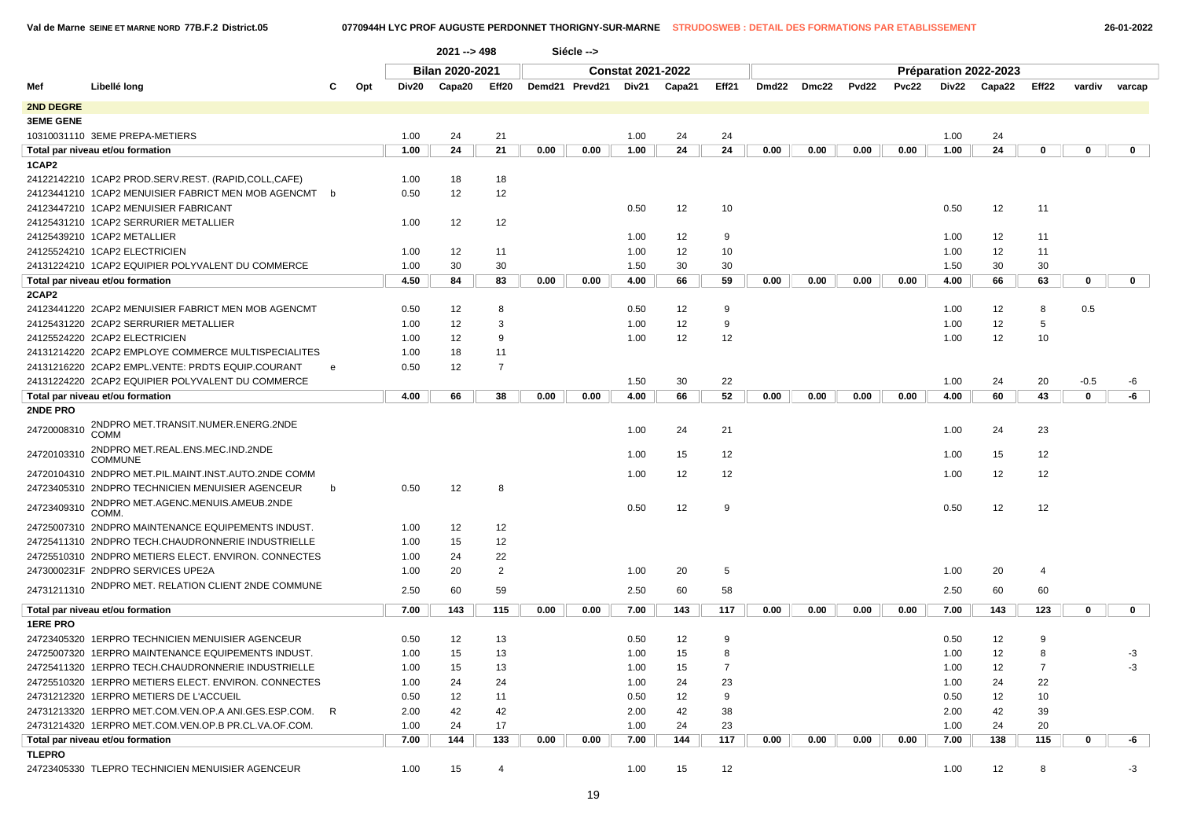|                  |                                                                                      |   |     |              | $2021 - 498$    |                |      | Siécle -->     |                          |          |        |       |       |       |       |       |                       |                |             |              |  |
|------------------|--------------------------------------------------------------------------------------|---|-----|--------------|-----------------|----------------|------|----------------|--------------------------|----------|--------|-------|-------|-------|-------|-------|-----------------------|----------------|-------------|--------------|--|
|                  |                                                                                      |   |     |              | Bilan 2020-2021 |                |      |                | <b>Constat 2021-2022</b> |          |        |       |       |       |       |       | Préparation 2022-2023 |                |             |              |  |
| Mef              | Libellé long                                                                         | С | Opt | Div20        | Capa20          | Eff20          |      | Demd21 Prevd21 | Div21                    | Capa21   | Eff21  | Dmd22 | Dmc22 | Pvd22 | Pvc22 | Div22 | Capa22                | Eff22          | vardiv      | varcap       |  |
| <b>2ND DEGRE</b> |                                                                                      |   |     |              |                 |                |      |                |                          |          |        |       |       |       |       |       |                       |                |             |              |  |
| <b>3EME GENE</b> |                                                                                      |   |     |              |                 |                |      |                |                          |          |        |       |       |       |       |       |                       |                |             |              |  |
|                  | 10310031110 3EME PREPA-METIERS                                                       |   |     | 1.00         | 24              | 21             |      |                | 1.00                     | 24       | 24     |       |       |       |       | 1.00  | 24                    |                |             |              |  |
|                  | Total par niveau et/ou formation                                                     |   |     | 1.00         | 24              | 21             | 0.00 | 0.00           | 1.00                     | 24       | 24     | 0.00  | 0.00  | 0.00  | 0.00  | 1.00  | 24                    | 0              | 0           | $\mathbf 0$  |  |
| 1CAP2            |                                                                                      |   |     |              |                 |                |      |                |                          |          |        |       |       |       |       |       |                       |                |             |              |  |
|                  | 24122142210 1CAP2 PROD.SERV.REST. (RAPID,COLL,CAFE)                                  |   |     | 1.00         | 18              | 18             |      |                |                          |          |        |       |       |       |       |       |                       |                |             |              |  |
|                  | 24123441210 1CAP2 MENUISIER FABRICT MEN MOB AGENCMT b                                |   |     | 0.50         | 12              | 12             |      |                |                          |          |        |       |       |       |       |       |                       |                |             |              |  |
|                  | 24123447210 1CAP2 MENUISIER FABRICANT                                                |   |     |              |                 |                |      |                | 0.50                     | 12       | 10     |       |       |       |       | 0.50  | 12                    | 11             |             |              |  |
|                  | 24125431210 1CAP2 SERRURIER METALLIER                                                |   |     | 1.00         | 12              | 12             |      |                |                          |          |        |       |       |       |       |       |                       |                |             |              |  |
|                  | 24125439210 1CAP2 METALLIER                                                          |   |     |              |                 |                |      |                | 1.00                     | 12       | 9      |       |       |       |       | 1.00  | 12                    | 11             |             |              |  |
|                  | 24125524210 1CAP2 ELECTRICIEN                                                        |   |     |              | 12              | 11             |      |                |                          |          |        |       |       |       |       |       | 12                    | 11             |             |              |  |
|                  | 24131224210 1CAP2 EQUIPIER POLYVALENT DU COMMERCE                                    |   |     | 1.00<br>1.00 | 30              |                |      |                | 1.00                     | 12<br>30 | 10     |       |       |       |       | 1.00  |                       | 30             |             |              |  |
|                  |                                                                                      |   |     |              |                 | 30             |      |                | 1.50                     |          | 30     |       |       |       |       | 1.50  | 30                    |                |             |              |  |
|                  | Total par niveau et/ou formation                                                     |   |     | 4.50         | 84              | 83             | 0.00 | 0.00           | 4.00                     | 66       | 59     | 0.00  | 0.00  | 0.00  | 0.00  | 4.00  | 66                    | 63             | $\mathbf 0$ | $\mathbf 0$  |  |
| 2CAP2            |                                                                                      |   |     |              |                 | 8              |      |                |                          |          |        |       |       |       |       |       |                       |                |             |              |  |
|                  | 24123441220 2CAP2 MENUISIER FABRICT MEN MOB AGENCMT                                  |   |     | 0.50         | 12              | 3              |      |                | 0.50                     | 12       | 9<br>9 |       |       |       |       | 1.00  | 12                    | 8<br>5         | 0.5         |              |  |
|                  | 24125431220 2CAP2 SERRURIER METALLIER                                                |   |     | 1.00         | 12              |                |      |                | 1.00                     | 12       |        |       |       |       |       | 1.00  | 12                    |                |             |              |  |
|                  | 24125524220 2CAP2 ELECTRICIEN<br>24131214220 2CAP2 EMPLOYE COMMERCE MULTISPECIALITES |   |     | 1.00         | 12<br>18        | 9              |      |                | 1.00                     | 12       | 12     |       |       |       |       | 1.00  | 12                    | 10             |             |              |  |
|                  |                                                                                      |   |     | 1.00         |                 | 11             |      |                |                          |          |        |       |       |       |       |       |                       |                |             |              |  |
|                  | 24131216220 2CAP2 EMPL.VENTE: PRDTS EQUIP.COURANT                                    | e |     | 0.50         | 12              | $\overline{7}$ |      |                |                          |          |        |       |       |       |       |       |                       |                |             |              |  |
|                  | 24131224220 2CAP2 EQUIPIER POLYVALENT DU COMMERCE                                    |   |     |              |                 |                |      |                | 1.50                     | 30       | 22     |       |       |       |       | 1.00  | 24                    | 20             | $-0.5$      | -6           |  |
| 2NDE PRO         | Total par niveau et/ou formation                                                     |   |     | 4.00         | 66              | 38             | 0.00 | 0.00           | 4.00                     | 66       | 52     | 0.00  | 0.00  | 0.00  | 0.00  | 4.00  | 60                    | 43             | $\mathbf 0$ | -6           |  |
|                  | 2NDPRO MET.TRANSIT.NUMER.ENERG.2NDE                                                  |   |     |              |                 |                |      |                |                          |          |        |       |       |       |       |       |                       |                |             |              |  |
| 24720008310      | COMM                                                                                 |   |     |              |                 |                |      |                | 1.00                     | 24       | 21     |       |       |       |       | 1.00  | 24                    | 23             |             |              |  |
|                  | 2NDPRO MET.REAL.ENS.MEC.IND.2NDE                                                     |   |     |              |                 |                |      |                |                          |          |        |       |       |       |       |       |                       |                |             |              |  |
| 24720103310      | <b>COMMUNE</b>                                                                       |   |     |              |                 |                |      |                | 1.00                     | 15       | 12     |       |       |       |       | 1.00  | 15                    | 12             |             |              |  |
|                  | 24720104310 2NDPRO MET.PIL.MAINT.INST.AUTO.2NDE COMM                                 |   |     |              |                 |                |      |                | 1.00                     | 12       | 12     |       |       |       |       | 1.00  | 12                    | 12             |             |              |  |
|                  | 24723405310 2NDPRO TECHNICIEN MENUISIER AGENCEUR                                     | b |     | 0.50         | 12              | 8              |      |                |                          |          |        |       |       |       |       |       |                       |                |             |              |  |
| 24723409310      | 2NDPRO MET.AGENC.MENUIS.AMEUB.2NDE                                                   |   |     |              |                 |                |      |                | 0.50                     | 12       | 9      |       |       |       |       | 0.50  | 12                    | 12             |             |              |  |
|                  | COMM.                                                                                |   |     |              |                 |                |      |                |                          |          |        |       |       |       |       |       |                       |                |             |              |  |
|                  | 24725007310 2NDPRO MAINTENANCE EQUIPEMENTS INDUST.                                   |   |     | 1.00         | 12              | 12             |      |                |                          |          |        |       |       |       |       |       |                       |                |             |              |  |
|                  | 24725411310 2NDPRO TECH.CHAUDRONNERIE INDUSTRIELLE                                   |   |     | 1.00         | 15              | 12             |      |                |                          |          |        |       |       |       |       |       |                       |                |             |              |  |
|                  | 24725510310 2NDPRO METIERS ELECT. ENVIRON. CONNECTES                                 |   |     | 1.00         | 24              | 22             |      |                |                          |          |        |       |       |       |       |       |                       |                |             |              |  |
|                  | 2473000231F 2NDPRO SERVICES UPE2A                                                    |   |     | 1.00         | 20              | $\overline{2}$ |      |                | 1.00                     | 20       | 5      |       |       |       |       | 1.00  | 20                    | $\overline{4}$ |             |              |  |
| 24731211310      | 2NDPRO MET. RELATION CLIENT 2NDE COMMUNE                                             |   |     | 2.50         | 60              | 59             |      |                | 2.50                     | 60       | 58     |       |       |       |       | 2.50  | 60                    | 60             |             |              |  |
|                  | Total par niveau et/ou formation                                                     |   |     | 7.00         | 143             | 115            | 0.00 | 0.00           | 7.00                     | 143      | 117    | 0.00  | 0.00  | 0.00  | 0.00  | 7.00  | 143                   | 123            | $\mathbf 0$ | $\mathbf{0}$ |  |
| <b>1ERE PRO</b>  |                                                                                      |   |     |              |                 |                |      |                |                          |          |        |       |       |       |       |       |                       |                |             |              |  |
|                  | 24723405320 1ERPRO TECHNICIEN MENUISIER AGENCEUR                                     |   |     | 0.50         | 12              | 13             |      |                | 0.50                     | 12       | 9      |       |       |       |       | 0.50  | 12                    | 9              |             |              |  |
|                  | 24725007320 1ERPRO MAINTENANCE EQUIPEMENTS INDUST.                                   |   |     | 1.00         | 15              | 13             |      |                | 1.00                     | 15       | 8      |       |       |       |       | 1.00  | 12                    | 8              |             | -3           |  |
|                  | 24725411320 1ERPRO TECH.CHAUDRONNERIE INDUSTRIELLE                                   |   |     | 1.00         | 15              | 13             |      |                | 1.00                     | 15       |        |       |       |       |       | 1.00  | 12                    |                |             | -3           |  |
|                  | 24725510320 1ERPRO METIERS ELECT. ENVIRON. CONNECTES                                 |   |     | 1.00         | 24              | 24             |      |                | 1.00                     | 24       | 23     |       |       |       |       | 1.00  | 24                    | 22             |             |              |  |
|                  | 24731212320 1ERPRO METIERS DE L'ACCUEIL                                              |   |     | 0.50         | 12              | 11             |      |                | 0.50                     | 12       | 9      |       |       |       |       | 0.50  | 12                    | 10             |             |              |  |
|                  | 24731213320 1ERPRO MET.COM.VEN.OP.A ANI.GES.ESP.COM. R                               |   |     | 2.00         | 42              | 42             |      |                | 2.00                     | 42       | 38     |       |       |       |       | 2.00  | 42                    | 39             |             |              |  |
|                  | 24731214320 1ERPRO MET.COM.VEN.OP.B PR.CL.VA.OF.COM.                                 |   |     | 1.00         | 24              | 17             |      |                | 1.00                     | 24       | 23     |       |       |       |       | 1.00  | 24                    | 20             |             |              |  |
|                  | Total par niveau et/ou formation                                                     |   |     | 7.00         | 144             | 133            | 0.00 | 0.00           | 7.00                     | 144      | 117    | 0.00  | 0.00  | 0.00  | 0.00  | 7.00  | 138                   | 115            | $\mathbf 0$ | -6           |  |
| <b>TLEPRO</b>    |                                                                                      |   |     |              |                 |                |      |                |                          |          |        |       |       |       |       |       |                       |                |             |              |  |
|                  | 24723405330 TLEPRO TECHNICIEN MENUISIER AGENCEUR                                     |   |     | 1.00         | 15              | 4              |      |                | 1.00                     | 15       | 12     |       |       |       |       | 1.00  | 12                    | 8              |             | $-3$         |  |
|                  |                                                                                      |   |     |              |                 |                |      |                |                          |          |        |       |       |       |       |       |                       |                |             |              |  |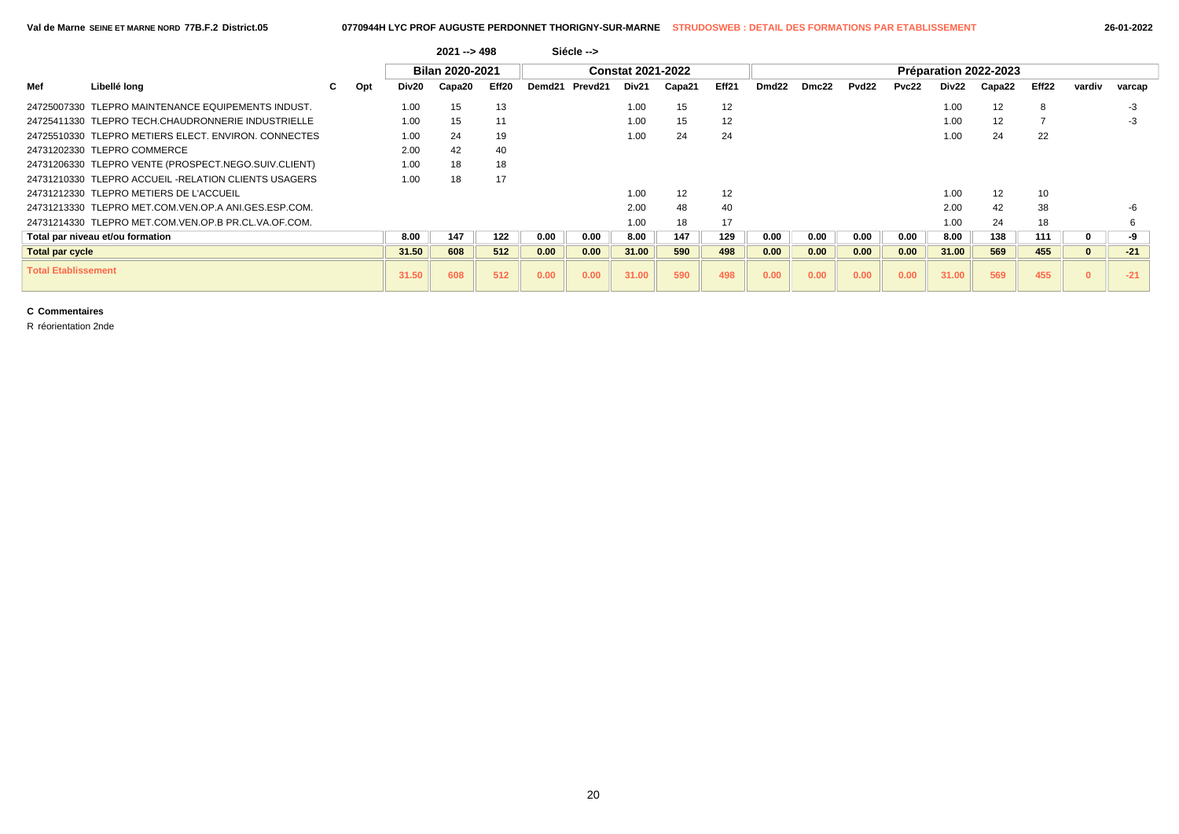|                            |                                                      |   |     |       | $2021 - 9498$          |       |        | Siécle --> |                          |        |       |       |       |                   |       |       |                       |       |              |        |
|----------------------------|------------------------------------------------------|---|-----|-------|------------------------|-------|--------|------------|--------------------------|--------|-------|-------|-------|-------------------|-------|-------|-----------------------|-------|--------------|--------|
|                            |                                                      |   |     |       | <b>Bilan 2020-2021</b> |       |        |            | <b>Constat 2021-2022</b> |        |       |       |       |                   |       |       | Préparation 2022-2023 |       |              |        |
| Mef                        | Libellé lona                                         | C | Opt | Div20 | Capa20                 | Eff20 | Demd21 | Prevd21    | Div21                    | Capa21 | Eff21 | Dmd22 | Dmc22 | Pvd <sub>22</sub> | Pvc22 | Div22 | Capa22                | Eff22 | vardiv       | varcap |
| 24725007330                | TLEPRO MAINTENANCE EQUIPEMENTS INDUST.               |   |     | 1.00  | 15                     | 13    |        |            | 1.00                     | 15     | 12    |       |       |                   |       | 1.00  | 12                    | 8     |              | -3     |
|                            | 24725411330 TLEPRO TECH.CHAUDRONNERIE INDUSTRIELLE   |   |     | 1.00  | 15                     | 11    |        |            | 1.00                     | 15     | 12    |       |       |                   |       | 1.00  | 12                    |       |              | -3     |
|                            | 24725510330 TLEPRO METIERS ELECT. ENVIRON, CONNECTES |   |     | 1.00  | 24                     | 19    |        |            | 1.00                     | 24     | 24    |       |       |                   |       | 1.00  | 24                    | 22    |              |        |
| 24731202330                | <b>TLEPRO COMMERCE</b>                               |   |     | 2.00  | 42                     | 40    |        |            |                          |        |       |       |       |                   |       |       |                       |       |              |        |
|                            | 24731206330 TLEPRO VENTE (PROSPECT.NEGO.SUIV.CLIENT) |   |     | 1.00  | 18                     | 18    |        |            |                          |        |       |       |       |                   |       |       |                       |       |              |        |
|                            | 24731210330 TLEPRO ACCUEIL -RELATION CLIENTS USAGERS |   |     | 1.00  | 18                     | 17    |        |            |                          |        |       |       |       |                   |       |       |                       |       |              |        |
| 24731212330                | TLEPRO METIERS DE L'ACCUEIL                          |   |     |       |                        |       |        |            | 1.00                     | 12     | 12    |       |       |                   |       | 1.00  | 12                    | 10    |              |        |
|                            | 24731213330 TLEPRO MET.COM.VEN.OP.A ANI.GES.ESP.COM. |   |     |       |                        |       |        |            | 2.00                     | 48     | 40    |       |       |                   |       | 2.00  | 42                    | 38    |              |        |
|                            | 24731214330 TLEPRO MET.COM.VEN.OP.B PR.CL.VA.OF.COM. |   |     |       |                        |       |        |            | 1.00                     | 18     | 17    |       |       |                   |       | 1.00  | 24                    | 18    |              |        |
|                            | Total par niveau et/ou formation                     |   |     | 8.00  | 147                    | 122   | 0.00   | 0.00       | 8.00                     | 147    | 129   | 0.00  | 0.00  | 0.00              | 0.00  | 8.00  | 138                   | 111   | 0            | -9     |
| <b>Total par cycle</b>     |                                                      |   |     | 31.50 | 608                    | 512   | 0.00   | 0.00       | 31.00                    | 590    | 498   | 0.00  | 0.00  | 0.00              | 0.00  | 31.00 | 569                   | 455   | $\mathbf{0}$ | $-21$  |
| <b>Total Etablissement</b> |                                                      |   |     | 31.50 | 608                    | 512   | 0.00   | 0.00       | 31.00                    | 590    | 498   | 0.00  | 0.00  | 0.00              | 0.00  | 31.00 | 569                   | 455   |              | $-21$  |

R réorientation 2nde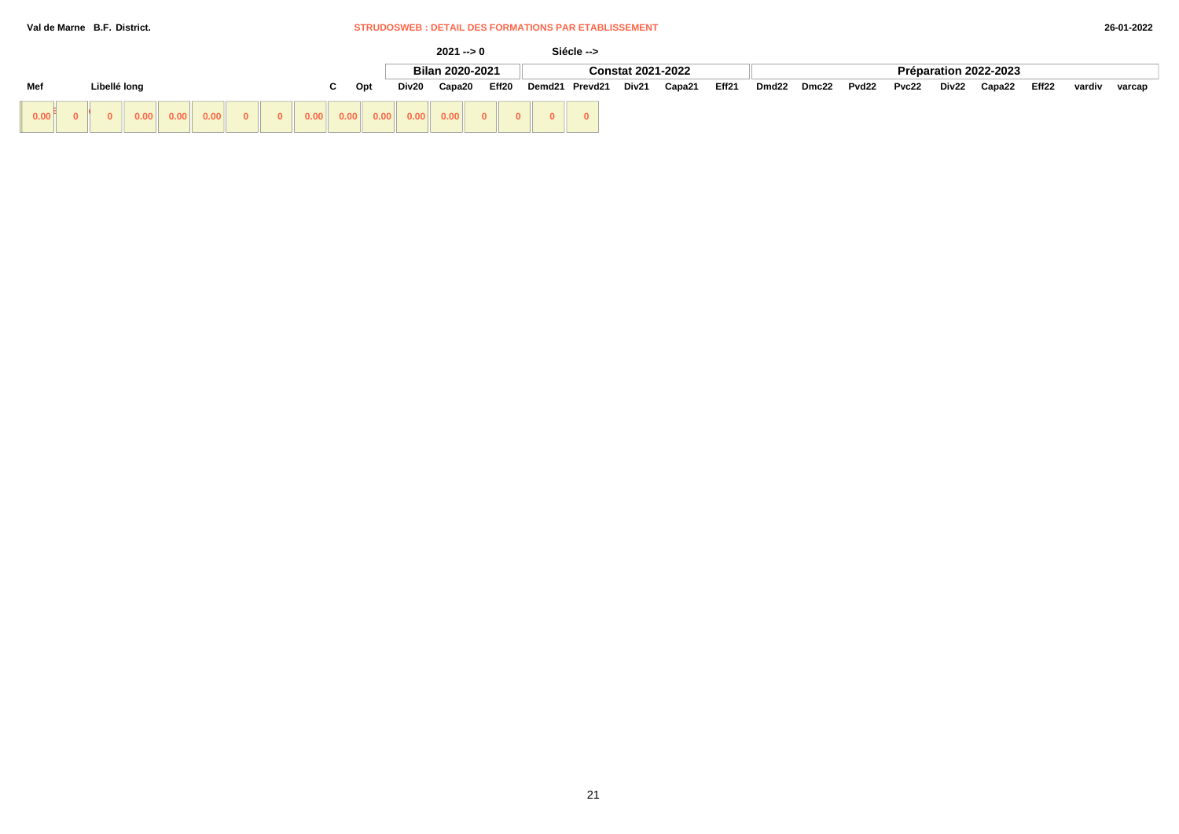### **Val de Marne B.F. District.** STRUDOSWEB : DETAIL DES FORMATIONS PAR ETABLISSEMENT

|                   |              |  |  |  |    |     |       | $2021 - 0$      |                |       | Siécle -->     |                          |        |       |       |       |       |       |       |                       |       |        |        |
|-------------------|--------------|--|--|--|----|-----|-------|-----------------|----------------|-------|----------------|--------------------------|--------|-------|-------|-------|-------|-------|-------|-----------------------|-------|--------|--------|
|                   |              |  |  |  |    |     |       | Bilan 2020-2021 |                |       |                | <b>Constat 2021-2022</b> |        |       |       |       |       |       |       | Préparation 2022-2023 |       |        |        |
| Mef               | Libellé long |  |  |  | C. | Opt | Div20 | Capa20          |                | Eff20 | Demd21 Prevd21 | Div21                    | Capa21 | Eff21 | Dmd22 | Dmc22 | Pvd22 | Pvc22 | Div22 | Capa22                | Eff22 | vardiv | varcap |
| 0.00 <sup>6</sup> |              |  |  |  |    |     |       |                 | $\overline{0}$ |       |                |                          |        |       |       |       |       |       |       |                       |       |        |        |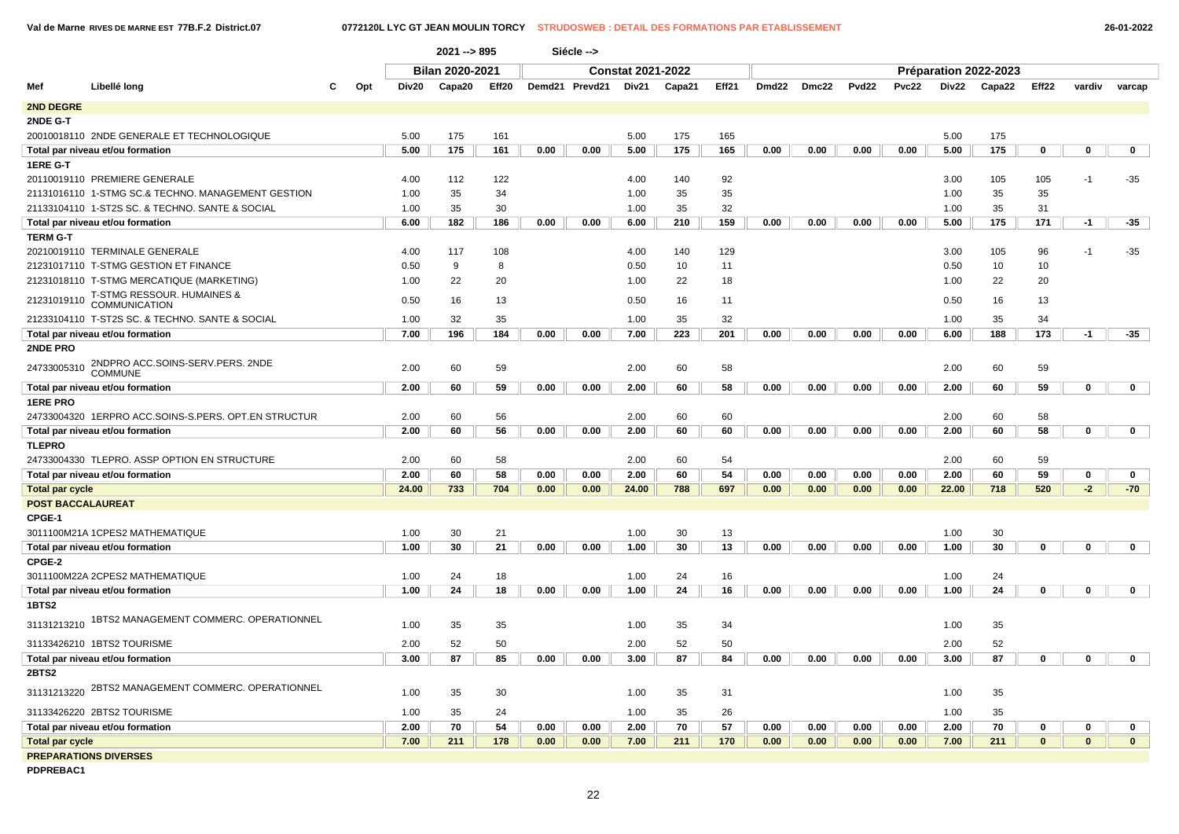**Val de Marne RIVES DE MARNE EST 77B.F.2 District.07 0772120L LYC GT JEAN MOULIN TORCY STRUDOSWEB : DETAIL DES FORMATIONS PAR ETABLISSEMENT 26-01-2022**

| <b>Bilan 2020-2021</b><br>Préparation 2022-2023<br><b>Constat 2021-2022</b><br>Libellé long<br><b>Pvc22</b><br>Opt<br>Div20<br>Capa20<br>Eff20<br>Demd21 Prevd21<br>Div21<br>Capa21<br>Eff21<br>Dmd22<br>Dmc22<br>Pvd22<br>Div22<br>Capa22<br>Eff <sub>22</sub><br>vardiv<br>С<br>varcap<br><b>2ND DEGRE</b><br>20010018110 2NDE GENERALE ET TECHNOLOGIQUE<br>5.00<br>175<br>161<br>5.00<br>175<br>165<br>5.00<br>175<br>5.00<br>175<br>161<br>0.00<br>0.00<br>5.00<br>175<br>165<br>0.00<br>0.00<br>0.00<br>0.00<br>5.00<br>175<br>0<br>$\mathbf 0$<br>Total par niveau et/ou formation<br>0<br>20110019110 PREMIERE GENERALE<br>4.00<br>112<br>122<br>4.00<br>140<br>92<br>3.00<br>105<br>105<br>$-35$<br>$-1$<br>35<br>21131016110 1-STMG SC.& TECHNO. MANAGEMENT GESTION<br>1.00<br>34<br>1.00<br>35<br>35<br>1.00<br>35<br>35<br>21133104110  1-ST2S SC. & TECHNO. SANTE & SOCIAL<br>1.00<br>35<br>30<br>1.00<br>35<br>32<br>1.00<br>35<br>31<br>6.00<br>182<br>0.00<br>210<br>159<br>0.00<br>0.00<br>175<br>171<br>$-1$<br>$-35$<br>Total par niveau et/ou formation<br>186<br>0.00<br>6.00<br>0.00<br>0.00<br>5.00<br>20210019110 TERMINALE GENERALE<br>4.00<br>117<br>108<br>4.00<br>140<br>129<br>3.00<br>105<br>$-35$<br>96<br>$-1$<br>9<br>10<br>21231017110 T-STMG GESTION ET FINANCE<br>0.50<br>8<br>0.50<br>10<br>11<br>0.50<br>10<br>21231018110 T-STMG MERCATIQUE (MARKETING)<br>1.00<br>22<br>20<br>1.00<br>22<br>18<br>1.00<br>22<br>20<br><b>T-STMG RESSOUR. HUMAINES &amp;</b><br>0.50<br>16<br>0.50<br>0.50<br>21231019110<br>13<br>16<br>11<br>16<br>13<br><b>COMMUNICATION</b><br>21233104110 T-ST2S SC. & TECHNO. SANTE & SOCIAL<br>32<br>1.00<br>35<br>32<br>35<br>34<br>1.00<br>35<br>1.00<br>Total par niveau et/ou formation<br>7.00<br>196<br>184<br>0.00<br>0.00<br>7.00<br>223<br>201<br>0.00<br>0.00<br>0.00<br>0.00<br>6.00<br>188<br>173<br>$-1$<br>-35<br>2NDPRO ACC.SOINS-SERV.PERS. 2NDE<br>24733005310<br>2.00<br>60<br>2.00<br>60<br>58<br>2.00<br>60<br>59<br>59<br><b>COMMUNE</b><br>0.00<br>58<br>0.00<br>0.00<br>60<br>59<br>2.00<br>60<br>59<br>0.00<br>2.00<br>60<br>0.00<br>0.00<br>2.00<br>0<br>$\mathbf 0$<br>Total par niveau et/ou formation<br>2.00<br>60<br>56<br>2.00<br>60<br>60<br>2.00<br>60<br>58<br>24733004320 1ERPRO ACC.SOINS-S.PERS. OPT.EN STRUCTUR<br>58<br>2.00<br>60<br>56<br>0.00<br>2.00<br>60<br>60<br>0.00<br>0.00<br>0.00<br>0.00<br>2.00<br>60<br>$\mathbf 0$<br>0<br>Total par niveau et/ou formation<br>0.00<br>60<br>2.00<br>60<br>24733004330 TLEPRO. ASSP OPTION EN STRUCTURE<br>2.00<br>58<br>60<br>54<br>2.00<br>59<br>2.00<br>60<br>54<br>60<br>59<br>Total par niveau et/ou formation<br>58<br>0.00<br>0.00<br>2.00<br>60<br>0.00<br>0.00<br>0.00<br>0.00<br>2.00<br>0<br>0<br>733<br>704<br>788<br>697<br>718<br>520<br>$-2$<br>$-70$<br>24.00<br>0.00<br>0.00<br>24.00<br>0.00<br>0.00<br>0.00<br>0.00<br>22.00<br><b>Total par cycle</b><br><b>POST BACCALAUREAT</b><br>30<br>30<br>3011100M21A 1CPES2 MATHEMATIQUE<br>1.00<br>21<br>1.00<br>30<br>13<br>1.00<br>30<br>21<br>30<br>13<br>30<br>1.00<br>0.00<br>0.00<br>1.00<br>0.00<br>0.00<br>0.00<br>0.00<br>1.00<br>0<br>0<br>0<br>Total par niveau et/ou formation<br>3011100M22A 2CPES2 MATHEMATIQUE<br>24<br>1.00<br>18<br>1.00<br>24<br>16<br>1.00<br>24<br>24<br>24<br>16<br>24<br>1.00<br>18<br>0.00<br>0.00<br>0.00<br>0.00<br>0.00<br>0.00<br>1.00<br>$\mathbf 0$<br>$\mathbf 0$<br>$\mathbf 0$<br>Total par niveau et/ou formation<br>1.00<br>1BTS2 MANAGEMENT COMMERC. OPERATIONNEL<br>31131213210<br>1.00<br>35<br>35<br>1.00<br>35<br>34<br>1.00<br>35<br>31133426210 1BTS2 TOURISME<br>2.00<br>52<br>50<br>2.00<br>52<br>50<br>2.00<br>52<br>87<br>87<br>84<br>87<br>Total par niveau et/ou formation<br>3.00<br>85<br>0.00<br>0.00<br>3.00<br>0.00<br>0.00<br>0.00<br>0.00<br>3.00<br>0<br>0<br>$\mathbf 0$<br>2BTS2 MANAGEMENT COMMERC. OPERATIONNEL<br>31131213220<br>1.00<br>35<br>30<br>1.00<br>35<br>31<br>1.00<br>35<br>31133426220 2BTS2 TOURISME<br>35<br>1.00<br>35<br>1.00<br>24<br>35<br>26<br>1.00<br>2.00<br>70<br>54<br>0.00<br>0.00<br>2.00<br>70<br>57<br>0.00<br>0.00<br>0.00<br>0.00<br>2.00<br>70<br>0<br>Total par niveau et/ou formation<br>0<br>0<br>7.00<br>211<br>178<br>7.00<br>211<br>170<br>0.00<br>0.00<br>7.00<br>211<br>$\mathbf{0}$<br>$\mathbf{0}$<br>$\mathbf{0}$<br><b>Total par cycle</b><br>0.00<br>0.00<br>0.00<br>0.00<br><b>PREPARATIONS DIVERSES</b> |                 |  |  | $2021 - 895$ |  | Siécle --> |  |  |  |  |  |  |
|---------------------------------------------------------------------------------------------------------------------------------------------------------------------------------------------------------------------------------------------------------------------------------------------------------------------------------------------------------------------------------------------------------------------------------------------------------------------------------------------------------------------------------------------------------------------------------------------------------------------------------------------------------------------------------------------------------------------------------------------------------------------------------------------------------------------------------------------------------------------------------------------------------------------------------------------------------------------------------------------------------------------------------------------------------------------------------------------------------------------------------------------------------------------------------------------------------------------------------------------------------------------------------------------------------------------------------------------------------------------------------------------------------------------------------------------------------------------------------------------------------------------------------------------------------------------------------------------------------------------------------------------------------------------------------------------------------------------------------------------------------------------------------------------------------------------------------------------------------------------------------------------------------------------------------------------------------------------------------------------------------------------------------------------------------------------------------------------------------------------------------------------------------------------------------------------------------------------------------------------------------------------------------------------------------------------------------------------------------------------------------------------------------------------------------------------------------------------------------------------------------------------------------------------------------------------------------------------------------------------------------------------------------------------------------------------------------------------------------------------------------------------------------------------------------------------------------------------------------------------------------------------------------------------------------------------------------------------------------------------------------------------------------------------------------------------------------------------------------------------------------------------------------------------------------------------------------------------------------------------------------------------------------------------------------------------------------------------------------------------------------------------------------------------------------------------------------------------------------------------------------------------------------------------------------------------------------------------------------------------------------------------------------------------------------------------------------------------------------------------------------------------------------------------------------------------------------------------------------------------------------------------------------------------------------------------------------------------------------------------------------------------------------------------------------------------------------------------------------------------------------------------------------------------------------------------------------------------------------------------------------------------------------------------------------------------------------------------------------------------------------------------------------------------------------------------------|-----------------|--|--|--------------|--|------------|--|--|--|--|--|--|
|                                                                                                                                                                                                                                                                                                                                                                                                                                                                                                                                                                                                                                                                                                                                                                                                                                                                                                                                                                                                                                                                                                                                                                                                                                                                                                                                                                                                                                                                                                                                                                                                                                                                                                                                                                                                                                                                                                                                                                                                                                                                                                                                                                                                                                                                                                                                                                                                                                                                                                                                                                                                                                                                                                                                                                                                                                                                                                                                                                                                                                                                                                                                                                                                                                                                                                                                                                                                                                                                                                                                                                                                                                                                                                                                                                                                                                                                                                                                                                                                                                                                                                                                                                                                                                                                                                                                                                                                                                                   |                 |  |  |              |  |            |  |  |  |  |  |  |
|                                                                                                                                                                                                                                                                                                                                                                                                                                                                                                                                                                                                                                                                                                                                                                                                                                                                                                                                                                                                                                                                                                                                                                                                                                                                                                                                                                                                                                                                                                                                                                                                                                                                                                                                                                                                                                                                                                                                                                                                                                                                                                                                                                                                                                                                                                                                                                                                                                                                                                                                                                                                                                                                                                                                                                                                                                                                                                                                                                                                                                                                                                                                                                                                                                                                                                                                                                                                                                                                                                                                                                                                                                                                                                                                                                                                                                                                                                                                                                                                                                                                                                                                                                                                                                                                                                                                                                                                                                                   | Mef             |  |  |              |  |            |  |  |  |  |  |  |
|                                                                                                                                                                                                                                                                                                                                                                                                                                                                                                                                                                                                                                                                                                                                                                                                                                                                                                                                                                                                                                                                                                                                                                                                                                                                                                                                                                                                                                                                                                                                                                                                                                                                                                                                                                                                                                                                                                                                                                                                                                                                                                                                                                                                                                                                                                                                                                                                                                                                                                                                                                                                                                                                                                                                                                                                                                                                                                                                                                                                                                                                                                                                                                                                                                                                                                                                                                                                                                                                                                                                                                                                                                                                                                                                                                                                                                                                                                                                                                                                                                                                                                                                                                                                                                                                                                                                                                                                                                                   |                 |  |  |              |  |            |  |  |  |  |  |  |
|                                                                                                                                                                                                                                                                                                                                                                                                                                                                                                                                                                                                                                                                                                                                                                                                                                                                                                                                                                                                                                                                                                                                                                                                                                                                                                                                                                                                                                                                                                                                                                                                                                                                                                                                                                                                                                                                                                                                                                                                                                                                                                                                                                                                                                                                                                                                                                                                                                                                                                                                                                                                                                                                                                                                                                                                                                                                                                                                                                                                                                                                                                                                                                                                                                                                                                                                                                                                                                                                                                                                                                                                                                                                                                                                                                                                                                                                                                                                                                                                                                                                                                                                                                                                                                                                                                                                                                                                                                                   | 2NDE G-T        |  |  |              |  |            |  |  |  |  |  |  |
|                                                                                                                                                                                                                                                                                                                                                                                                                                                                                                                                                                                                                                                                                                                                                                                                                                                                                                                                                                                                                                                                                                                                                                                                                                                                                                                                                                                                                                                                                                                                                                                                                                                                                                                                                                                                                                                                                                                                                                                                                                                                                                                                                                                                                                                                                                                                                                                                                                                                                                                                                                                                                                                                                                                                                                                                                                                                                                                                                                                                                                                                                                                                                                                                                                                                                                                                                                                                                                                                                                                                                                                                                                                                                                                                                                                                                                                                                                                                                                                                                                                                                                                                                                                                                                                                                                                                                                                                                                                   |                 |  |  |              |  |            |  |  |  |  |  |  |
|                                                                                                                                                                                                                                                                                                                                                                                                                                                                                                                                                                                                                                                                                                                                                                                                                                                                                                                                                                                                                                                                                                                                                                                                                                                                                                                                                                                                                                                                                                                                                                                                                                                                                                                                                                                                                                                                                                                                                                                                                                                                                                                                                                                                                                                                                                                                                                                                                                                                                                                                                                                                                                                                                                                                                                                                                                                                                                                                                                                                                                                                                                                                                                                                                                                                                                                                                                                                                                                                                                                                                                                                                                                                                                                                                                                                                                                                                                                                                                                                                                                                                                                                                                                                                                                                                                                                                                                                                                                   |                 |  |  |              |  |            |  |  |  |  |  |  |
|                                                                                                                                                                                                                                                                                                                                                                                                                                                                                                                                                                                                                                                                                                                                                                                                                                                                                                                                                                                                                                                                                                                                                                                                                                                                                                                                                                                                                                                                                                                                                                                                                                                                                                                                                                                                                                                                                                                                                                                                                                                                                                                                                                                                                                                                                                                                                                                                                                                                                                                                                                                                                                                                                                                                                                                                                                                                                                                                                                                                                                                                                                                                                                                                                                                                                                                                                                                                                                                                                                                                                                                                                                                                                                                                                                                                                                                                                                                                                                                                                                                                                                                                                                                                                                                                                                                                                                                                                                                   | 1ERE G-T        |  |  |              |  |            |  |  |  |  |  |  |
|                                                                                                                                                                                                                                                                                                                                                                                                                                                                                                                                                                                                                                                                                                                                                                                                                                                                                                                                                                                                                                                                                                                                                                                                                                                                                                                                                                                                                                                                                                                                                                                                                                                                                                                                                                                                                                                                                                                                                                                                                                                                                                                                                                                                                                                                                                                                                                                                                                                                                                                                                                                                                                                                                                                                                                                                                                                                                                                                                                                                                                                                                                                                                                                                                                                                                                                                                                                                                                                                                                                                                                                                                                                                                                                                                                                                                                                                                                                                                                                                                                                                                                                                                                                                                                                                                                                                                                                                                                                   |                 |  |  |              |  |            |  |  |  |  |  |  |
|                                                                                                                                                                                                                                                                                                                                                                                                                                                                                                                                                                                                                                                                                                                                                                                                                                                                                                                                                                                                                                                                                                                                                                                                                                                                                                                                                                                                                                                                                                                                                                                                                                                                                                                                                                                                                                                                                                                                                                                                                                                                                                                                                                                                                                                                                                                                                                                                                                                                                                                                                                                                                                                                                                                                                                                                                                                                                                                                                                                                                                                                                                                                                                                                                                                                                                                                                                                                                                                                                                                                                                                                                                                                                                                                                                                                                                                                                                                                                                                                                                                                                                                                                                                                                                                                                                                                                                                                                                                   |                 |  |  |              |  |            |  |  |  |  |  |  |
|                                                                                                                                                                                                                                                                                                                                                                                                                                                                                                                                                                                                                                                                                                                                                                                                                                                                                                                                                                                                                                                                                                                                                                                                                                                                                                                                                                                                                                                                                                                                                                                                                                                                                                                                                                                                                                                                                                                                                                                                                                                                                                                                                                                                                                                                                                                                                                                                                                                                                                                                                                                                                                                                                                                                                                                                                                                                                                                                                                                                                                                                                                                                                                                                                                                                                                                                                                                                                                                                                                                                                                                                                                                                                                                                                                                                                                                                                                                                                                                                                                                                                                                                                                                                                                                                                                                                                                                                                                                   |                 |  |  |              |  |            |  |  |  |  |  |  |
|                                                                                                                                                                                                                                                                                                                                                                                                                                                                                                                                                                                                                                                                                                                                                                                                                                                                                                                                                                                                                                                                                                                                                                                                                                                                                                                                                                                                                                                                                                                                                                                                                                                                                                                                                                                                                                                                                                                                                                                                                                                                                                                                                                                                                                                                                                                                                                                                                                                                                                                                                                                                                                                                                                                                                                                                                                                                                                                                                                                                                                                                                                                                                                                                                                                                                                                                                                                                                                                                                                                                                                                                                                                                                                                                                                                                                                                                                                                                                                                                                                                                                                                                                                                                                                                                                                                                                                                                                                                   |                 |  |  |              |  |            |  |  |  |  |  |  |
|                                                                                                                                                                                                                                                                                                                                                                                                                                                                                                                                                                                                                                                                                                                                                                                                                                                                                                                                                                                                                                                                                                                                                                                                                                                                                                                                                                                                                                                                                                                                                                                                                                                                                                                                                                                                                                                                                                                                                                                                                                                                                                                                                                                                                                                                                                                                                                                                                                                                                                                                                                                                                                                                                                                                                                                                                                                                                                                                                                                                                                                                                                                                                                                                                                                                                                                                                                                                                                                                                                                                                                                                                                                                                                                                                                                                                                                                                                                                                                                                                                                                                                                                                                                                                                                                                                                                                                                                                                                   | <b>TERM G-T</b> |  |  |              |  |            |  |  |  |  |  |  |
|                                                                                                                                                                                                                                                                                                                                                                                                                                                                                                                                                                                                                                                                                                                                                                                                                                                                                                                                                                                                                                                                                                                                                                                                                                                                                                                                                                                                                                                                                                                                                                                                                                                                                                                                                                                                                                                                                                                                                                                                                                                                                                                                                                                                                                                                                                                                                                                                                                                                                                                                                                                                                                                                                                                                                                                                                                                                                                                                                                                                                                                                                                                                                                                                                                                                                                                                                                                                                                                                                                                                                                                                                                                                                                                                                                                                                                                                                                                                                                                                                                                                                                                                                                                                                                                                                                                                                                                                                                                   |                 |  |  |              |  |            |  |  |  |  |  |  |
|                                                                                                                                                                                                                                                                                                                                                                                                                                                                                                                                                                                                                                                                                                                                                                                                                                                                                                                                                                                                                                                                                                                                                                                                                                                                                                                                                                                                                                                                                                                                                                                                                                                                                                                                                                                                                                                                                                                                                                                                                                                                                                                                                                                                                                                                                                                                                                                                                                                                                                                                                                                                                                                                                                                                                                                                                                                                                                                                                                                                                                                                                                                                                                                                                                                                                                                                                                                                                                                                                                                                                                                                                                                                                                                                                                                                                                                                                                                                                                                                                                                                                                                                                                                                                                                                                                                                                                                                                                                   |                 |  |  |              |  |            |  |  |  |  |  |  |
|                                                                                                                                                                                                                                                                                                                                                                                                                                                                                                                                                                                                                                                                                                                                                                                                                                                                                                                                                                                                                                                                                                                                                                                                                                                                                                                                                                                                                                                                                                                                                                                                                                                                                                                                                                                                                                                                                                                                                                                                                                                                                                                                                                                                                                                                                                                                                                                                                                                                                                                                                                                                                                                                                                                                                                                                                                                                                                                                                                                                                                                                                                                                                                                                                                                                                                                                                                                                                                                                                                                                                                                                                                                                                                                                                                                                                                                                                                                                                                                                                                                                                                                                                                                                                                                                                                                                                                                                                                                   |                 |  |  |              |  |            |  |  |  |  |  |  |
|                                                                                                                                                                                                                                                                                                                                                                                                                                                                                                                                                                                                                                                                                                                                                                                                                                                                                                                                                                                                                                                                                                                                                                                                                                                                                                                                                                                                                                                                                                                                                                                                                                                                                                                                                                                                                                                                                                                                                                                                                                                                                                                                                                                                                                                                                                                                                                                                                                                                                                                                                                                                                                                                                                                                                                                                                                                                                                                                                                                                                                                                                                                                                                                                                                                                                                                                                                                                                                                                                                                                                                                                                                                                                                                                                                                                                                                                                                                                                                                                                                                                                                                                                                                                                                                                                                                                                                                                                                                   |                 |  |  |              |  |            |  |  |  |  |  |  |
|                                                                                                                                                                                                                                                                                                                                                                                                                                                                                                                                                                                                                                                                                                                                                                                                                                                                                                                                                                                                                                                                                                                                                                                                                                                                                                                                                                                                                                                                                                                                                                                                                                                                                                                                                                                                                                                                                                                                                                                                                                                                                                                                                                                                                                                                                                                                                                                                                                                                                                                                                                                                                                                                                                                                                                                                                                                                                                                                                                                                                                                                                                                                                                                                                                                                                                                                                                                                                                                                                                                                                                                                                                                                                                                                                                                                                                                                                                                                                                                                                                                                                                                                                                                                                                                                                                                                                                                                                                                   |                 |  |  |              |  |            |  |  |  |  |  |  |
|                                                                                                                                                                                                                                                                                                                                                                                                                                                                                                                                                                                                                                                                                                                                                                                                                                                                                                                                                                                                                                                                                                                                                                                                                                                                                                                                                                                                                                                                                                                                                                                                                                                                                                                                                                                                                                                                                                                                                                                                                                                                                                                                                                                                                                                                                                                                                                                                                                                                                                                                                                                                                                                                                                                                                                                                                                                                                                                                                                                                                                                                                                                                                                                                                                                                                                                                                                                                                                                                                                                                                                                                                                                                                                                                                                                                                                                                                                                                                                                                                                                                                                                                                                                                                                                                                                                                                                                                                                                   |                 |  |  |              |  |            |  |  |  |  |  |  |
|                                                                                                                                                                                                                                                                                                                                                                                                                                                                                                                                                                                                                                                                                                                                                                                                                                                                                                                                                                                                                                                                                                                                                                                                                                                                                                                                                                                                                                                                                                                                                                                                                                                                                                                                                                                                                                                                                                                                                                                                                                                                                                                                                                                                                                                                                                                                                                                                                                                                                                                                                                                                                                                                                                                                                                                                                                                                                                                                                                                                                                                                                                                                                                                                                                                                                                                                                                                                                                                                                                                                                                                                                                                                                                                                                                                                                                                                                                                                                                                                                                                                                                                                                                                                                                                                                                                                                                                                                                                   | 2NDE PRO        |  |  |              |  |            |  |  |  |  |  |  |
|                                                                                                                                                                                                                                                                                                                                                                                                                                                                                                                                                                                                                                                                                                                                                                                                                                                                                                                                                                                                                                                                                                                                                                                                                                                                                                                                                                                                                                                                                                                                                                                                                                                                                                                                                                                                                                                                                                                                                                                                                                                                                                                                                                                                                                                                                                                                                                                                                                                                                                                                                                                                                                                                                                                                                                                                                                                                                                                                                                                                                                                                                                                                                                                                                                                                                                                                                                                                                                                                                                                                                                                                                                                                                                                                                                                                                                                                                                                                                                                                                                                                                                                                                                                                                                                                                                                                                                                                                                                   |                 |  |  |              |  |            |  |  |  |  |  |  |
|                                                                                                                                                                                                                                                                                                                                                                                                                                                                                                                                                                                                                                                                                                                                                                                                                                                                                                                                                                                                                                                                                                                                                                                                                                                                                                                                                                                                                                                                                                                                                                                                                                                                                                                                                                                                                                                                                                                                                                                                                                                                                                                                                                                                                                                                                                                                                                                                                                                                                                                                                                                                                                                                                                                                                                                                                                                                                                                                                                                                                                                                                                                                                                                                                                                                                                                                                                                                                                                                                                                                                                                                                                                                                                                                                                                                                                                                                                                                                                                                                                                                                                                                                                                                                                                                                                                                                                                                                                                   |                 |  |  |              |  |            |  |  |  |  |  |  |
|                                                                                                                                                                                                                                                                                                                                                                                                                                                                                                                                                                                                                                                                                                                                                                                                                                                                                                                                                                                                                                                                                                                                                                                                                                                                                                                                                                                                                                                                                                                                                                                                                                                                                                                                                                                                                                                                                                                                                                                                                                                                                                                                                                                                                                                                                                                                                                                                                                                                                                                                                                                                                                                                                                                                                                                                                                                                                                                                                                                                                                                                                                                                                                                                                                                                                                                                                                                                                                                                                                                                                                                                                                                                                                                                                                                                                                                                                                                                                                                                                                                                                                                                                                                                                                                                                                                                                                                                                                                   | <b>1ERE PRO</b> |  |  |              |  |            |  |  |  |  |  |  |
|                                                                                                                                                                                                                                                                                                                                                                                                                                                                                                                                                                                                                                                                                                                                                                                                                                                                                                                                                                                                                                                                                                                                                                                                                                                                                                                                                                                                                                                                                                                                                                                                                                                                                                                                                                                                                                                                                                                                                                                                                                                                                                                                                                                                                                                                                                                                                                                                                                                                                                                                                                                                                                                                                                                                                                                                                                                                                                                                                                                                                                                                                                                                                                                                                                                                                                                                                                                                                                                                                                                                                                                                                                                                                                                                                                                                                                                                                                                                                                                                                                                                                                                                                                                                                                                                                                                                                                                                                                                   |                 |  |  |              |  |            |  |  |  |  |  |  |
|                                                                                                                                                                                                                                                                                                                                                                                                                                                                                                                                                                                                                                                                                                                                                                                                                                                                                                                                                                                                                                                                                                                                                                                                                                                                                                                                                                                                                                                                                                                                                                                                                                                                                                                                                                                                                                                                                                                                                                                                                                                                                                                                                                                                                                                                                                                                                                                                                                                                                                                                                                                                                                                                                                                                                                                                                                                                                                                                                                                                                                                                                                                                                                                                                                                                                                                                                                                                                                                                                                                                                                                                                                                                                                                                                                                                                                                                                                                                                                                                                                                                                                                                                                                                                                                                                                                                                                                                                                                   |                 |  |  |              |  |            |  |  |  |  |  |  |
|                                                                                                                                                                                                                                                                                                                                                                                                                                                                                                                                                                                                                                                                                                                                                                                                                                                                                                                                                                                                                                                                                                                                                                                                                                                                                                                                                                                                                                                                                                                                                                                                                                                                                                                                                                                                                                                                                                                                                                                                                                                                                                                                                                                                                                                                                                                                                                                                                                                                                                                                                                                                                                                                                                                                                                                                                                                                                                                                                                                                                                                                                                                                                                                                                                                                                                                                                                                                                                                                                                                                                                                                                                                                                                                                                                                                                                                                                                                                                                                                                                                                                                                                                                                                                                                                                                                                                                                                                                                   | <b>TLEPRO</b>   |  |  |              |  |            |  |  |  |  |  |  |
|                                                                                                                                                                                                                                                                                                                                                                                                                                                                                                                                                                                                                                                                                                                                                                                                                                                                                                                                                                                                                                                                                                                                                                                                                                                                                                                                                                                                                                                                                                                                                                                                                                                                                                                                                                                                                                                                                                                                                                                                                                                                                                                                                                                                                                                                                                                                                                                                                                                                                                                                                                                                                                                                                                                                                                                                                                                                                                                                                                                                                                                                                                                                                                                                                                                                                                                                                                                                                                                                                                                                                                                                                                                                                                                                                                                                                                                                                                                                                                                                                                                                                                                                                                                                                                                                                                                                                                                                                                                   |                 |  |  |              |  |            |  |  |  |  |  |  |
|                                                                                                                                                                                                                                                                                                                                                                                                                                                                                                                                                                                                                                                                                                                                                                                                                                                                                                                                                                                                                                                                                                                                                                                                                                                                                                                                                                                                                                                                                                                                                                                                                                                                                                                                                                                                                                                                                                                                                                                                                                                                                                                                                                                                                                                                                                                                                                                                                                                                                                                                                                                                                                                                                                                                                                                                                                                                                                                                                                                                                                                                                                                                                                                                                                                                                                                                                                                                                                                                                                                                                                                                                                                                                                                                                                                                                                                                                                                                                                                                                                                                                                                                                                                                                                                                                                                                                                                                                                                   |                 |  |  |              |  |            |  |  |  |  |  |  |
|                                                                                                                                                                                                                                                                                                                                                                                                                                                                                                                                                                                                                                                                                                                                                                                                                                                                                                                                                                                                                                                                                                                                                                                                                                                                                                                                                                                                                                                                                                                                                                                                                                                                                                                                                                                                                                                                                                                                                                                                                                                                                                                                                                                                                                                                                                                                                                                                                                                                                                                                                                                                                                                                                                                                                                                                                                                                                                                                                                                                                                                                                                                                                                                                                                                                                                                                                                                                                                                                                                                                                                                                                                                                                                                                                                                                                                                                                                                                                                                                                                                                                                                                                                                                                                                                                                                                                                                                                                                   |                 |  |  |              |  |            |  |  |  |  |  |  |
|                                                                                                                                                                                                                                                                                                                                                                                                                                                                                                                                                                                                                                                                                                                                                                                                                                                                                                                                                                                                                                                                                                                                                                                                                                                                                                                                                                                                                                                                                                                                                                                                                                                                                                                                                                                                                                                                                                                                                                                                                                                                                                                                                                                                                                                                                                                                                                                                                                                                                                                                                                                                                                                                                                                                                                                                                                                                                                                                                                                                                                                                                                                                                                                                                                                                                                                                                                                                                                                                                                                                                                                                                                                                                                                                                                                                                                                                                                                                                                                                                                                                                                                                                                                                                                                                                                                                                                                                                                                   |                 |  |  |              |  |            |  |  |  |  |  |  |
|                                                                                                                                                                                                                                                                                                                                                                                                                                                                                                                                                                                                                                                                                                                                                                                                                                                                                                                                                                                                                                                                                                                                                                                                                                                                                                                                                                                                                                                                                                                                                                                                                                                                                                                                                                                                                                                                                                                                                                                                                                                                                                                                                                                                                                                                                                                                                                                                                                                                                                                                                                                                                                                                                                                                                                                                                                                                                                                                                                                                                                                                                                                                                                                                                                                                                                                                                                                                                                                                                                                                                                                                                                                                                                                                                                                                                                                                                                                                                                                                                                                                                                                                                                                                                                                                                                                                                                                                                                                   | CPGE-1          |  |  |              |  |            |  |  |  |  |  |  |
|                                                                                                                                                                                                                                                                                                                                                                                                                                                                                                                                                                                                                                                                                                                                                                                                                                                                                                                                                                                                                                                                                                                                                                                                                                                                                                                                                                                                                                                                                                                                                                                                                                                                                                                                                                                                                                                                                                                                                                                                                                                                                                                                                                                                                                                                                                                                                                                                                                                                                                                                                                                                                                                                                                                                                                                                                                                                                                                                                                                                                                                                                                                                                                                                                                                                                                                                                                                                                                                                                                                                                                                                                                                                                                                                                                                                                                                                                                                                                                                                                                                                                                                                                                                                                                                                                                                                                                                                                                                   |                 |  |  |              |  |            |  |  |  |  |  |  |
|                                                                                                                                                                                                                                                                                                                                                                                                                                                                                                                                                                                                                                                                                                                                                                                                                                                                                                                                                                                                                                                                                                                                                                                                                                                                                                                                                                                                                                                                                                                                                                                                                                                                                                                                                                                                                                                                                                                                                                                                                                                                                                                                                                                                                                                                                                                                                                                                                                                                                                                                                                                                                                                                                                                                                                                                                                                                                                                                                                                                                                                                                                                                                                                                                                                                                                                                                                                                                                                                                                                                                                                                                                                                                                                                                                                                                                                                                                                                                                                                                                                                                                                                                                                                                                                                                                                                                                                                                                                   |                 |  |  |              |  |            |  |  |  |  |  |  |
|                                                                                                                                                                                                                                                                                                                                                                                                                                                                                                                                                                                                                                                                                                                                                                                                                                                                                                                                                                                                                                                                                                                                                                                                                                                                                                                                                                                                                                                                                                                                                                                                                                                                                                                                                                                                                                                                                                                                                                                                                                                                                                                                                                                                                                                                                                                                                                                                                                                                                                                                                                                                                                                                                                                                                                                                                                                                                                                                                                                                                                                                                                                                                                                                                                                                                                                                                                                                                                                                                                                                                                                                                                                                                                                                                                                                                                                                                                                                                                                                                                                                                                                                                                                                                                                                                                                                                                                                                                                   | CPGE-2          |  |  |              |  |            |  |  |  |  |  |  |
|                                                                                                                                                                                                                                                                                                                                                                                                                                                                                                                                                                                                                                                                                                                                                                                                                                                                                                                                                                                                                                                                                                                                                                                                                                                                                                                                                                                                                                                                                                                                                                                                                                                                                                                                                                                                                                                                                                                                                                                                                                                                                                                                                                                                                                                                                                                                                                                                                                                                                                                                                                                                                                                                                                                                                                                                                                                                                                                                                                                                                                                                                                                                                                                                                                                                                                                                                                                                                                                                                                                                                                                                                                                                                                                                                                                                                                                                                                                                                                                                                                                                                                                                                                                                                                                                                                                                                                                                                                                   |                 |  |  |              |  |            |  |  |  |  |  |  |
|                                                                                                                                                                                                                                                                                                                                                                                                                                                                                                                                                                                                                                                                                                                                                                                                                                                                                                                                                                                                                                                                                                                                                                                                                                                                                                                                                                                                                                                                                                                                                                                                                                                                                                                                                                                                                                                                                                                                                                                                                                                                                                                                                                                                                                                                                                                                                                                                                                                                                                                                                                                                                                                                                                                                                                                                                                                                                                                                                                                                                                                                                                                                                                                                                                                                                                                                                                                                                                                                                                                                                                                                                                                                                                                                                                                                                                                                                                                                                                                                                                                                                                                                                                                                                                                                                                                                                                                                                                                   |                 |  |  |              |  |            |  |  |  |  |  |  |
|                                                                                                                                                                                                                                                                                                                                                                                                                                                                                                                                                                                                                                                                                                                                                                                                                                                                                                                                                                                                                                                                                                                                                                                                                                                                                                                                                                                                                                                                                                                                                                                                                                                                                                                                                                                                                                                                                                                                                                                                                                                                                                                                                                                                                                                                                                                                                                                                                                                                                                                                                                                                                                                                                                                                                                                                                                                                                                                                                                                                                                                                                                                                                                                                                                                                                                                                                                                                                                                                                                                                                                                                                                                                                                                                                                                                                                                                                                                                                                                                                                                                                                                                                                                                                                                                                                                                                                                                                                                   | <b>1BTS2</b>    |  |  |              |  |            |  |  |  |  |  |  |
|                                                                                                                                                                                                                                                                                                                                                                                                                                                                                                                                                                                                                                                                                                                                                                                                                                                                                                                                                                                                                                                                                                                                                                                                                                                                                                                                                                                                                                                                                                                                                                                                                                                                                                                                                                                                                                                                                                                                                                                                                                                                                                                                                                                                                                                                                                                                                                                                                                                                                                                                                                                                                                                                                                                                                                                                                                                                                                                                                                                                                                                                                                                                                                                                                                                                                                                                                                                                                                                                                                                                                                                                                                                                                                                                                                                                                                                                                                                                                                                                                                                                                                                                                                                                                                                                                                                                                                                                                                                   |                 |  |  |              |  |            |  |  |  |  |  |  |
|                                                                                                                                                                                                                                                                                                                                                                                                                                                                                                                                                                                                                                                                                                                                                                                                                                                                                                                                                                                                                                                                                                                                                                                                                                                                                                                                                                                                                                                                                                                                                                                                                                                                                                                                                                                                                                                                                                                                                                                                                                                                                                                                                                                                                                                                                                                                                                                                                                                                                                                                                                                                                                                                                                                                                                                                                                                                                                                                                                                                                                                                                                                                                                                                                                                                                                                                                                                                                                                                                                                                                                                                                                                                                                                                                                                                                                                                                                                                                                                                                                                                                                                                                                                                                                                                                                                                                                                                                                                   |                 |  |  |              |  |            |  |  |  |  |  |  |
|                                                                                                                                                                                                                                                                                                                                                                                                                                                                                                                                                                                                                                                                                                                                                                                                                                                                                                                                                                                                                                                                                                                                                                                                                                                                                                                                                                                                                                                                                                                                                                                                                                                                                                                                                                                                                                                                                                                                                                                                                                                                                                                                                                                                                                                                                                                                                                                                                                                                                                                                                                                                                                                                                                                                                                                                                                                                                                                                                                                                                                                                                                                                                                                                                                                                                                                                                                                                                                                                                                                                                                                                                                                                                                                                                                                                                                                                                                                                                                                                                                                                                                                                                                                                                                                                                                                                                                                                                                                   |                 |  |  |              |  |            |  |  |  |  |  |  |
|                                                                                                                                                                                                                                                                                                                                                                                                                                                                                                                                                                                                                                                                                                                                                                                                                                                                                                                                                                                                                                                                                                                                                                                                                                                                                                                                                                                                                                                                                                                                                                                                                                                                                                                                                                                                                                                                                                                                                                                                                                                                                                                                                                                                                                                                                                                                                                                                                                                                                                                                                                                                                                                                                                                                                                                                                                                                                                                                                                                                                                                                                                                                                                                                                                                                                                                                                                                                                                                                                                                                                                                                                                                                                                                                                                                                                                                                                                                                                                                                                                                                                                                                                                                                                                                                                                                                                                                                                                                   | 2BTS2           |  |  |              |  |            |  |  |  |  |  |  |
|                                                                                                                                                                                                                                                                                                                                                                                                                                                                                                                                                                                                                                                                                                                                                                                                                                                                                                                                                                                                                                                                                                                                                                                                                                                                                                                                                                                                                                                                                                                                                                                                                                                                                                                                                                                                                                                                                                                                                                                                                                                                                                                                                                                                                                                                                                                                                                                                                                                                                                                                                                                                                                                                                                                                                                                                                                                                                                                                                                                                                                                                                                                                                                                                                                                                                                                                                                                                                                                                                                                                                                                                                                                                                                                                                                                                                                                                                                                                                                                                                                                                                                                                                                                                                                                                                                                                                                                                                                                   |                 |  |  |              |  |            |  |  |  |  |  |  |
|                                                                                                                                                                                                                                                                                                                                                                                                                                                                                                                                                                                                                                                                                                                                                                                                                                                                                                                                                                                                                                                                                                                                                                                                                                                                                                                                                                                                                                                                                                                                                                                                                                                                                                                                                                                                                                                                                                                                                                                                                                                                                                                                                                                                                                                                                                                                                                                                                                                                                                                                                                                                                                                                                                                                                                                                                                                                                                                                                                                                                                                                                                                                                                                                                                                                                                                                                                                                                                                                                                                                                                                                                                                                                                                                                                                                                                                                                                                                                                                                                                                                                                                                                                                                                                                                                                                                                                                                                                                   |                 |  |  |              |  |            |  |  |  |  |  |  |
|                                                                                                                                                                                                                                                                                                                                                                                                                                                                                                                                                                                                                                                                                                                                                                                                                                                                                                                                                                                                                                                                                                                                                                                                                                                                                                                                                                                                                                                                                                                                                                                                                                                                                                                                                                                                                                                                                                                                                                                                                                                                                                                                                                                                                                                                                                                                                                                                                                                                                                                                                                                                                                                                                                                                                                                                                                                                                                                                                                                                                                                                                                                                                                                                                                                                                                                                                                                                                                                                                                                                                                                                                                                                                                                                                                                                                                                                                                                                                                                                                                                                                                                                                                                                                                                                                                                                                                                                                                                   |                 |  |  |              |  |            |  |  |  |  |  |  |
|                                                                                                                                                                                                                                                                                                                                                                                                                                                                                                                                                                                                                                                                                                                                                                                                                                                                                                                                                                                                                                                                                                                                                                                                                                                                                                                                                                                                                                                                                                                                                                                                                                                                                                                                                                                                                                                                                                                                                                                                                                                                                                                                                                                                                                                                                                                                                                                                                                                                                                                                                                                                                                                                                                                                                                                                                                                                                                                                                                                                                                                                                                                                                                                                                                                                                                                                                                                                                                                                                                                                                                                                                                                                                                                                                                                                                                                                                                                                                                                                                                                                                                                                                                                                                                                                                                                                                                                                                                                   |                 |  |  |              |  |            |  |  |  |  |  |  |
|                                                                                                                                                                                                                                                                                                                                                                                                                                                                                                                                                                                                                                                                                                                                                                                                                                                                                                                                                                                                                                                                                                                                                                                                                                                                                                                                                                                                                                                                                                                                                                                                                                                                                                                                                                                                                                                                                                                                                                                                                                                                                                                                                                                                                                                                                                                                                                                                                                                                                                                                                                                                                                                                                                                                                                                                                                                                                                                                                                                                                                                                                                                                                                                                                                                                                                                                                                                                                                                                                                                                                                                                                                                                                                                                                                                                                                                                                                                                                                                                                                                                                                                                                                                                                                                                                                                                                                                                                                                   |                 |  |  |              |  |            |  |  |  |  |  |  |

**PDPREBAC1**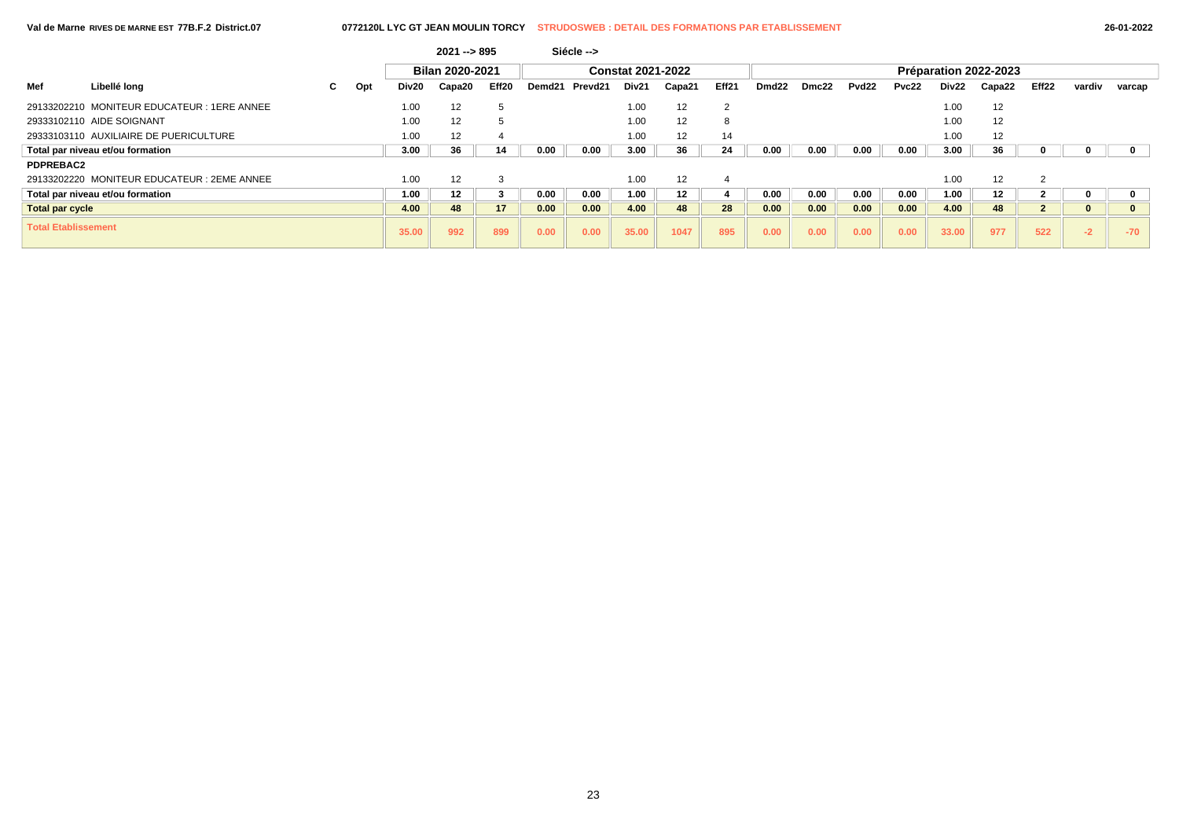| 26-01-2022 |  |
|------------|--|
|------------|--|

|                                  |                                             |           |       | $2021 - 895$           |                   |        | Siécle -->               |       |        |                |                   |                       |                   |              |       |        |                      |        |              |  |  |
|----------------------------------|---------------------------------------------|-----------|-------|------------------------|-------------------|--------|--------------------------|-------|--------|----------------|-------------------|-----------------------|-------------------|--------------|-------|--------|----------------------|--------|--------------|--|--|
|                                  |                                             |           |       | <b>Bilan 2020-2021</b> |                   |        | <b>Constat 2021-2022</b> |       |        |                |                   | Préparation 2022-2023 |                   |              |       |        |                      |        |              |  |  |
| Mef                              | Libellé long                                | Opt<br>C. | Div20 | Capa20                 | Eff <sub>20</sub> | Demd21 | Prevd21                  | Div21 | Capa21 | Eff21          | Dmd <sub>22</sub> | Dmc22                 | Pvd <sub>22</sub> | <b>Pvc22</b> | Div22 | Capa22 | Eff22                | vardiv | varcap       |  |  |
|                                  | 29133202210 MONITEUR EDUCATEUR : 1ERE ANNEE |           | 1.00  | 12                     | 5                 |        |                          | 1.00  | 12     | $\overline{2}$ |                   |                       |                   |              | 1.00  | 12     |                      |        |              |  |  |
|                                  | 29333102110 AIDE SOIGNANT                   |           | 1.00  | 12                     | 5                 |        |                          | 1.00  | 12     | Ö              |                   |                       |                   |              | 1.00  | 12     |                      |        |              |  |  |
|                                  | 29333103110 AUXILIAIRE DE PUERICULTURE      |           | 1.00  | 12                     |                   |        |                          | 1.00  | 12     | 14             |                   |                       |                   |              | 1.00  | 12     |                      |        |              |  |  |
| Total par niveau et/ou formation |                                             |           | 3.00  | 36                     | 14                | 0.00   | 0.00                     | 3.00  | 36     | 24             | 0.00              | 0.00                  | 0.00              | 0.00         | 3.00  | 36     |                      | 0      |              |  |  |
| <b>PDPREBAC2</b>                 |                                             |           |       |                        |                   |        |                          |       |        |                |                   |                       |                   |              |       |        |                      |        |              |  |  |
|                                  | 29133202220 MONITEUR EDUCATEUR : 2EME ANNEE |           | 1.00  | 12                     | 3                 |        |                          | 1.00  | 12     |                |                   |                       |                   |              | 1.00  | 12     | $\overline{2}$       |        |              |  |  |
|                                  | Total par niveau et/ou formation            |           | 1.00  | 12                     | з                 | 0.00   | 0.00                     | 1.00  | 12     |                | 0.00              | 0.00                  | 0.00              | 0.00         | 1.00  | 12     |                      | 0      |              |  |  |
| <b>Total par cycle</b>           |                                             |           | 4.00  | 48                     | 17                | 0.00   | 0.00                     | 4.00  | 48     | 28             | 0.00              | 0.00                  | 0.00              | 0.00         | 4.00  | 48     | $\sim$<br>$\epsilon$ | 0      | $\mathbf{0}$ |  |  |
| <b>Total Etablissement</b>       |                                             |           | 35.00 | 992                    | 899               | 0.00   | 0.00                     | 35.00 | 1047   | 895            | 0.00              | 0.00                  | 0.00              | 0.00         | 33.00 | 977    | 522                  | $-2$   | $-70$        |  |  |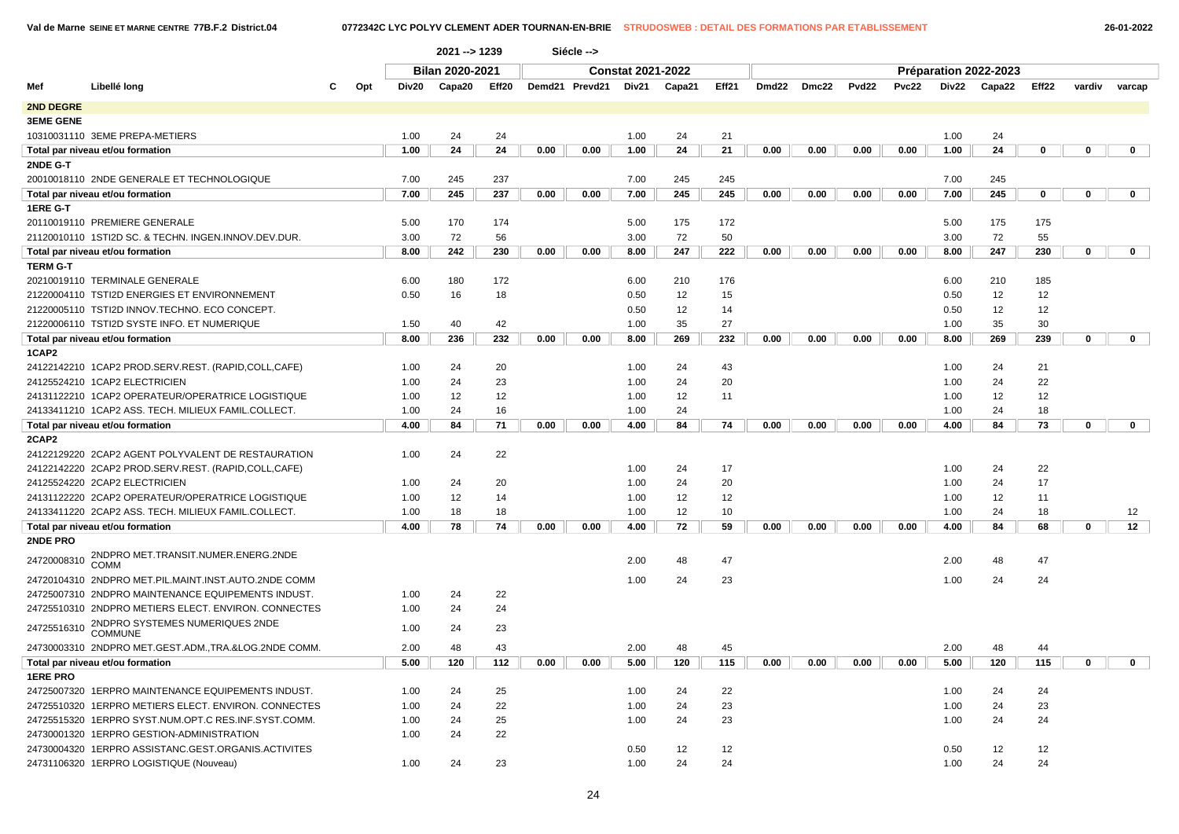|                  |                                                       |          |                 | 2021 -- > 1239 |       |                          | Siécle -->     |       |        |       |                       |       |       |       |      |              |                   |        |             |  |
|------------------|-------------------------------------------------------|----------|-----------------|----------------|-------|--------------------------|----------------|-------|--------|-------|-----------------------|-------|-------|-------|------|--------------|-------------------|--------|-------------|--|
|                  |                                                       |          | Bilan 2020-2021 |                |       | <b>Constat 2021-2022</b> |                |       |        |       | Préparation 2022-2023 |       |       |       |      |              |                   |        |             |  |
| Mef              | Libellé long                                          | Opt<br>С | Div20           | Capa20         | Eff20 |                          | Demd21 Prevd21 | Div21 | Capa21 | Eff21 | Dmd22                 | Dmc22 | Pvd22 | Pvc22 |      | Div22 Capa22 | Eff <sub>22</sub> | vardiv | varcap      |  |
| 2ND DEGRE        |                                                       |          |                 |                |       |                          |                |       |        |       |                       |       |       |       |      |              |                   |        |             |  |
| <b>3EME GENE</b> |                                                       |          |                 |                |       |                          |                |       |        |       |                       |       |       |       |      |              |                   |        |             |  |
|                  | 10310031110 3EME PREPA-METIERS                        |          | 1.00            | 24             | 24    |                          |                | 1.00  | 24     | 21    |                       |       |       |       | 1.00 | 24           |                   |        |             |  |
|                  | Total par niveau et/ou formation                      |          | 1.00            | 24             | 24    | 0.00                     | 0.00           | 1.00  | 24     | 21    | 0.00                  | 0.00  | 0.00  | 0.00  | 1.00 | 24           | 0                 | 0      | 0           |  |
| 2NDE G-T         |                                                       |          |                 |                |       |                          |                |       |        |       |                       |       |       |       |      |              |                   |        |             |  |
|                  | 20010018110 2NDE GENERALE ET TECHNOLOGIQUE            |          | 7.00            | 245            | 237   |                          |                | 7.00  | 245    | 245   |                       |       |       |       | 7.00 | 245          |                   |        |             |  |
|                  | Total par niveau et/ou formation                      |          | 7.00            | 245            | 237   | 0.00                     | 0.00           | 7.00  | 245    | 245   | 0.00                  | 0.00  | 0.00  | 0.00  | 7.00 | 245          | 0                 | 0      | $\mathbf 0$ |  |
| 1ERE G-T         |                                                       |          |                 |                |       |                          |                |       |        |       |                       |       |       |       |      |              |                   |        |             |  |
|                  | 20110019110 PREMIERE GENERALE                         |          | 5.00            | 170            | 174   |                          |                | 5.00  | 175    | 172   |                       |       |       |       | 5.00 | 175          | 175               |        |             |  |
|                  | 21120010110 1STI2D SC. & TECHN. INGEN.INNOV.DEV.DUR.  |          | 3.00            | 72             | 56    |                          |                | 3.00  | 72     | 50    |                       |       |       |       | 3.00 | 72           | 55                |        |             |  |
|                  | Total par niveau et/ou formation                      |          | 8.00            | 242            | 230   | 0.00                     | 0.00           | 8.00  | 247    | 222   | 0.00                  | 0.00  | 0.00  | 0.00  | 8.00 | 247          | 230               | 0      | $\mathbf 0$ |  |
| <b>TERM G-T</b>  |                                                       |          |                 |                |       |                          |                |       |        |       |                       |       |       |       |      |              |                   |        |             |  |
|                  | 20210019110 TERMINALE GENERALE                        |          | 6.00            | 180            | 172   |                          |                | 6.00  | 210    | 176   |                       |       |       |       | 6.00 | 210          | 185               |        |             |  |
|                  | 21220004110 TSTI2D ENERGIES ET ENVIRONNEMENT          |          | 0.50            | 16             | 18    |                          |                | 0.50  | 12     | 15    |                       |       |       |       | 0.50 | 12           | 12                |        |             |  |
|                  | 21220005110 TSTI2D INNOV.TECHNO. ECO CONCEPT.         |          |                 |                |       |                          |                | 0.50  | 12     | 14    |                       |       |       |       | 0.50 | 12           | 12                |        |             |  |
|                  | 21220006110 TSTI2D SYSTE INFO. ET NUMERIQUE           |          | 1.50            | 40             | 42    |                          |                | 1.00  | 35     | 27    |                       |       |       |       | 1.00 | 35           | 30                |        |             |  |
|                  | Total par niveau et/ou formation                      |          | 8.00            | 236            | 232   | 0.00                     | 0.00           | 8.00  | 269    | 232   | 0.00                  | 0.00  | 0.00  | 0.00  | 8.00 | 269          | 239               | 0      | 0           |  |
| 1CAP2            |                                                       |          |                 |                |       |                          |                |       |        |       |                       |       |       |       |      |              |                   |        |             |  |
|                  | 24122142210 1CAP2 PROD.SERV.REST. (RAPID,COLL,CAFE)   |          | 1.00            | 24             | 20    |                          |                | 1.00  | 24     | 43    |                       |       |       |       | 1.00 | 24           | 21                |        |             |  |
|                  | 24125524210 1CAP2 ELECTRICIEN                         |          | 1.00            | 24             | 23    |                          |                | 1.00  | 24     | 20    |                       |       |       |       | 1.00 | 24           | 22                |        |             |  |
|                  | 24131122210 1CAP2 OPERATEUR/OPERATRICE LOGISTIQUE     |          | 1.00            | 12             | 12    |                          |                | 1.00  | 12     | 11    |                       |       |       |       | 1.00 | 12           | 12                |        |             |  |
|                  | 24133411210 1CAP2 ASS. TECH. MILIEUX FAMIL.COLLECT.   |          | 1.00            | 24             | 16    |                          |                | 1.00  | 24     |       |                       |       |       |       | 1.00 | 24           | 18                |        |             |  |
|                  | Total par niveau et/ou formation                      |          | 4.00            | 84             | 71    | 0.00                     | 0.00           | 4.00  | 84     | 74    | 0.00                  | 0.00  | 0.00  | 0.00  | 4.00 | 84           | 73                | 0      | $\mathbf 0$ |  |
| 2CAP2            |                                                       |          |                 |                |       |                          |                |       |        |       |                       |       |       |       |      |              |                   |        |             |  |
|                  | 24122129220 2CAP2 AGENT POLYVALENT DE RESTAURATION    |          | 1.00            | 24             | 22    |                          |                |       |        |       |                       |       |       |       |      |              |                   |        |             |  |
|                  | 24122142220 2CAP2 PROD.SERV.REST. (RAPID,COLL,CAFE)   |          |                 |                |       |                          |                | 1.00  | 24     | 17    |                       |       |       |       | 1.00 | 24           | 22                |        |             |  |
|                  | 24125524220 2CAP2 ELECTRICIEN                         |          | 1.00            | 24             | 20    |                          |                | 1.00  | 24     | 20    |                       |       |       |       | 1.00 | 24           | 17                |        |             |  |
|                  | 24131122220 2CAP2 OPERATEUR/OPERATRICE LOGISTIQUE     |          | 1.00            | 12             | 14    |                          |                | 1.00  | 12     | 12    |                       |       |       |       | 1.00 | 12           | 11                |        |             |  |
|                  | 24133411220 2CAP2 ASS. TECH. MILIEUX FAMIL.COLLECT.   |          | 1.00            | 18             | 18    |                          |                | 1.00  | 12     | 10    |                       |       |       |       | 1.00 | 24           | 18                |        | 12          |  |
|                  | Total par niveau et/ou formation                      |          | 4.00            | 78             | 74    | 0.00                     | 0.00           | 4.00  | 72     | 59    | 0.00                  | 0.00  | 0.00  | 0.00  | 4.00 | 84           | 68                | 0      | 12          |  |
| 2NDE PRO         |                                                       |          |                 |                |       |                          |                |       |        |       |                       |       |       |       |      |              |                   |        |             |  |
| 24720008310      | 2NDPRO MET.TRANSIT.NUMER.ENERG.2NDE<br><b>COMM</b>    |          |                 |                |       |                          |                | 2.00  | 48     | 47    |                       |       |       |       | 2.00 | 48           | 47                |        |             |  |
|                  | 24720104310 2NDPRO MET.PIL.MAINT.INST.AUTO.2NDE COMM  |          |                 |                |       |                          |                | 1.00  | 24     | 23    |                       |       |       |       | 1.00 | 24           | 24                |        |             |  |
|                  | 24725007310 2NDPRO MAINTENANCE EQUIPEMENTS INDUST.    |          | 1.00            | 24             | 22    |                          |                |       |        |       |                       |       |       |       |      |              |                   |        |             |  |
|                  | 24725510310 2NDPRO METIERS ELECT. ENVIRON. CONNECTES  |          | 1.00            | 24             | 24    |                          |                |       |        |       |                       |       |       |       |      |              |                   |        |             |  |
| 24725516310      | 2NDPRO SYSTEMES NUMERIQUES 2NDE<br><b>COMMUNE</b>     |          | 1.00            | 24             | 23    |                          |                |       |        |       |                       |       |       |       |      |              |                   |        |             |  |
|                  | 24730003310 2NDPRO MET.GEST.ADM., TRA.&LOG.2NDE COMM. |          | 2.00            | 48             | 43    |                          |                | 2.00  | 48     | 45    |                       |       |       |       | 2.00 | 48           | 44                |        |             |  |
|                  | Total par niveau et/ou formation                      |          | 5.00            | 120            | 112   | 0.00                     | 0.00           | 5.00  | 120    | 115   | 0.00                  | 0.00  | 0.00  | 0.00  | 5.00 | 120          | 115               | 0      | $\mathbf 0$ |  |
| <b>1ERE PRO</b>  |                                                       |          |                 |                |       |                          |                |       |        |       |                       |       |       |       |      |              |                   |        |             |  |
|                  | 24725007320 1ERPRO MAINTENANCE EQUIPEMENTS INDUST.    |          | 1.00            | 24             | 25    |                          |                | 1.00  | 24     | 22    |                       |       |       |       | 1.00 | 24           | 24                |        |             |  |
|                  | 24725510320 1ERPRO METIERS ELECT. ENVIRON. CONNECTES  |          | 1.00            | 24             | 22    |                          |                | 1.00  | 24     | 23    |                       |       |       |       | 1.00 | 24           | 23                |        |             |  |
|                  | 24725515320 1ERPRO SYST.NUM.OPT.C RES.INF.SYST.COMM.  |          | 1.00            | 24             | 25    |                          |                | 1.00  | 24     | 23    |                       |       |       |       | 1.00 | 24           | 24                |        |             |  |
|                  | 24730001320 1ERPRO GESTION-ADMINISTRATION             |          | 1.00            | 24             | 22    |                          |                |       |        |       |                       |       |       |       |      |              |                   |        |             |  |
|                  | 24730004320 1ERPRO ASSISTANC.GEST.ORGANIS.ACTIVITES   |          |                 |                |       |                          |                | 0.50  | 12     | 12    |                       |       |       |       | 0.50 | 12           | 12                |        |             |  |
|                  | 24731106320 1ERPRO LOGISTIQUE (Nouveau)               |          | 1.00            | 24             | 23    |                          |                | 1.00  | 24     | 24    |                       |       |       |       | 1.00 | 24           | 24                |        |             |  |